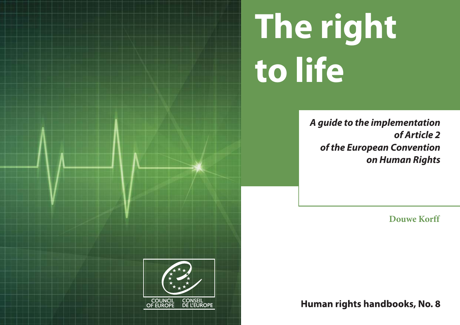# **The right to life**

*A guide to the implementation of Article 2of the European Convention on Human Rights*

**Douwe Korff**



Human rights handbooks, No. 8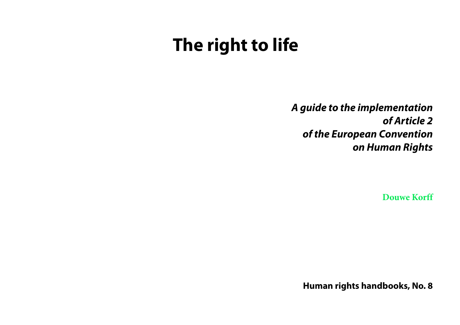## **The right to life**

*A guide to the implementation of Article 2 of the European Convention on Human Rights*

**Douwe Korff**

**Human rights handbooks, No. 8**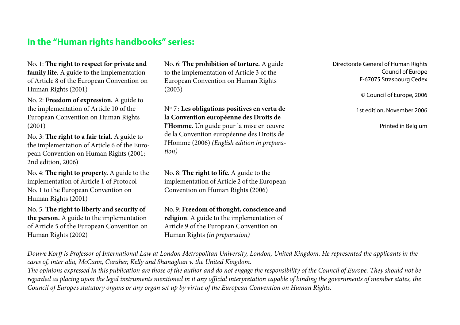## **In the "Human rights handbooks" series:**

No. 1: **The right to respect for private and family life.** A guide to the implementation of Article 8 of the European Convention on Human Rights (2001)

No. 2: **Freedom of expression.** A guide to the implementation of Article 10 of the European Convention on Human Rights (2001)

No. 3: **The right to a fair trial.** A guide to the implementation of Article 6 of the European Convention on Human Rights (2001; 2nd edition, 2006)

No. 4: **The right to property.** A guide to the implementation of Article 1 of Protocol No. 1 to the European Convention on Human Rights (2001)

No. 5: **The right to liberty and security of the person.** A guide to the implementation of Article 5 of the European Convention on Human Rights (2002)

No. 6: **The prohibition of torture.** A guide to the implementation of Article 3 of the European Convention on Human Rights (2003)

Nº 7 : **Les obligations positives en vertu de la Convention européenne des Droits de** 

**l'Homme.** Un guide pour la mise en œuvre de la Convention européenne des Droits de l'Homme (2006) (English edition in preparation)

No. 8: **The right to life**. A guide to the implementation of Article 2 of the European Convention on Human Rights (2006)

No. 9: **Freedom of thought, conscience and religion**. A guide to the implementation of Article 9 of the European Convention on Human Rights (in preparation)

Directorate General of Human Rights Council of Europe F-67075 Strasbourg Cedex

© Council of Europe, 2006

1st edition, November 2006

Printed in Belgium

Douwe Korff is Professor of International Law at London Metropolitan University, London, United Kingdom. He represented the applicants in the cases of, inter alia, McCann, Caraher, Kelly and Shanaghan v. the United Kingdom.

The opinions expressed in this publication are those of the author and do not engage the responsibility of the Council of Europe. They should not be regarded as placing upon the legal instruments mentioned in it any official interpretation capable of binding the governments of member states, the Council of Europe's statutory organs or any organ set up by virtue of the European Convention on Human Rights.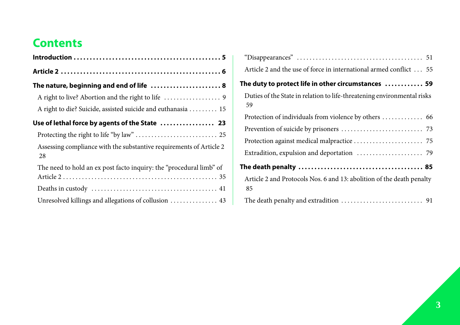## **Contents**

| The nature, beginning and end of life  8                                  |
|---------------------------------------------------------------------------|
|                                                                           |
| A right to die? Suicide, assisted suicide and euthanasia 15               |
| Use of lethal force by agents of the State  23                            |
|                                                                           |
| Assessing compliance with the substantive requirements of Article 2<br>28 |
| The need to hold an ex post facto inquiry: the "procedural limb" of       |
|                                                                           |
| Unresolved killings and allegations of collusion  43                      |

| Article 2 and the use of force in international armed conflict 55             |
|-------------------------------------------------------------------------------|
| The duty to protect life in other circumstances  59                           |
| Duties of the State in relation to life-threatening environmental risks<br>59 |
|                                                                               |
|                                                                               |
|                                                                               |
|                                                                               |
|                                                                               |
| Article 2 and Protocols Nos. 6 and 13: abolition of the death penalty<br>85   |
|                                                                               |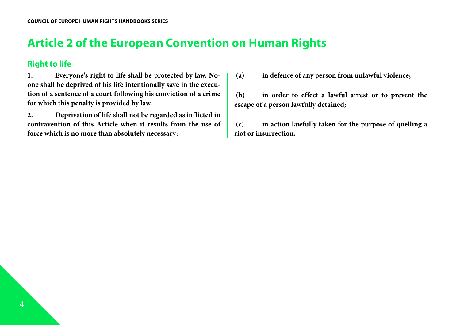## <span id="page-5-0"></span>**Article 2 of the European Convention on Human Rights**

#### **Right to life**

**1. Everyone's right to life shall be protected by law. Noone shall be deprived of his life intentionally save in the execution of a sentence of a court following his conviction of a crime for which this penalty is provided by law.**

**2. Deprivation of life shall not be regarded as inflicted in contravention of this Article when it results from the use of force which is no more than absolutely necessary:**

 **(a) in defence of any person from unlawful violence;**

 **(b) in order to effect a lawful arrest or to prevent the escape of a person lawfully detained;**

 **(c) in action lawfully taken for the purpose of quelling a riot or insurrection.**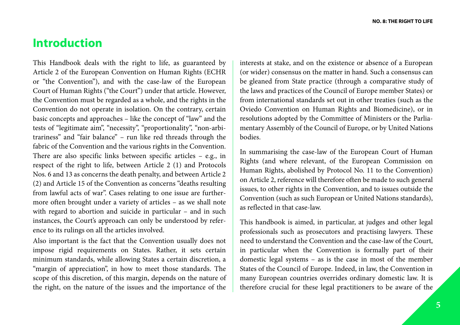## <span id="page-6-0"></span>**Introduction**

This Handbook deals with the right to life, as guaranteed by Article 2 of the European Convention on Human Rights (ECHR or "the Convention"), and with the case-law of the European Court of Human Rights ("the Court") under that article. However, the Convention must be regarded as a whole, and the rights in the Convention do not operate in isolation. On the contrary, certain basic concepts and approaches – like the concept of "law" and the tests of "legitimate aim", "necessity", "proportionality", "non-arbitrariness" and "fair balance" – run like red threads through the fabric of the Convention and the various rights in the Convention. There are also specific links between specific articles – e.g., in respect of the right to life, between Article 2 (1) and Protocols Nos. 6 and 13 as concerns the death penalty, and between Article 2 (2) and Article 15 of the Convention as concerns "deaths resulting from lawful acts of war". Cases relating to one issue are furthermore often brought under a variety of articles – as we shall note with regard to abortion and suicide in particular – and in such instances, the Court's approach can only be understood by reference to its rulings on all the articles involved.

Also important is the fact that the Convention usually does not impose rigid requirements on States. Rather, it sets certain minimum standards, while allowing States a certain discretion, a "margin of appreciation", in how to meet those standards. The scope of this discretion, of this margin, depends on the nature of the right, on the nature of the issues and the importance of the

interests at stake, and on the existence or absence of a European (or wider) consensus on the matter in hand. Such a consensus can be gleaned from State practice (through a comparative study of the laws and practices of the Council of Europe member States) or from international standards set out in other treaties (such as the Oviedo Convention on Human Rights and Biomedicine), or in resolutions adopted by the Committee of Ministers or the Parliamentary Assembly of the Council of Europe, or by United Nations bodies.

In summarising the case-law of the European Court of Human Rights (and where relevant, of the European Commission on Human Rights, abolished by Protocol No. 11 to the Convention) on Article 2, reference will therefore often be made to such general issues, to other rights in the Convention, and to issues outside the Convention (such as such European or United Nations standards), as reflected in that case-law.

This handbook is aimed, in particular, at judges and other legal professionals such as prosecutors and practising lawyers. These need to understand the Convention and the case-law of the Court, in particular when the Convention is formally part of their domestic legal systems – as is the case in most of the member States of the Council of Europe. Indeed, in law, the Convention in many European countries overrides ordinary domestic law. It is therefore crucial for these legal practitioners to be aware of the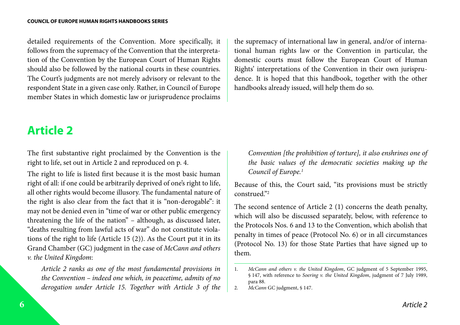detailed requirements of the Convention. More specifically, it follows from the supremacy of the Convention that the interpretation of the Convention by the European Court of Human Rights should also be followed by the national courts in these countries. The Court's judgments are not merely advisory or relevant to the respondent State in a given case only. Rather, in Council of Europe member States in which domestic law or jurisprudence proclaims the supremacy of international law in general, and/or of international human rights law or the Convention in particular, the domestic courts must follow the European Court of Human Rights' interpretations of the Convention in their own jurisprudence. It is hoped that this handbook, together with the other handbooks already issued, will help them do so.

## <span id="page-7-0"></span>**Article 2**

The first substantive right proclaimed by the Convention is the right to life, set out in Article 2 and reproduced on p. [4.](#page-5-0)

The right to life is listed first because it is the most basic human right of all: if one could be arbitrarily deprived of one's right to life, all other rights would become illusory. The fundamental nature of the right is also clear from the fact that it is "non-derogable": it may not be denied even in "time of war or other public emergency threatening the life of the nation" – although, as discussed later, "deaths resulting from lawful acts of war" do not constitute violations of the right to life (Article 15 (2)). As the Court put it in its Grand Chamber (GC) judgment in the case of McCann and others v. the United Kingdom:

Article 2 ranks as one of the most fundamental provisions in the Convention – indeed one which, in peacetime, admits of no derogation under Article 15. Together with Article 3 of the Convention [the prohibition of torture], it also enshrines one of the basic values of the democratic societies making up the Council of Europe.1

Because of this, the Court said, "its provisions must be strictly construed<sup>"2</sup>

The second sentence of Article 2 (1) concerns the death penalty, which will also be discussed separately, below, with reference to the Protocols Nos. 6 and 13 to the Convention, which abolish that penalty in times of peace (Protocol No. 6) or in all circumstances (Protocol No. 13) for those State Parties that have signed up to them.

<sup>1.</sup> McCann and others v. the United Kingdom, GC judgment of 5 September 1995, § 147, with reference to Soering v. the United Kingdom, judgment of 7 July 1989, para 88.

<sup>2.</sup> McCann GC judgment, § 147.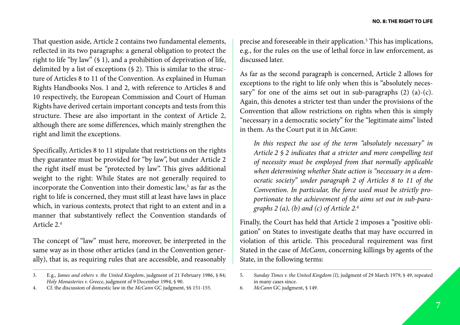That question aside, Article 2 contains two fundamental elements, reflected in its two paragraphs: a general obligation to protect the right to life "by law" (§ 1), and a prohibition of deprivation of life, delimited by a list of exceptions (§ 2). This is similar to the structure of Articles 8 to 11 of the Convention. As explained in Human Rights Handbooks Nos. 1 and 2, with reference to Articles 8 and 10 respectively, the European Commission and Court of Human Rights have derived certain important concepts and tests from this structure. These are also important in the context of Article 2, although there are some differences, which mainly strengthen the right and limit the exceptions.

Specifically, Articles 8 to 11 stipulate that restrictions on the rights they guarantee must be provided for "by law", but under Article 2 the right itself must be "protected by law". This gives additional weight to the right: While States are not generally required to incorporate the Convention into their domestic law,<sup>3</sup> as far as the right to life is concerned, they must still at least have laws in place which, in various contexts, protect that right to an extent and in a manner that substantively reflect the Convention standards of Article 2.4

The concept of "law" must here, moreover, be interpreted in the same way as in those other articles (and in the Convention generally), that is, as requiring rules that are accessible, and reasonably

precise and foreseeable in their application.<sup>5</sup> This has implications, e.g., for the rules on the use of lethal force in law enforcement, as discussed later.

As far as the second paragraph is concerned, Article 2 allows for exceptions to the right to life only when this is "absolutely necessary" for one of the aims set out in sub-paragraphs  $(2)$   $(a)-(c)$ . Again, this denotes a stricter test than under the provisions of the Convention that allow restrictions on rights when this is simply "necessary in a democratic society" for the "legitimate aims" listed in them. As the Court put it in McCann:

In this respect the use of the term "absolutely necessary" in Article 2 § 2 indicates that a stricter and more compelling test of necessity must be employed from that normally applicable when determining whether State action is "necessary in a democratic society" under paragraph 2 of Articles 8 to 11 of the Convention. In particular, the force used must be strictly proportionate to the achievement of the aims set out in sub-paragraphs 2 (a), (b) and (c) of Article  $2.6$ 

Finally, the Court has held that Article 2 imposes a "positive obligation" on States to investigate deaths that may have occurred in violation of this article. This procedural requirement was first Stated in the case of McCann, concerning killings by agents of the State, in the following terms:

6. McCann GC judgment, § 149.

<sup>3.</sup> E.g., James and others v. the United Kingdom, judgment of 21 February 1986, § 84; Holy Monasteries v. Greece, judgment of 9 December 1994, § 90.

<sup>4.</sup> Cf. the discussion of domestic law in the McCann GC judgment, §§ 151-155.

<sup>5.</sup> Sunday Times v. the United Kingdom (I), judgment of 29 March 1979, § 49, repeated in many cases since.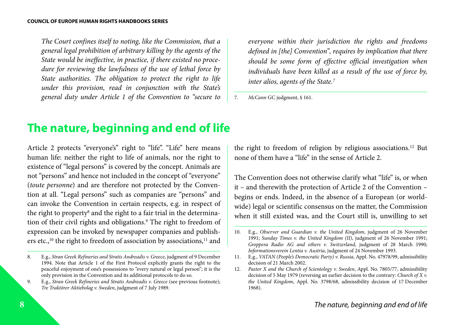The Court confines itself to noting, like the Commission, that a general legal prohibition of arbitrary killing by the agents of the State would be ineffective, in practice, if there existed no procedure for reviewing the lawfulness of the use of lethal force by State authorities. The obligation to protect the right to life under this provision, read in conjunction with the State's general duty under Article 1 of the Convention to "secure to

everyone within their jurisdiction the rights and freedoms defined in [the] Convention", requires by implication that there should be some form of effective official investigation when individuals have been killed as a result of the use of force by, inter alios, agents of the State.<sup>7</sup>

7. McCann GC judgment, § 161.

## <span id="page-9-0"></span>**The nature, beginning and end of life**

Article 2 protects "everyone's" right to "life". "Life" here means human life: neither the right to life of animals, nor the right to existence of "legal persons" is covered by the concept. Animals are not "persons" and hence not included in the concept of "everyone" (toute personne) and are therefore not protected by the Convention at all. "Legal persons" such as companies are "persons" and can invoke the Convention in certain respects, e.g. in respect of the right to property<sup>s</sup> and the right to a fair trial in the determination of their civil rights and obligations.<sup>9</sup> The right to freedom of expression can be invoked by newspaper companies and publishers etc.,<sup>10</sup> the right to freedom of association by associations,<sup>11</sup> and

the right to freedom of religion by religious associations.12 But none of them have a "life" in the sense of Article 2.

The Convention does not otherwise clarify what "life" is, or when it – and therewith the protection of Article 2 of the Convention – begins or ends. Indeed, in the absence of a European (or worldwide) legal or scientific consensus on the matter, the Commission when it still existed was, and the Court still is, unwilling to set

<sup>8.</sup> E.g., Stran Greek Refineries and Stratis Andreadis v. Greece, judgment of 9 December 1994. Note that Article 1 of the First Protocol explicitly grants the right to the peaceful enjoyment of one's possessions to "every natural or legal person"; it is the only provision in the Convention and its additional protocols to do so.

<sup>9.</sup> E.g., Stran Greek Refineries and Stratis Andreadis v. Greece (see previous footnote); Tre Traktörer Aktiebolag v. Sweden, judgment of 7 July 1989.

<sup>10.</sup> E.g., Observer and Guardian v. the United Kingdom, judgment of 26 November 1991; Sunday Times v. the United Kingdom (II), judgment of 26 November 1991; Groppera Radio AG and others v. Switzerland, judgment of 28 March 1990; Informationsverein Lentia v. Austria, judgment of 24 November 1993.

<sup>11.</sup> E.g., VATAN (People's Democratic Party) v. Russia, Appl. No. 47978/99, admissibility decision of 21 March 2002.

<sup>12.</sup> Pastor X and the Church of Scientology v. Sweden, Appl. No. 7805/77, admissibility decision of 5 May 1979 (reversing an earlier decision to the contrary: Church of X v. the United Kingdom, Appl. No. 3798/68, admissibility decision of 17 December 1968).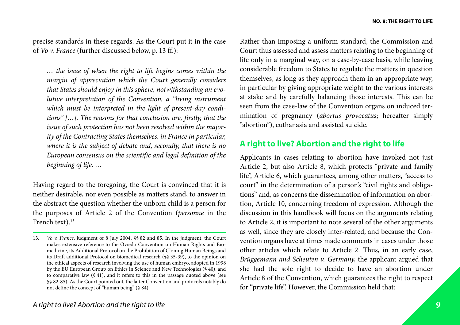precise standards in these regards. As the Court put it in the case of Vo v. France (further discussed below, p. [13](#page-14-0) ff.):

… the issue of when the right to life begins comes within the margin of appreciation which the Court generally considers that States should enjoy in this sphere, notwithstanding an evolutive interpretation of the Convention, a "living instrument which must be interpreted in the light of present-day conditions" […]. The reasons for that conclusion are, firstly, that the issue of such protection has not been resolved within the majority of the Contracting States themselves, in France in particular, where it is the subject of debate and, secondly, that there is no European consensus on the scientific and legal definition of the beginning of life. …

Having regard to the foregoing, the Court is convinced that it is neither desirable, nor even possible as matters stand, to answer in the abstract the question whether the unborn child is a person for the purposes of Article 2 of the Convention (personne in the French text).<sup>13</sup>

Rather than imposing a uniform standard, the Commission and Court thus assessed and assess matters relating to the beginning of life only in a marginal way, on a case-by-case basis, while leaving considerable freedom to States to regulate the matters in question themselves, as long as they approach them in an appropriate way, in particular by giving appropriate weight to the various interests at stake and by carefully balancing those interests. This can be seen from the case-law of the Convention organs on induced termination of pregnancy (abortus provocatus; hereafter simply "abortion"), euthanasia and assisted suicide.

### <span id="page-10-0"></span>**A right to live? Abortion and the right to life**

Applicants in cases relating to abortion have invoked not just Article 2, but also Article 8, which protects "private and family life", Article 6, which guarantees, among other matters, "access to court" in the determination of a person's "civil rights and obligations" and, as concerns the dissemination of information on abortion, Article 10, concerning freedom of expression. Although the discussion in this handbook will focus on the arguments relating to Article 2, it is important to note several of the other arguments as well, since they are closely inter-related, and because the Convention organs have at times made comments in cases under those other articles which relate to Article 2. Thus, in an early case, Brüggemann and Scheuten v. Germany, the applicant argued that she had the sole right to decide to have an abortion under Article 8 of the Convention, which guarantees the right to respect for "private life". However, the Commission held that:

<sup>13.</sup> Vo v. France, judgment of 8 July 2004, §§ 82 and 85. In the judgment, the Court makes extensive reference to the Oviedo Convention on Human Rights and Biomedicine, its Additional Protocol on the Prohibition of Cloning Human Beings and its Draft additional Protocol on biomedical research (§§ 35-39), to the opinion on the ethical aspects of research involving the use of human embryo, adopted in 1998 by the EU European Group on Ethics in Science and New Technologies (§ 40), and to comparative law (§ 41), and it refers to this in the passage quoted above (see §§ 82-85). As the Court pointed out, the latter Convention and protocols notably do not define the concept of "human being" (§ 84).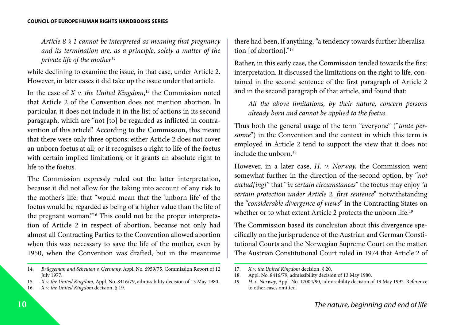Article 8 § 1 cannot be interpreted as meaning that pregnancy and its termination are, as a principle, solely a matter of the private life of the mother<sup>14</sup>

while declining to examine the issue, in that case, under Article 2. However, in later cases it did take up the issue under that article.

In the case of  $X$  v. the United Kingdom, $15$  the Commission noted that Article 2 of the Convention does not mention abortion. In particular, it does not include it in the list of actions in its second paragraph, which are "not [to] be regarded as inflicted in contravention of this article". According to the Commission, this meant that there were only three options: either Article 2 does not cover an unborn foetus at all; or it recognises a right to life of the foetus with certain implied limitations; or it grants an absolute right to life to the foetus.

The Commission expressly ruled out the latter interpretation, because it did not allow for the taking into account of any risk to the mother's life: that "would mean that the 'unborn life' of the foetus would be regarded as being of a higher value than the life of the pregnant woman."16 This could not be the proper interpretation of Article 2 in respect of abortion, because not only had almost all Contracting Parties to the Convention allowed abortion when this was necessary to save the life of the mother, even by 1950, when the Convention was drafted, but in the meantime

there had been, if anything, "a tendency towards further liberalisation [of abortion]."17

Rather, in this early case, the Commission tended towards the first interpretation. It discussed the limitations on the right to life, contained in the second sentence of the first paragraph of Article 2 and in the second paragraph of that article, and found that:

All the above limitations, by their nature, concern persons already born and cannot be applied to the foetus.

Thus both the general usage of the term "everyone" ("toute personne") in the Convention and the context in which this term is employed in Article 2 tend to support the view that it does not include the unborn.18

However, in a later case, H. v. Norway, the Commission went somewhat further in the direction of the second option, by "not exclud[ing]" that "in certain circumstances" the foetus may enjoy "a certain protection under Article 2, first sentence" notwithstanding the "considerable divergence of views" in the Contracting States on whether or to what extent Article 2 protects the unborn life.<sup>19</sup>

The Commission based its conclusion about this divergence specifically on the jurisprudence of the Austrian and German Constitutional Courts and the Norwegian Supreme Court on the matter. The Austrian Constitutional Court ruled in 1974 that Article 2 of

<sup>14.</sup> Brüggeman and Scheuten v. Germany, Appl. No. 6959/75, Commission Report of 12 July 1977.

<sup>15.</sup> X v. the United Kingdom, Appl. No. 8416/79, admissibility decision of 13 May 1980.

<sup>16.</sup> X v. the United Kingdom decision, § 19.

<sup>17.</sup> X v. the United Kingdom decision, § 20.

<sup>18.</sup> Appl. No. 8416/79, admissibility decision of 13 May 1980.

<sup>19.</sup> H. v. Norway, Appl. No. 17004/90, admissibility decision of 19 May 1992. Reference to other cases omitted.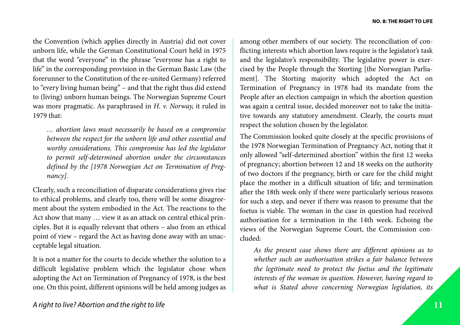the Convention (which applies directly in Austria) did not cover unborn life, while the German Constitutional Court held in 1975 that the word "everyone" in the phrase "everyone has a right to life" in the corresponding provision in the German Basic Law (the forerunner to the Constitution of the re-united Germany) referred to "every living human being" – and that the right thus did extend to (living) unborn human beings. The Norwegian Supreme Court was more pragmatic. As paraphrased in H. v. Norway, it ruled in 1979 that:

… abortion laws must necessarily be based on a compromise between the respect for the unborn life and other essential and worthy considerations. This compromise has led the legislator to permit self-determined abortion under the circumstances defined by the [1978 Norwegian Act on Termination of Pregnancy].

Clearly, such a reconciliation of disparate considerations gives rise to ethical problems, and clearly too, there will be some disagreement about the system embodied in the Act. The reactions to the Act show that many … view it as an attack on central ethical principles. But it is equally relevant that others – also from an ethical point of view – regard the Act as having done away with an unacceptable legal situation.

It is not a matter for the courts to decide whether the solution to a difficult legislative problem which the legislator chose when adopting the Act on Termination of Pregnancy of 1978, is the best one. On this point, different opinions will be held among judges as among other members of our society. The reconciliation of conflicting interests which abortion laws require is the legislator's task and the legislator's responsibility. The legislative power is exercised by the People through the Storting [the Norwegian Parliament]. The Storting majority which adopted the Act on Termination of Pregnancy in 1978 had its mandate from the People after an election campaign in which the abortion question was again a central issue, decided moreover not to take the initiative towards any statutory amendment. Clearly, the courts must respect the solution chosen by the legislator.

The Commission looked quite closely at the specific provisions of the 1978 Norwegian Termination of Pregnancy Act, noting that it only allowed "self-determined abortion" within the first 12 weeks of pregnancy; abortion between 12 and 18 weeks on the authority of two doctors if the pregnancy, birth or care for the child might place the mother in a difficult situation of life; and termination after the 18th week only if there were particularly serious reasons for such a step, and never if there was reason to presume that the foetus is viable. The woman in the case in question had received authorisation for a termination in the 14th week. Echoing the views of the Norwegian Supreme Court, the Commission concluded:

As the present case shows there are different opinions as to whether such an authorisation strikes a fair balance between the legitimate need to protect the foetus and the legitimate interests of the woman in question. However, having regard to what is Stated above concerning Norwegian legislation, its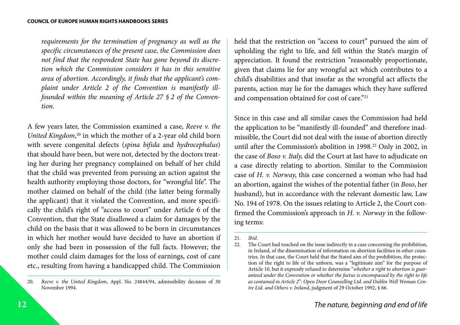requirements for the termination of pregnancy as well as the specific circumstances of the present case, the Commission does not find that the respondent State has gone beyond its discretion which the Commission considers it has in this sensitive area of abortion. Accordingly, it finds that the applicant's complaint under Article 2 of the Convention is manifestly illfounded within the meaning of Article 27 § 2 of the Convention.

A few years later, the Commission examined a case, Reeve v. the United Kingdom, 20 in which the mother of a 2-year old child born with severe congenital defects (spina bifida and hydrocephalus) that should have been, but were not, detected by the doctors treating her during her pregnancy complained on behalf of her child that the child was prevented from pursuing an action against the health authority employing those doctors, for "wrongful life". The mother claimed on behalf of the child (the latter being formally the applicant) that it violated the Convention, and more specifically the child's right of "access to court" under Article 6 of the Convention, that the State disallowed a claim for damages by the child on the basis that it was allowed to be born in circumstances in which her mother would have decided to have an abortion if only she had been in possession of the full facts. However, the mother could claim damages for the loss of earnings, cost of care etc., resulting from having a handicapped child. The Commission

20. Reeve v. the United Kingdom, Appl. No. 24844/94, admissibility decision of 30 November 1994.

held that the restriction on "access to court" pursued the aim of upholding the right to life, and fell within the State's margin of appreciation. It found the restriction "reasonably proportionate, given that claims lie for any wrongful act which contributes to a child's disabilities and that insofar as the wrongful act affects the parents, action may lie for the damages which they have suffered and compensation obtained for cost of care."<sup>21</sup>

Since in this case and all similar cases the Commission had held the application to be "manifestly ill-founded" and therefore inadmissible, the Court did not deal with the issue of abortion directly until after the Commission's abolition in 1998.22 Only in 2002, in the case of Boso v. Italy, did the Court at last have to adjudicate on a case directly relating to abortion. Similar to the Commission case of H. v. Norway, this case concerned a woman who had had an abortion, against the wishes of the potential father (in Boso, her husband), but in accordance with the relevant domestic law, Law No. 194 of 1978. On the issues relating to Article 2, the Court confirmed the Commission's approach in H. v. Norway in the following terms:

21. Ibid.

<sup>22.</sup> The Court had touched on the issue indirectly in a case concerning the prohibition, in Ireland, of the dissemination of information on abortion facilities in other countries. In that case, the Court held that the Stated aim of the prohibition, the protection of the right to life of the unborn, was a "legitimate aim" for the purpose of Article 10, but it expressly refused to determine "whether a right to abortion is guaranteed under the Convention or whether the foetus is encompassed by the right to life as contained in Article 2": Open Door Counselling Ltd. and Dublin Well Woman Centre Ltd. and Others v. Ireland, judgment of 29 October 1992, § 66.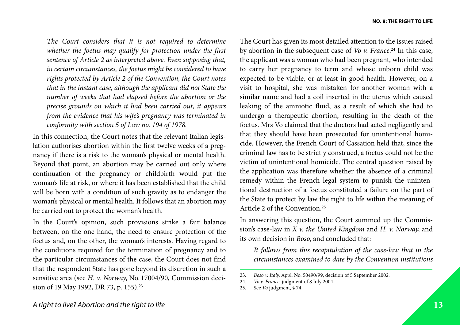The Court considers that it is not required to determine whether the foetus may qualify for protection under the first sentence of Article 2 as interpreted above. Even supposing that, in certain circumstances, the foetus might be considered to have rights protected by Article 2 of the Convention, the Court notes that in the instant case, although the applicant did not State the number of weeks that had elapsed before the abortion or the precise grounds on which it had been carried out, it appears from the evidence that his wife's pregnancy was terminated in conformity with section 5 of Law no. 194 of 1978.

In this connection, the Court notes that the relevant Italian legislation authorises abortion within the first twelve weeks of a pregnancy if there is a risk to the woman's physical or mental health. Beyond that point, an abortion may be carried out only where continuation of the pregnancy or childbirth would put the woman's life at risk, or where it has been established that the child will be born with a condition of such gravity as to endanger the woman's physical or mental health. It follows that an abortion may be carried out to protect the woman's health.

In the Court's opinion, such provisions strike a fair balance between, on the one hand, the need to ensure protection of the foetus and, on the other, the woman's interests. Having regard to the conditions required for the termination of pregnancy and to the particular circumstances of the case, the Court does not find that the respondent State has gone beyond its discretion in such a sensitive area (see H. v. Norway, No. 17004/90, Commission decision of 19 May 1992, DR 73, p. 155).<sup>23</sup>

The Court has given its most detailed attention to the issues raised by abortion in the subsequent case of *Vo v. France*.<sup>24</sup> In this case, the applicant was a woman who had been pregnant, who intended to carry her pregnancy to term and whose unborn child was expected to be viable, or at least in good health. However, on a visit to hospital, she was mistaken for another woman with a similar name and had a coil inserted in the uterus which caused leaking of the amniotic fluid, as a result of which she had to undergo a therapeutic abortion, resulting in the death of the foetus. Mrs Vo claimed that the doctors had acted negligently and that they should have been prosecuted for unintentional homicide. However, the French Court of Cassation held that, since the criminal law has to be strictly construed, a foetus could not be the victim of unintentional homicide. The central question raised by the application was therefore whether the absence of a criminal remedy within the French legal system to punish the unintentional destruction of a foetus constituted a failure on the part of the State to protect by law the right to life within the meaning of Article 2 of the Convention.25

In answering this question, the Court summed up the Commission's case-law in X v. the United Kingdom and H. v. Norway, and its own decision in Boso, and concluded that:

It follows from this recapitulation of the case-law that in the circumstances examined to date by the Convention institutions

<sup>23.</sup> Boso v. Italy, Appl. No. 50490/99, decision of 5 September 2002.

<span id="page-14-0"></span><sup>24.</sup> Vo v. France, judgment of 8 July 2004.

<sup>25.</sup> See Vo judgment, § 74.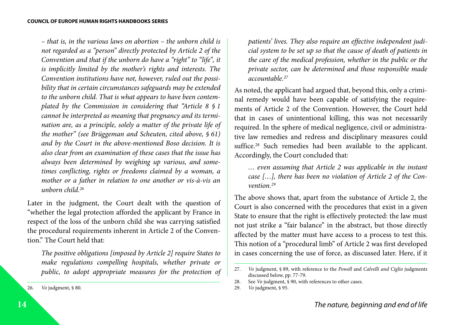– that is, in the various laws on abortion – the unborn child is not regarded as a "person" directly protected by Article 2 of the Convention and that if the unborn do have a "right" to "life", it is implicitly limited by the mother's rights and interests. The Convention institutions have not, however, ruled out the possibility that in certain circumstances safeguards may be extended to the unborn child. That is what appears to have been contemplated by the Commission in considering that "Article 8 § 1 cannot be interpreted as meaning that pregnancy and its termination are, as a principle, solely a matter of the private life of the mother" (see Brüggeman and Scheuten, cited above, § 61) and by the Court in the above-mentioned Boso decision. It is also clear from an examination of these cases that the issue has always been determined by weighing up various, and sometimes conflicting, rights or freedoms claimed by a woman, a mother or a father in relation to one another or vis-à-vis an unborn child.26

Later in the judgment, the Court dealt with the question of "whether the legal protection afforded the applicant by France in respect of the loss of the unborn child she was carrying satisfied the procedural requirements inherent in Article 2 of the Convention." The Court held that:

The positive obligations [imposed by Article 2] require States to make regulations compelling hospitals, whether private or public, to adopt appropriate measures for the protection of patients' lives. They also require an effective independent judicial system to be set up so that the cause of death of patients in the care of the medical profession, whether in the public or the private sector, can be determined and those responsible made accountable.27

As noted, the applicant had argued that, beyond this, only a criminal remedy would have been capable of satisfying the requirements of Article 2 of the Convention. However, the Court held that in cases of unintentional killing, this was not necessarily required. In the sphere of medical negligence, civil or administrative law remedies and redress and disciplinary measures could suffice.28 Such remedies had been available to the applicant. Accordingly, the Court concluded that:

… even assuming that Article 2 was applicable in the instant case […], there has been no violation of Article 2 of the Convention.29

The above shows that, apart from the substance of Article 2, the Court is also concerned with the procedures that exist in a given State to ensure that the right is effectively protected: the law must not just strike a "fair balance" in the abstract, but those directly affected by the matter must have access to a process to test this. This notion of a "procedural limb" of Article 2 was first developed in cases concerning the use of force, as discussed later. Here, if it

<sup>26.</sup> Vo judgment, § 80.

<sup>27.</sup> Vo judgment, § 89, with reference to the Powell and Calvelli and Ciglio judgments discussed below, pp. [77-](#page-78-0)[79.](#page-80-1)

<sup>28.</sup> See Vo judgment, § 90, with references to other cases.

<sup>29.</sup> Vo judgment, § 95.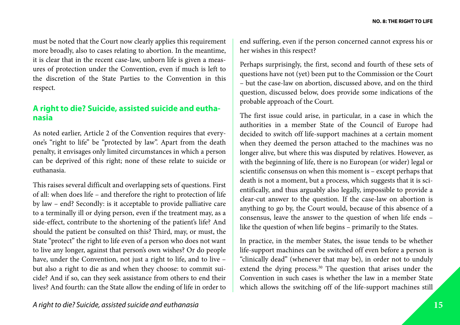must be noted that the Court now clearly applies this requirement more broadly, also to cases relating to abortion. In the meantime, it is clear that in the recent case-law, unborn life is given a measures of protection under the Convention, even if much is left to the discretion of the State Parties to the Convention in this respect.

#### <span id="page-16-0"></span>**A right to die? Suicide, assisted suicide and euthanasia**

As noted earlier, Article 2 of the Convention requires that everyone's "right to life" be "protected by law". Apart from the death penalty, it envisages only limited circumstances in which a person can be deprived of this right; none of these relate to suicide or euthanasia.

This raises several difficult and overlapping sets of questions. First of all: when does life – and therefore the right to protection of life by law – end? Secondly: is it acceptable to provide palliative care to a terminally ill or dying person, even if the treatment may, as a side-effect, contribute to the shortening of the patient's life? And should the patient be consulted on this? Third, may, or must, the State "protect" the right to life even of a person who does not want to live any longer, against that person's own wishes? Or do people have, under the Convention, not just a right to life, and to live – but also a right to die as and when they choose: to commit suicide? And if so, can they seek assistance from others to end their lives? And fourth: can the State allow the ending of life in order to

end suffering, even if the person concerned cannot express his or her wishes in this respect?

Perhaps surprisingly, the first, second and fourth of these sets of questions have not (yet) been put to the Commission or the Court – but the case-law on abortion, discussed above, and on the third question, discussed below, does provide some indications of the probable approach of the Court.

The first issue could arise, in particular, in a case in which the authorities in a member State of the Council of Europe had decided to switch off life-support machines at a certain moment when they deemed the person attached to the machines was no longer alive, but where this was disputed by relatives. However, as with the beginning of life, there is no European (or wider) legal or scientific consensus on when this moment is – except perhaps that death is not a moment, but a process, which suggests that it is scientifically, and thus arguably also legally, impossible to provide a clear-cut answer to the question. If the case-law on abortion is anything to go by, the Court would, because of this absence of a consensus, leave the answer to the question of when life ends – like the question of when life begins – primarily to the States.

In practice, in the member States, the issue tends to be whether life-support machines can be switched off even before a person is "clinically dead" (whenever that may be), in order not to unduly extend the dying process.<sup>30</sup> The question that arises under the Convention in such cases is whether the law in a member State which allows the switching off of the life-support machines still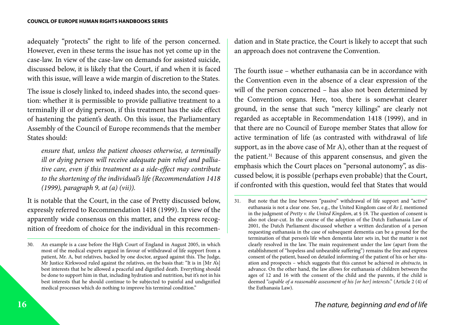adequately "protects" the right to life of the person concerned. However, even in these terms the issue has not yet come up in the case-law. In view of the case-law on demands for assisted suicide, discussed below, it is likely that the Court, if and when it is faced with this issue, will leave a wide margin of discretion to the States.

The issue is closely linked to, indeed shades into, the second question: whether it is permissible to provide palliative treatment to a terminally ill or dying person, if this treatment has the side effect of hastening the patient's death. On this issue, the Parliamentary Assembly of the Council of Europe recommends that the member States should:

ensure that, unless the patient chooses otherwise, a terminally ill or dying person will receive adequate pain relief and palliative care, even if this treatment as a side-effect may contribute to the shortening of the individual's life (Recommendation 1418 (1999), paragraph 9, at (a) (vii)).

It is notable that the Court, in the case of Pretty discussed below, expressly referred to Recommendation 1418 (1999). In view of the apparently wide consensus on this matter, and the express recognition of freedom of choice for the individual in this recommendation and in State practice, the Court is likely to accept that such an approach does not contravene the Convention.

The fourth issue – whether euthanasia can be in accordance with the Convention even in the absence of a clear expression of the will of the person concerned – has also not been determined by the Convention organs. Here, too, there is somewhat clearer ground, in the sense that such "mercy killings" are clearly not regarded as acceptable in Recommendation 1418 (1999), and in that there are no Council of Europe member States that allow for active termination of life (as contrasted with withdrawal of life support, as in the above case of Mr A), other than at the request of the patient.31 Because of this apparent consensus, and given the emphasis which the Court places on "personal autonomy", as discussed below, it is possible (perhaps even probable) that the Court, if confronted with this question, would feel that States that would

<sup>30.</sup> An example is a case before the High Court of England in August 2005, in which most of the medical experts argued in favour of withdrawal of life support from a patient, Mr. A, but relatives, backed by one doctor, argued against this. The Judge, Mr Justice Kirkwood ruled against the relatives, on the basis that: "It is in [Mr A's] best interests that he be allowed a peaceful and dignified death. Everything should be done to support him in that, including hydration and nutrition, but it's not in his best interests that he should continue to be subjected to painful and undignified medical processes which do nothing to improve his terminal condition."

<sup>31.</sup> But note that the line between "passive" withdrawal of life support and "active" euthanasia is not a clear one. See, e.g., the United Kingdom case of Re J, mentioned in the judgment of Pretty v. the United Kingdom, at  $\S$  18. The question of consent is also not clear-cut. In the course of the adoption of the Dutch Euthanasia Law of 2001, the Dutch Parliament discussed whether a written declaration of a person requesting euthanasia in the case of subsequent dementia can be a ground for the termination of that person's life when dementia later sets in, but the matter is not clearly resolved in the law. The main requirement under the law (apart from the establishment of "hopeless and unbearable suffering") remains the free and express consent of the patient, based on detailed informing of the patient of his or her situation and prospects – which suggests that this cannot be achieved in abstracto, in advance. On the other hand, the law allows for euthanasia of children between the ages of 12 and 16 with the consent of the child and the parents, if the child is deemed "capable of a reasonable assessment of his [or her] interests." (Article 2 (4) of the Euthanasia Law).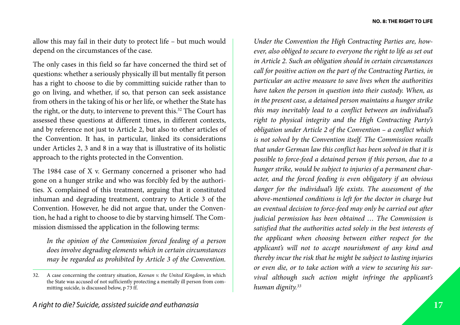allow this may fail in their duty to protect life – but much would depend on the circumstances of the case.

The only cases in this field so far have concerned the third set of questions: whether a seriously physically ill but mentally fit person has a right to choose to die by committing suicide rather than to go on living, and whether, if so, that person can seek assistance from others in the taking of his or her life, or whether the State has the right, or the duty, to intervene to prevent this.32 The Court has assessed these questions at different times, in different contexts, and by reference not just to Article 2, but also to other articles of the Convention. It has, in particular, linked its considerations under Articles 2, 3 and 8 in a way that is illustrative of its holistic approach to the rights protected in the Convention.

The 1984 case of X v. Germany concerned a prisoner who had gone on a hunger strike and who was forcibly fed by the authorities. X complained of this treatment, arguing that it constituted inhuman and degrading treatment, contrary to Article 3 of the Convention. However, he did not argue that, under the Convention, he had a right to choose to die by starving himself. The Commission dismissed the application in the following terms:

In the opinion of the Commission forced feeding of a person does involve degrading elements which in certain circumstances may be regarded as prohibited by Article 3 of the Convention.

Under the Convention the High Contracting Parties are, however, also obliged to secure to everyone the right to life as set out in Article 2. Such an obligation should in certain circumstances call for positive action on the part of the Contracting Parties, in particular an active measure to save lives when the authorities have taken the person in question into their custody. When, as in the present case, a detained person maintains a hunger strike this may inevitably lead to a conflict between an individual's right to physical integrity and the High Contracting Party's obligation under Article 2 of the Convention – a conflict which is not solved by the Convention itself. The Commission recalls that under German law this conflict has been solved in that it is possible to force-feed a detained person if this person, due to a hunger strike, would be subject to injuries of a permanent character, and the forced feeding is even obligatory if an obvious danger for the individual's life exists. The assessment of the above-mentioned conditions is left for the doctor in charge but an eventual decision to force-feed may only be carried out after judicial permission has been obtained … The Commission is satisfied that the authorities acted solely in the best interests of the applicant when choosing between either respect for the applicant's will not to accept nourishment of any kind and thereby incur the risk that he might be subject to lasting injuries or even die, or to take action with a view to securing his survival although such action might infringe the applicant's human dignity.<sup>33</sup>

<sup>32.</sup> A case concerning the contrary situation, Keenan v. the United Kingdom, in which the State was accused of not sufficiently protecting a mentally ill person from committing suicide, is discussed below, p [73](#page-74-1) ff.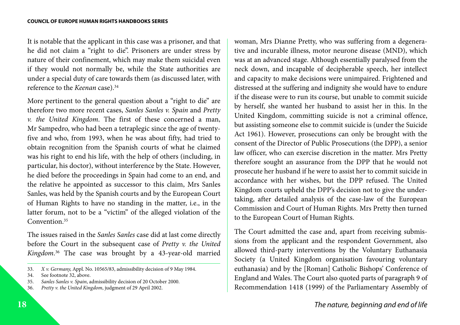It is notable that the applicant in this case was a prisoner, and that he did not claim a "right to die". Prisoners are under stress by nature of their confinement, which may make them suicidal even if they would not normally be, while the State authorities are under a special duty of care towards them (as discussed later, with reference to the Keenan case).34

More pertinent to the general question about a "right to die" are therefore two more recent cases, Sanles Sanles v. Spain and Pretty v. the United Kingdom. The first of these concerned a man, Mr Sampedro, who had been a tetraplegic since the age of twentyfive and who, from 1993, when he was about fifty, had tried to obtain recognition from the Spanish courts of what he claimed was his right to end his life, with the help of others (including, in particular, his doctor), without interference by the State. However, he died before the proceedings in Spain had come to an end, and the relative he appointed as successor to this claim, Mrs Sanles Sanles, was held by the Spanish courts and by the European Court of Human Rights to have no standing in the matter, i.e., in the latter forum, not to be a "victim" of the alleged violation of the Convention.35

The issues raised in the Sanles Sanles case did at last come directly before the Court in the subsequent case of Pretty v. the United Kingdom. 36 The case was brought by a 43-year-old married

33. X v. Germany, Appl. No. 10565/83, admissibility decision of 9 May 1984.

- 35. Sanles Sanles v. Spain, admissibility decision of 20 October 2000.
- 36. Pretty v. the United Kingdom, judgment of 29 April 2002.

woman, Mrs Dianne Pretty, who was suffering from a degenerative and incurable illness, motor neurone disease (MND), which was at an advanced stage. Although essentially paralysed from the neck down, and incapable of decipherable speech, her intellect and capacity to make decisions were unimpaired. Frightened and distressed at the suffering and indignity she would have to endure if the disease were to run its course, but unable to commit suicide by herself, she wanted her husband to assist her in this. In the United Kingdom, committing suicide is not a criminal offence, but assisting someone else to commit suicide is (under the Suicide Act 1961). However, prosecutions can only be brought with the consent of the Director of Public Prosecutions (the DPP), a senior law officer, who can exercise discretion in the matter. Mrs Pretty therefore sought an assurance from the DPP that he would not prosecute her husband if he were to assist her to commit suicide in accordance with her wishes, but the DPP refused. The United Kingdom courts upheld the DPP's decision not to give the undertaking, after detailed analysis of the case-law of the European Commission and Court of Human Rights. Mrs Pretty then turned to the European Court of Human Rights.

The Court admitted the case and, apart from receiving submissions from the applicant and the respondent Government, also allowed third-party interventions by the Voluntary Euthanasia Society (a United Kingdom organisation favouring voluntary euthanasia) and by the [Roman] Catholic Bishops' Conference of England and Wales. The Court also quoted parts of paragraph 9 of Recommendation 1418 (1999) of the Parliamentary Assembly of

<sup>34.</sup> See footnote 32, above.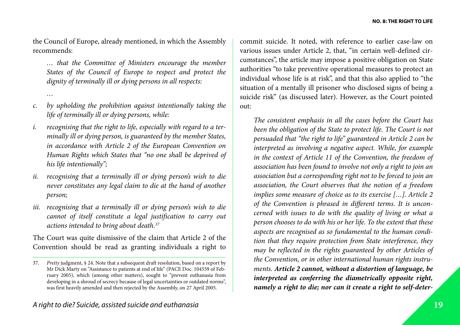the Council of Europe, already mentioned, in which the Assembly recommends:

… that the Committee of Ministers encourage the member States of the Council of Europe to respect and protect the dignity of terminally ill or dying persons in all respects:

- …
- c. by upholding the prohibition against intentionally taking the life of terminally ill or dying persons, while:
- i. recognising that the right to life, especially with regard to a terminally ill or dying person, is guaranteed by the member States, in accordance with Article 2 of the European Convention on Human Rights which States that "no one shall be deprived of his life intentionally";
- ii. recognising that a terminally ill or dying person's wish to die never constitutes any legal claim to die at the hand of another person;
- iii. recognising that a terminally ill or dying person's wish to die cannot of itself constitute a legal justification to carry out actions intended to bring about death.37

The Court was quite dismissive of the claim that Article 2 of the Convention should be read as granting individuals a right to

commit suicide. It noted, with reference to earlier case-law on various issues under Article 2, that, "in certain well-defined circumstances", the article may impose a positive obligation on State authorities "to take preventive operational measures to protect an individual whose life is at risk", and that this also applied to "the situation of a mentally ill prisoner who disclosed signs of being a suicide risk" (as discussed later). However, as the Court pointed out:

The consistent emphasis in all the cases before the Court has been the obligation of the State to protect life. The Court is not persuaded that "the right to life" guaranteed in Article 2 can be interpreted as involving a negative aspect. While, for example in the context of Article 11 of the Convention, the freedom of association has been found to involve not only a right to join an association but a corresponding right not to be forced to join an association, the Court observes that the notion of a freedom implies some measure of choice as to its exercise […]. Article 2 of the Convention is phrased in different terms. It is unconcerned with issues to do with the quality of living or what a person chooses to do with his or her life. To the extent that these aspects are recognised as so fundamental to the human condition that they require protection from State interference, they may be reflected in the rights guaranteed by other Articles of the Convention, or in other international human rights instruments. *Article 2 cannot, without a distortion of language, be interpreted as conferring the diametrically opposite right, namely a right to die; nor can it create a right to self-deter-*

<sup>37.</sup> Pretty judgment, § 24. Note that a subsequent draft resolution, based on a report by Mr Dick Marty on "Assistance to patients at end of life" (PACE Doc. 104559 of February 2005), which (among other matters), sought to "prevent euthanasia from developing in a shroud of secrecy because of legal uncertainties or outdated norms", was first heavily amended and then rejected by the Assembly, on 27 April 2005.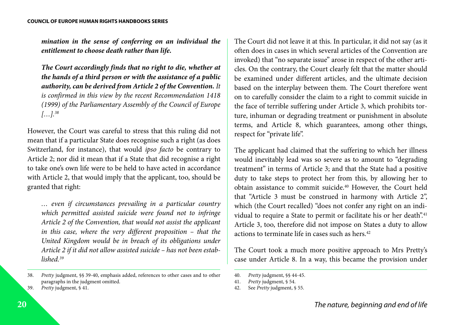*mination in the sense of conferring on an individual the entitlement to choose death rather than life.*

*The Court accordingly finds that no right to die, whether at the hands of a third person or with the assistance of a public authority, can be derived from Article 2 of the Convention.* It is confirmed in this view by the recent Recommendation 1418 (1999) of the Parliamentary Assembly of the Council of Europe  $[\ldots]$ .<sup>38</sup>

However, the Court was careful to stress that this ruling did not mean that if a particular State does recognise such a right (as does Switzerland, for instance), that would ipso facto be contrary to Article 2; nor did it mean that if a State that did recognise a right to take one's own life were to be held to have acted in accordance with Article 2, that would imply that the applicant, too, should be granted that right:

… even if circumstances prevailing in a particular country which permitted assisted suicide were found not to infringe Article 2 of the Convention, that would not assist the applicant in this case, where the very different proposition – that the United Kingdom would be in breach of its obligations under Article 2 if it did not allow assisted suicide – has not been established.<sup>39</sup>

The Court did not leave it at this. In particular, it did not say (as it often does in cases in which several articles of the Convention are invoked) that "no separate issue" arose in respect of the other articles. On the contrary, the Court clearly felt that the matter should be examined under different articles, and the ultimate decision based on the interplay between them. The Court therefore went on to carefully consider the claim to a right to commit suicide in the face of terrible suffering under Article 3, which prohibits torture, inhuman or degrading treatment or punishment in absolute terms, and Article 8, which guarantees, among other things, respect for "private life".

The applicant had claimed that the suffering to which her illness would inevitably lead was so severe as to amount to "degrading treatment" in terms of Article 3; and that the State had a positive duty to take steps to protect her from this, by allowing her to obtain assistance to commit suicide.40 However, the Court held that "Article 3 must be construed in harmony with Article 2", which (the Court recalled) "does not confer any right on an individual to require a State to permit or facilitate his or her death".41 Article 3, too, therefore did not impose on States a duty to allow actions to terminate life in cases such as hers  $42$ 

The Court took a much more positive approach to Mrs Pretty's case under Article 8. In a way, this became the provision under

<sup>38.</sup> Pretty judgment, §§ 39-40, emphasis added, references to other cases and to other paragraphs in the judgment omitted.

<sup>39.</sup> Pretty judgment, § 41.

<sup>40.</sup> Pretty judgment, §§ 44-45.

<sup>41.</sup> Pretty judgment, § 54.

<sup>42.</sup> See Pretty judgment, § 55.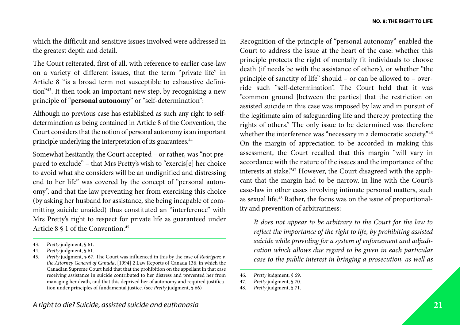which the difficult and sensitive issues involved were addressed in the greatest depth and detail.

The Court reiterated, first of all, with reference to earlier case-law on a variety of different issues, that the term "private life" in Article 8 "is a broad term not susceptible to exhaustive definition"43. It then took an important new step, by recognising a new principle of "**personal autonomy**" or "self-determination":

Although no previous case has established as such any right to selfdetermination as being contained in Article 8 of the Convention, the Court considers that the notion of personal autonomy is an important principle underlying the interpretation of its guarantees.<sup>44</sup>

Somewhat hesitantly, the Court accepted – or rather, was "not prepared to exclude" – that Mrs Pretty's wish to "exercis[e] her choice to avoid what she considers will be an undignified and distressing end to her life" was covered by the concept of "personal autonomy", and that the law preventing her from exercising this choice (by asking her husband for assistance, she being incapable of committing suicide unaided) thus constituted an "interference" with Mrs Pretty's right to respect for private life as guaranteed under Article 8 § 1 of the Convention.45

Recognition of the principle of "personal autonomy" enabled the Court to address the issue at the heart of the case: whether this principle protects the right of mentally fit individuals to choose death (if needs be with the assistance of others), or whether "the principle of sanctity of life" should – or can be allowed to – override such "self-determination". The Court held that it was "common ground [between the parties] that the restriction on assisted suicide in this case was imposed by law and in pursuit of the legitimate aim of safeguarding life and thereby protecting the rights of others." The only issue to be determined was therefore whether the interference was "necessary in a democratic society."46 On the margin of appreciation to be accorded in making this assessment, the Court recalled that this margin "will vary in accordance with the nature of the issues and the importance of the interests at stake."47 However, the Court disagreed with the applicant that the margin had to be narrow, in line with the Court's case-law in other cases involving intimate personal matters, such as sexual life.48 Rather, the focus was on the issue of proportionality and prevention of arbitrariness:

It does not appear to be arbitrary to the Court for the law to reflect the importance of the right to life, by prohibiting assisted suicide while providing for a system of enforcement and adjudication which allows due regard to be given in each particular case to the public interest in bringing a prosecution, as well as

<sup>43.</sup> Pretty judgment, § 61.

<sup>44.</sup> Pretty judgment, § 61.

<sup>45.</sup> Pretty judgment, § 67. The Court was influenced in this by the case of Rodriguez v. the Attorney General of Canada, [1994] 2 Law Reports of Canada 136, in which the Canadian Supreme Court held that that the prohibition on the appellant in that case receiving assistance in suicide contributed to her distress and prevented her from managing her death, and that this deprived her of autonomy and required justification under principles of fundamental justice. (see Pretty judgment, § 66)

<sup>46.</sup> Pretty judgment, § 69.

<sup>47.</sup> Pretty judgment, § 70.

<sup>48.</sup> Pretty judgment, § 71.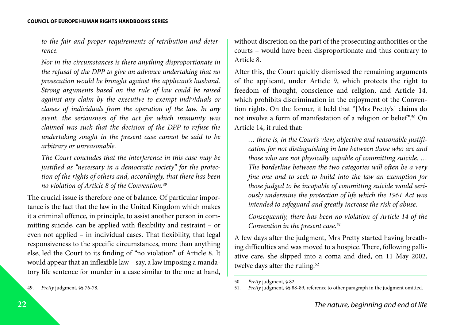to the fair and proper requirements of retribution and deterrence.

Nor in the circumstances is there anything disproportionate in the refusal of the DPP to give an advance undertaking that no prosecution would be brought against the applicant's husband. Strong arguments based on the rule of law could be raised against any claim by the executive to exempt individuals or classes of individuals from the operation of the law. In any event, the seriousness of the act for which immunity was claimed was such that the decision of the DPP to refuse the undertaking sought in the present case cannot be said to be arbitrary or unreasonable.

The Court concludes that the interference in this case may be justified as "necessary in a democratic society" for the protection of the rights of others and, accordingly, that there has been no violation of Article 8 of the Convention.<sup>49</sup>

The crucial issue is therefore one of balance. Of particular importance is the fact that the law in the United Kingdom which makes it a criminal offence, in principle, to assist another person in committing suicide, can be applied with flexibility and restraint – or even not applied – in individual cases. That flexibility, that legal responsiveness to the specific circumstances, more than anything else, led the Court to its finding of "no violation" of Article 8. It would appear that an inflexible law – say, a law imposing a mandatory life sentence for murder in a case similar to the one at hand, without discretion on the part of the prosecuting authorities or the courts – would have been disproportionate and thus contrary to Article 8.

After this, the Court quickly dismissed the remaining arguments of the applicant, under Article 9, which protects the right to freedom of thought, conscience and religion, and Article 14, which prohibits discrimination in the enjoyment of the Convention rights. On the former, it held that "[Mrs Pretty's] claims do not involve a form of manifestation of a religion or belief".<sup>50</sup> On Article 14, it ruled that:

… there is, in the Court's view, objective and reasonable justification for not distinguishing in law between those who are and those who are not physically capable of committing suicide. … The borderline between the two categories will often be a very fine one and to seek to build into the law an exemption for those judged to be incapable of committing suicide would seriously undermine the protection of life which the 1961 Act was intended to safeguard and greatly increase the risk of abuse.

Consequently, there has been no violation of Article 14 of the Convention in the present case.<sup>51</sup>

A few days after the judgment, Mrs Pretty started having breathing difficulties and was moved to a hospice. There, following palliative care, she slipped into a coma and died, on 11 May 2002, twelve days after the ruling.<sup>52</sup>

<sup>50.</sup> Pretty judgment, § 82.

<sup>51.</sup> Pretty judgment, §§ 88-89, reference to other paragraph in the judgment omitted.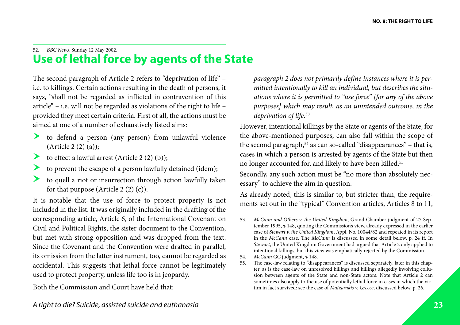#### <span id="page-24-1"></span><span id="page-24-0"></span>**Use of lethal force by agents of the State** 52. BBC News, Sunday 12 May 2002.

The second paragraph of Article 2 refers to "deprivation of life" – i.e. to killings. Certain actions resulting in the death of persons, it says, "shall not be regarded as inflicted in contravention of this article" – i.e. will not be regarded as violations of the right to life – provided they meet certain criteria. First of all, the actions must be aimed at one of a number of exhaustively listed aims:

- to defend a person (any person) from unlawful violence (Article 2 (2) (a));
- to effect a lawful arrest (Article 2  $(2)$  (b));
- to prevent the escape of a person lawfully detained (idem);
- to quell a riot or insurrection through action lawfully taken for that purpose (Article 2 $(2)(c)$ ).

It is notable that the use of force to protect property is not included in the list. It was originally included in the drafting of the corresponding article, Article 6, of the International Covenant on Civil and Political Rights, the sister document to the Convention, but met with strong opposition and was dropped from the text. Since the Covenant and the Convention were drafted in parallel, its omission from the latter instrument, too, cannot be regarded as accidental. This suggests that lethal force cannot be legitimately used to protect property, unless life too is in jeopardy.

Both the Commission and Court have held that:

paragraph 2 does not primarily define instances where it is permitted intentionally to kill an individual, but describes the situations where it is permitted to "use force" [for any of the above purposes] which may result, as an unintended outcome, in the deprivation of life.<sup>53</sup>

However, intentional killings by the State or agents of the State, for the above-mentioned purposes, can also fall within the scope of the second paragraph,<sup>54</sup> as can so-called "disappearances" – that is, cases in which a person is arrested by agents of the State but then no longer accounted for, and likely to have been killed.55

Secondly, any such action must be "no more than absolutely necessary" to achieve the aim in question.

As already noted, this is similar to, but stricter than, the requirements set out in the "typical" Convention articles, Articles 8 to 11,

54. McCann GC judgment, § 148.

<sup>53.</sup> McCann and Others v. the United Kingdom, Grand Chamber judgment of 27 September 1995, § 148, quoting the Commission's view, already expressed in the earlier case of Stewart v. the United Kingdom, Appl. No. 10044/82 and repeated in its report in the McCann case. The McCann is discussed in some detail below, p. [24](#page-25-0) ff. In Stewart, the United Kingdom Government had argued that Article 2 only applied to intentional killings, but this view was emphatically rejected by the Commission.

<sup>55.</sup> The case-law relating to "disappearances" is discussed separately, later in this chapter, as is the case-law on unresolved killings and killings allegedly involving collusion between agents of the State and non-State actors. Note that Article 2 can sometimes also apply to the use of potentially lethal force in cases in which the victim in fact survived: see the case of Matzarakis v. Greece, discussed below, p. [26](#page-27-0).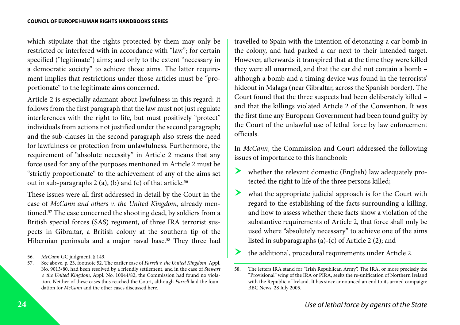which stipulate that the rights protected by them may only be restricted or interfered with in accordance with "law"; for certain specified ("legitimate") aims; and only to the extent "necessary in a democratic society" to achieve those aims. The latter requirement implies that restrictions under those articles must be "proportionate" to the legitimate aims concerned.

Article 2 is especially adamant about lawfulness in this regard: It follows from the first paragraph that the law must not just regulate interferences with the right to life, but must positively "protect" individuals from actions not justified under the second paragraph; and the sub-clauses in the second paragraph also stress the need for lawfulness or protection from unlawfulness. Furthermore, the requirement of "absolute necessity" in Article 2 means that any force used for any of the purposes mentioned in Article 2 must be "strictly proportionate" to the achievement of any of the aims set out in sub-paragraphs  $2(a)$ , (b) and (c) of that article.<sup>56</sup>

These issues were all first addressed in detail by the Court in the case of McCann and others v. the United Kingdom, already mentioned.57 The case concerned the shooting dead, by soldiers from a British special forces (SAS) regiment, of three IRA terrorist suspects in Gibraltar, a British colony at the southern tip of the Hibernian peninsula and a major naval base.<sup>58</sup> They three had

travelled to Spain with the intention of detonating a car bomb in the colony, and had parked a car next to their intended target. However, afterwards it transpired that at the time they were killed they were all unarmed, and that the car did not contain a bomb – although a bomb and a timing device was found in the terrorists' hideout in Malaga (near Gibraltar, across the Spanish border). The Court found that the three suspects had been deliberately killed – and that the killings violated Article 2 of the Convention. It was the first time any European Government had been found guilty by the Court of the unlawful use of lethal force by law enforcement officials.

In McCann, the Commission and Court addressed the following issues of importance to this handbook:

- whether the relevant domestic (English) law adequately protected the right to life of the three persons killed;
- what the appropriate judicial approach is for the Court with regard to the establishing of the facts surrounding a killing, and how to assess whether these facts show a violation of the substantive requirements of Article 2, that force shall only be used where "absolutely necessary" to achieve one of the aims listed in subparagraphs (a)-(c) of Article 2 (2); and
- the additional, procedural requirements under Article 2.

<span id="page-25-0"></span><sup>57.</sup> See above, [p. 23, footnote 52.](#page-24-1) The earlier case of Farrell v. the United Kingdom, Appl. No. 9013/80, had been resolved by a friendly settlement, and in the case of Stewart v. the United Kingdom, Appl. No. 10044/82, the Commission had found no violation. Neither of these cases thus reached the Court, although Farrell laid the foundation for McCann and the other cases discussed here.

<sup>58.</sup> The letters IRA stand for "Irish Republican Army". The IRA, or more precisely the "Provisional" wing of the IRA or PIRA, seeks the re-unification of Northern Ireland with the Republic of Ireland. It has since announced an end to its armed campaign: BBC News, 28 July 2005.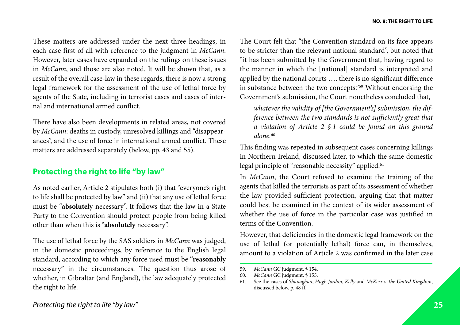These matters are addressed under the next three headings, in each case first of all with reference to the judgment in McCann. However, later cases have expanded on the rulings on these issues in McCann, and those are also noted. It will be shown that, as a result of the overall case-law in these regards, there is now a strong legal framework for the assessment of the use of lethal force by agents of the State, including in terrorist cases and cases of internal and international armed conflict.

There have also been developments in related areas, not covered by McCann: deaths in custody, unresolved killings and "disappearances", and the use of force in international armed conflict. These matters are addressed separately (below, pp. [43](#page-44-0) and [55](#page-56-0)).

#### <span id="page-26-0"></span>**Protecting the right to life "by law"**

As noted earlier, Article 2 stipulates both (i) that "everyone's right to life shall be protected by law" and (ii) that any use of lethal force must be "**absolutely** necessary". It follows that the law in a State Party to the Convention should protect people from being killed other than when this is "**absolutely** necessary".

The use of lethal force by the SAS soldiers in *McCann* was judged, in the domestic proceedings, by reference to the English legal standard, according to which any force used must be "**reasonably** necessary" in the circumstances. The question thus arose of whether, in Gibraltar (and England), the law adequately protected the right to life.

The Court felt that "the Convention standard on its face appears to be stricter than the relevant national standard", but noted that "it has been submitted by the Government that, having regard to the manner in which the [national] standard is interpreted and applied by the national courts …, there is no significant difference in substance between the two concepts."59 Without endorsing the Government's submission, the Court nonetheless concluded that,

whatever the validity of [the Government's] submission, the difference between the two standards is not sufficiently great that a violation of Article 2 § 1 could be found on this ground  $alone<sup>60</sup>$ 

This finding was repeated in subsequent cases concerning killings in Northern Ireland, discussed later, to which the same domestic legal principle of "reasonable necessity" applied.<sup>61</sup>

In McCann, the Court refused to examine the training of the agents that killed the terrorists as part of its assessment of whether the law provided sufficient protection, arguing that that matter could best be examined in the context of its wider assessment of whether the use of force in the particular case was justified in terms of the Convention.

However, that deficiencies in the domestic legal framework on the use of lethal (or potentially lethal) force can, in themselves, amount to a violation of Article 2 was confirmed in the later case

<sup>59.</sup> McCann GC judgment, § 154.

<sup>60.</sup> McCann GC judgment, § 155.

<sup>61.</sup> See the cases of Shanaghan, Hugh Jordan, Kelly and McKerr v. the United Kingdom, discussed below, p. [48](#page-49-0) ff.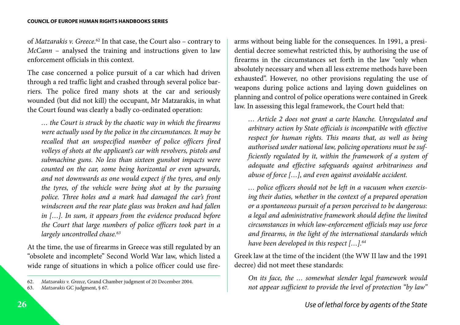of Matzarakis v. Greece. 62 In that case, the Court also – contrary to McCann – analysed the training and instructions given to law enforcement officials in this context.

The case concerned a police pursuit of a car which had driven through a red traffic light and crashed through several police barriers. The police fired many shots at the car and seriously wounded (but did not kill) the occupant, Mr Matzarakis, in what the Court found was clearly a badly co-ordinated operation:

… the Court is struck by the chaotic way in which the firearms were actually used by the police in the circumstances. It may be recalled that an unspecified number of police officers fired volleys of shots at the applicant's car with revolvers, pistols and submachine guns. No less than sixteen gunshot impacts were counted on the car, some being horizontal or even upwards, and not downwards as one would expect if the tyres, and only the tyres, of the vehicle were being shot at by the pursuing police. Three holes and a mark had damaged the car's front windscreen and the rear plate glass was broken and had fallen in […]. In sum, it appears from the evidence produced before the Court that large numbers of police officers took part in a largely uncontrolled chase.<sup>63</sup>

At the time, the use of firearms in Greece was still regulated by an "obsolete and incomplete" Second World War law, which listed a wide range of situations in which a police officer could use fire-

<span id="page-27-0"></span>62. Matzarakis v. Greece, Grand Chamber judgment of 20 December 2004.

63. Matzarakis GC judgment, § 67.

arms without being liable for the consequences. In 1991, a presidential decree somewhat restricted this, by authorising the use of firearms in the circumstances set forth in the law "only when absolutely necessary and when all less extreme methods have been exhausted". However, no other provisions regulating the use of weapons during police actions and laying down guidelines on planning and control of police operations were contained in Greek law. In assessing this legal framework, the Court held that:

… Article 2 does not grant a carte blanche. Unregulated and arbitrary action by State officials is incompatible with effective respect for human rights. This means that, as well as being authorised under national law, policing operations must be sufficiently regulated by it, within the framework of a system of adequate and effective safeguards against arbitrariness and abuse of force […], and even against avoidable accident.

… police officers should not be left in a vacuum when exercising their duties, whether in the context of a prepared operation or a spontaneous pursuit of a person perceived to be dangerous: a legal and administrative framework should define the limited circumstances in which law-enforcement officials may use force and firearms, in the light of the international standards which have been developed in this respect  $[...]$ .<sup>64</sup>

Greek law at the time of the incident (the WW II law and the 1991 decree) did not meet these standards:

On its face, the … somewhat slender legal framework would not appear sufficient to provide the level of protection "by law"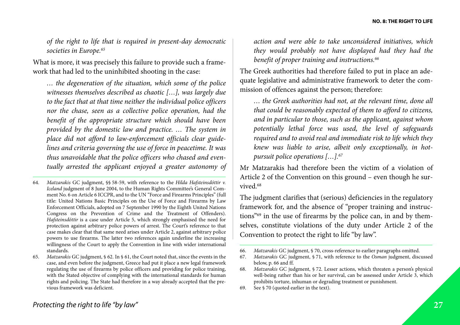of the right to life that is required in present-day democratic societies in Europe.<sup>65</sup>

What is more, it was precisely this failure to provide such a framework that had led to the uninhibited shooting in the case:

… the degeneration of the situation, which some of the police witnesses themselves described as chaotic […], was largely due to the fact that at that time neither the individual police officers nor the chase, seen as a collective police operation, had the benefit of the appropriate structure which should have been provided by the domestic law and practice. … The system in place did not afford to law-enforcement officials clear guidelines and criteria governing the use of force in peacetime. It was thus unavoidable that the police officers who chased and eventually arrested the applicant enjoyed a greater autonomy of action and were able to take unconsidered initiatives, which they would probably not have displayed had they had the benefit of proper training and instructions.<sup>66</sup>

The Greek authorities had therefore failed to put in place an adequate legislative and administrative framework to deter the commission of offences against the person; therefore:

… the Greek authorities had not, at the relevant time, done all that could be reasonably expected of them to afford to citizens, and in particular to those, such as the applicant, against whom potentially lethal force was used, the level of safeguards required and to avoid real and immediate risk to life which they knew was liable to arise, albeit only exceptionally, in hotpursuit police operations […].67

Mr Matzarakis had therefore been the victim of a violation of Article 2 of the Convention on this ground – even though he survived.68

The judgment clarifies that (serious) deficiencies in the regulatory framework for, and the absence of "proper training and instructions"69 in the use of firearms by the police can, in and by themselves, constitute violations of the duty under Article 2 of the Convention to protect the right to life "by law".

66. Matzarakis GC judgment, § 70, cross-reference to earlier paragraphs omitted.

<sup>64.</sup> Matzarakis GC judgment, §§ 58-59, with reference to the Hilda Hafsteinsdóttir v. Iceland judgment of 8 June 2004, to the Human Rights Committee's General Comment No. 6 on Article 6 ICCPR, and to the UN "Force and Firearms Principles" (full title: United Nations Basic Principles on the Use of Force and Firearms by Law Enforcement Officials, adopted on 7 September 1990 by the Eighth United Nations Congress on the Prevention of Crime and the Treatment of Offenders). Hafsteinsdóttir is a case under Article 5, which strongly emphasised the need for protection against arbitrary police powers of arrest. The Court's reference to that case makes clear that that same need arises under Article 2, against arbitrary police powers to use firearms. The latter two references again underline the increasing willingness of the Court to apply the Convention in line with wider international standards.

<sup>65.</sup> Matzarakis GC judgment, § 62. In § 61, the Court noted that, since the events in the case, and even before the judgment, Greece had put it place a new legal framework regulating the use of firearms by police officers and providing for police training, with the Stated objective of complying with the international standards for human rights and policing. The State had therefore in a way already accepted that the previous framework was deficient.

<sup>67.</sup> Matzarakis GC judgment, § 71, with reference to the Osman judgment, discussed below, p. [66](#page-67-1) and ff.

<sup>68.</sup> Matzarakis GC judgment, § 72. Lesser actions, which threaten a person's physical well-being rather than his or her survival, can be assessed under Article 3, which prohibits torture, inhuman or degrading treatment or punishment.

<sup>69.</sup> See § 70 (quoted earlier in the text).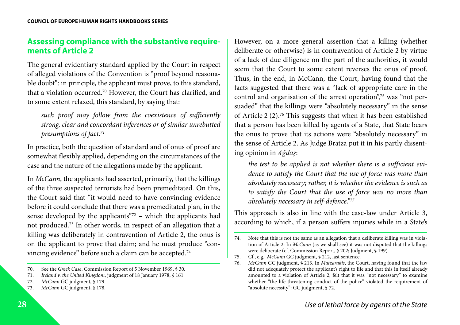## <span id="page-29-0"></span>**Assessing compliance with the substantive requirements of Article 2**

The general evidentiary standard applied by the Court in respect of alleged violations of the Convention is "proof beyond reasonable doubt": in principle, the applicant must prove, to this standard, that a violation occurred.70 However, the Court has clarified, and to some extent relaxed, this standard, by saying that:

such proof may follow from the coexistence of sufficiently strong, clear and concordant inferences or of similar unrebutted presumptions of fact.<sup>71</sup>

In practice, both the question of standard and of onus of proof are somewhat flexibly applied, depending on the circumstances of the case and the nature of the allegations made by the applicant.

In McCann, the applicants had asserted, primarily, that the killings of the three suspected terrorists had been premeditated. On this, the Court said that "it would need to have convincing evidence before it could conclude that there was a premeditated plan, in the sense developed by the applicants" $72 -$  which the applicants had not produced.73 In other words, in respect of an allegation that a killing was deliberately in contravention of Article 2, the onus is on the applicant to prove that claim; and he must produce "convincing evidence" before such a claim can be accepted.74

71. Ireland v. the United Kingdom, judgment of 18 January 1978, § 161.

However, on a more general assertion that a killing (whether deliberate or otherwise) is in contravention of Article 2 by virtue of a lack of due diligence on the part of the authorities, it would seem that the Court to some extent reverses the onus of proof. Thus, in the end, in McCann, the Court, having found that the facts suggested that there was a "lack of appropriate care in the control and organisation of the arrest operation",75 was "not persuaded" that the killings were "absolutely necessary" in the sense of Article 2 (2).76 This suggests that when it has been established that a person has been killed by agents of a State, that State bears the onus to prove that its actions were "absolutely necessary" in the sense of Article 2. As Judge Bratza put it in his partly dissenting opinion in *Ağdaş*:

the test to be applied is not whether there is a sufficient evidence to satisfy the Court that the use of force was more than absolutely necessary; rather, it is whether the evidence is such as to satisfy the Court that the use of force was no more than absolutely necessary in self-defence."77

This approach is also in line with the case-law under Article 3, according to which, if a person suffers injuries while in a State's

<sup>70.</sup> See the Greek Case, Commission Report of 5 November 1969, § 30.

<sup>72.</sup> McCann GC judgment, § 179.

<sup>73.</sup> McCann GC judgment, § 178.

<sup>74.</sup> Note that this is not the same as an allegation that a deliberate killing was in violation of Article 2: In McCann (as we shall see) it was not disputed that the killings were deliberate (cf. Commission Report, § 202; Judgment, § 199).

<sup>75.</sup> Cf., e.g., McCann GC judgment, § 212, last sentence.

<sup>76.</sup> McCann GC judgment, § 213. In Matzarakis, the Court, having found that the law did not adequately protect the applicant's right to life and that this in itself already amounted to a violation of Article 2, felt that it was "not necessary" to examine whether "the life-threatening conduct of the police" violated the requirement of "absolute necessity": GC judgment, § 72.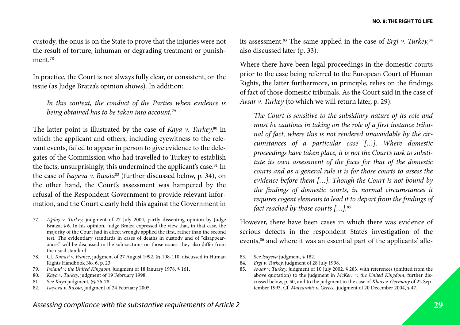custody, the onus is on the State to prove that the injuries were not the result of torture, inhuman or degrading treatment or punishment.78

In practice, the Court is not always fully clear, or consistent, on the issue (as Judge Bratza's opinion shows). In addition:

In this context, the conduct of the Parties when evidence is being obtained has to be taken into account.<sup>79</sup>

The latter point is illustrated by the case of *Kaya v. Turkey*,80 in which the applicant and others, including eyewitness to the relevant events, failed to appear in person to give evidence to the delegates of the Commission who had travelled to Turkey to establish the facts; unsurprisingly, this undermined the applicant's case.<sup>81</sup> In the case of *Isayeva v. Russia*<sup>82</sup> (further discussed below, p. [34](#page-35-0)), on the other hand, the Court's assessment was hampered by the refusal of the Respondent Government to provide relevant information, and the Court clearly held this against the Government in

- 79. Ireland v. the United Kingdom, judgment of 18 January 1978, § 161.
- 80. Kaya v. Turkey, judgment of 19 February 1998.
- 81. See Kaya judgment, §§ 76-78.
- 82. Isayeva v. Russia, judgment of 24 February 2005.

its assessment.<sup>83</sup> The same applied in the case of *Ergi v. Turkey*,<sup>84</sup> also discussed later (p. [33](#page-34-0)).

Where there have been legal proceedings in the domestic courts prior to the case being referred to the European Court of Human Rights, the latter furthermore, in principle, relies on the findings of fact of those domestic tribunals. As the Court said in the case of Avsar v. Turkey (to which we will return later, p. [29](#page-30-0)):

The Court is sensitive to the subsidiary nature of its role and must be cautious in taking on the role of a first instance tribunal of fact, where this is not rendered unavoidable by the circumstances of a particular case […]. Where domestic proceedings have taken place, it is not the Court's task to substitute its own assessment of the facts for that of the domestic courts and as a general rule it is for those courts to assess the evidence before them […]. Though the Court is not bound by the findings of domestic courts, in normal circumstances it requires cogent elements to lead it to depart from the findings of fact reached by those courts  $[...]$ .<sup>85</sup>

However, there have been cases in which there was evidence of serious defects in the respondent State's investigation of the events,<sup>86</sup> and where it was an essential part of the applicants' alle-

83. See Isayeva judgment, § 182.

<sup>77.</sup> *Ağdaş* v. Turkey, judgment of 27 July 2004, partly dissenting opinion by Judge Bratza, § 6. In his opinion, Judge Bratza expressed the view that, in that case, the majority of the Court had in effect wrongly applied the first, rather than the second test. The evidentiary standards in cases of deaths in custody and of "disappearances" will be discussed in the sub-sections on those issues: they also differ from the usual standard.

<sup>78.</sup> Cf. Tomasi v. France, judgment of 27 August 1992, §§ 108-110, discussed in Human Rights Handbook No. 6, p. 23.

<sup>84.</sup> Ergi v. Turkey, judgment of 28 July 1998.

<span id="page-30-0"></span><sup>85.</sup> Avsar v. Turkey, judgment of 10 July 2002, § 283, with references (omitted from the above quotation) to the judgment in McKerr v. the United Kingdom, further discussed below, p. 50, and to the judgment in the case of Klaas v. Germany of 22 September 1993. Cf. Matzarakis v. Greece, judgment of 20 December 2004, § 47.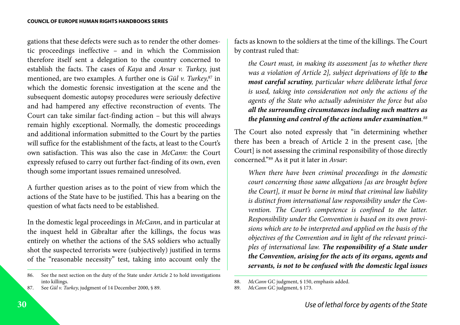gations that these defects were such as to render the other domestic proceedings ineffective – and in which the Commission therefore itself sent a delegation to the country concerned to establish the facts. The cases of Kaya and Avsar v. Turkey, just mentioned, are two examples. A further one is Gül v. Turkey, 87 in which the domestic forensic investigation at the scene and the subsequent domestic autopsy procedures were seriously defective and had hampered any effective reconstruction of events. The Court can take similar fact-finding action – but this will always remain highly exceptional. Normally, the domestic proceedings and additional information submitted to the Court by the parties will suffice for the establishment of the facts, at least to the Court's own satisfaction. This was also the case in McCann: the Court expressly refused to carry out further fact-finding of its own, even though some important issues remained unresolved.

A further question arises as to the point of view from which the actions of the State have to be justified. This has a bearing on the question of what facts need to be established.

In the domestic legal proceedings in McCann, and in particular at the inquest held in Gibraltar after the killings, the focus was entirely on whether the actions of the SAS soldiers who actually shot the suspected terrorists were (subjectively) justified in terms of the "reasonable necessity" test, taking into account only the

87. See Gül v. Turkey, judgment of 14 December 2000, § 89.

facts as known to the soldiers at the time of the killings. The Court by contrast ruled that:

the Court must, in making its assessment [as to whether there was a violation of Article 2], subject deprivations of life to *the most careful scrutiny*, particular where deliberate lethal force is used, taking into consideration not only the actions of the agents of the State who actually administer the force but also *all the surrounding circumstances including such matters as the planning and control of the actions under examination*. 88

The Court also noted expressly that "in determining whether there has been a breach of Article 2 in the present case, [the Court] is not assessing the criminal responsibility of those directly concerned."89 As it put it later in Avsar:

When there have been criminal proceedings in the domestic court concerning those same allegations [as are brought before the Court], it must be borne in mind that criminal law liability is distinct from international law responsibility under the Convention. The Court's competence is confined to the latter. Responsibility under the Convention is based on its own provisions which are to be interpreted and applied on the basis of the objectives of the Convention and in light of the relevant principles of international law. *The responsibility of a State under the Convention, arising for the acts of its organs, agents and servants, is not to be confused with the domestic legal issues*

<sup>86.</sup> See the next section on the duty of the State under Article 2 to hold investigations into killings.

<sup>88.</sup> McCann GC judgment, § 150, emphasis added.

<sup>89.</sup> McCann GC judgment, § 173.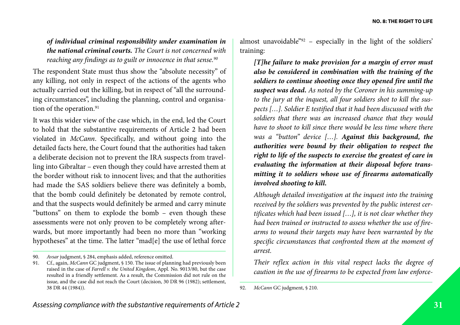*of individual criminal responsibility under examination in the national criminal courts.* The Court is not concerned with reaching any findings as to guilt or innocence in that sense.<sup>90</sup>

The respondent State must thus show the "absolute necessity" of any killing, not only in respect of the actions of the agents who actually carried out the killing, but in respect of "all the surrounding circumstances", including the planning, control and organisation of the operation.<sup>91</sup>

It was this wider view of the case which, in the end, led the Court to hold that the substantive requirements of Article 2 had been violated in McCann. Specifically, and without going into the detailed facts here, the Court found that the authorities had taken a deliberate decision not to prevent the IRA suspects from travelling into Gibraltar – even though they could have arrested them at the border without risk to innocent lives; and that the authorities had made the SAS soldiers believe there was definitely a bomb, that the bomb could definitely be detonated by remote control, and that the suspects would definitely be armed and carry minute "buttons" on them to explode the bomb – even though these assessments were not only proven to be completely wrong afterwards, but more importantly had been no more than "working hypotheses" at the time. The latter "mad[e] the use of lethal force

almost unavoidable"92 – especially in the light of the soldiers' training:

*[T]he failure to make provision for a margin of error must also be considered in combination with the training of the soldiers to continue shooting once they opened fire until the suspect was dead.* As noted by the Coroner in his summing-up to the jury at the inquest, all four soldiers shot to kill the suspects […]. Soldier E testified that it had been discussed with the soldiers that there was an increased chance that they would have to shoot to kill since there would be less time where there was a "button" device […]. *Against this background, the authorities were bound by their obligation to respect the right to life of the suspects to exercise the greatest of care in evaluating the information at their disposal before transmitting it to soldiers whose use of firearms automatically involved shooting to kill.*

Although detailed investigation at the inquest into the training received by the soldiers was prevented by the public interest certificates which had been issued […], it is not clear whether they had been trained or instructed to assess whether the use of firearms to wound their targets may have been warranted by the specific circumstances that confronted them at the moment of arrest.

Their reflex action in this vital respect lacks the degree of caution in the use of firearms to be expected from law enforce-

<sup>90.</sup> Avsar judgment, § 284, emphasis added, reference omitted.

<sup>91.</sup> Cf., again, *McCann* GC judgment, § 150. The issue of planning had previously been raised in the case of Farrell v. the United Kingdom, Appl. No. 9013/80, but the case resulted in a friendly settlement. As a result, the Commission did not rule on the issue, and the case did not reach the Court (decision, 30 DR 96 (1982); settlement, 38 DR 44 (1984)). 92. McCann GC judgment, § 210.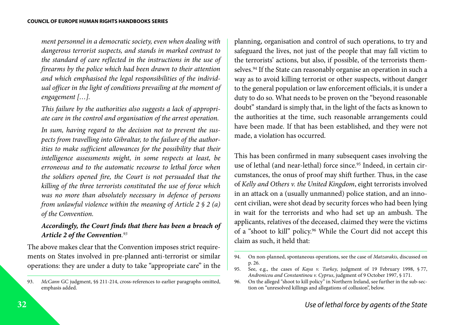ment personnel in a democratic society, even when dealing with dangerous terrorist suspects, and stands in marked contrast to the standard of care reflected in the instructions in the use of firearms by the police which had been drawn to their attention and which emphasised the legal responsibilities of the individual officer in the light of conditions prevailing at the moment of engagement […].

This failure by the authorities also suggests a lack of appropriate care in the control and organisation of the arrest operation.

In sum, having regard to the decision not to prevent the suspects from travelling into Gibraltar, to the failure of the authorities to make sufficient allowances for the possibility that their intelligence assessments might, in some respects at least, be erroneous and to the automatic recourse to lethal force when the soldiers opened fire, the Court is not persuaded that the killing of the three terrorists constituted the use of force which was no more than absolutely necessary in defence of persons from unlawful violence within the meaning of Article  $2 \leq 2$  (a) of the Convention.

#### *Accordingly, the Court finds that there has been a breach of Article 2 of the Convention*. 93

The above makes clear that the Convention imposes strict requirements on States involved in pre-planned anti-terrorist or similar operations: they are under a duty to take "appropriate care" in the planning, organisation and control of such operations, to try and safeguard the lives, not just of the people that may fall victim to the terrorists' actions, but also, if possible, of the terrorists themselves.<sup>94</sup> If the State can reasonably organise an operation in such a way as to avoid killing terrorist or other suspects, without danger to the general population or law enforcement officials, it is under a duty to do so. What needs to be proven on the "beyond reasonable doubt" standard is simply that, in the light of the facts as known to the authorities at the time, such reasonable arrangements could have been made. If that has been established, and they were not made, a violation has occurred.

This has been confirmed in many subsequent cases involving the use of lethal (and near-lethal) force since.<sup>95</sup> Indeed, in certain circumstances, the onus of proof may shift further. Thus, in the case of Kelly and Others v. the United Kingdom, eight terrorists involved in an attack on a (usually unmanned) police station, and an innocent civilian, were shot dead by security forces who had been lying in wait for the terrorists and who had set up an ambush. The applicants, relatives of the deceased, claimed they were the victims of a "shoot to kill" policy.96 While the Court did not accept this claim as such, it held that:

<sup>93.</sup> McCann GC judgment, §§ 211-214, cross-references to earlier paragraphs omitted, emphasis added.

<sup>94.</sup> On non-planned, spontaneous operations, see the case of Matzarakis, discussed on p. [26](#page-27-0).

<sup>95.</sup> See, e.g., the cases of Kaya v. Turkey, judgment of 19 February 1998, § 77, Andronicou and Constantinou v. Cyprus, judgment of 9 October 1997, § 171.

<sup>96.</sup> On the alleged "shoot to kill policy" in Northern Ireland, see further in the sub-section on "unresolved killings and allegations of collusion", below.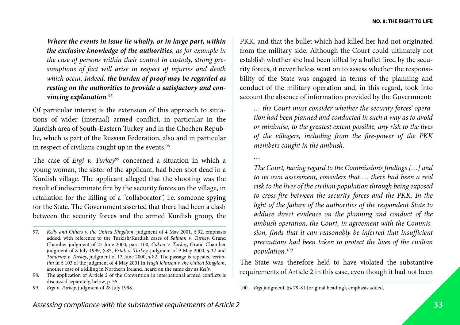*Where the events in issue lie wholly, or in large part, within the exclusive knowledge of the authorities*, as for example in the case of persons within their control in custody, strong presumptions of fact will arise in respect of injuries and death which occur. Indeed, *the burden of proof may be regarded as resting on the authorities to provide a satisfactory and convincing explanation*. 97

Of particular interest is the extension of this approach to situations of wider (internal) armed conflict, in particular in the Kurdish area of South-Eastern Turkey and in the Chechen Republic, which is part of the Russian Federation, also and in particular in respect of civilians caught up in the events.<sup>98</sup>

The case of *Ergi v. Turkey*<sup>99</sup> concerned a situation in which a young woman, the sister of the applicant, had been shot dead in a Kurdish village. The applicant alleged that the shooting was the result of indiscriminate fire by the security forces on the village, in retaliation for the killing of a "collaborator", i.e. someone spying for the State. The Government asserted that there had been a clash between the security forces and the armed Kurdish group, the

97. Kelly and Others v. the United Kingdom, judgment of 4 May 2001, § 92, emphasis added, with reference to the Turkish/Kurdish cases of Salman v. Turkey, Grand Chamber judgment of 27 June 2000, para 100, *Çakıcı v. Turkey*, Grand Chamber judgment of 8 July 1999, § 85, Ertak v. Turkey, judgment of 9 May 2000, § 32 and *Timurtaş v. Turkey*, judgment of 13 June 2000, § 82. The passage is repeated verbatim in § 103 of the judgment of 4 May 2001 in Hugh Johnson v. the United Kingdom, another case of a killing in Northern Ireland, heard on the same day as Kelly.

98. The application of Article 2 of the Convention in international armed conflicts is discussed separately, below, p. [55.](#page-56-0)

PKK, and that the bullet which had killed her had not originated from the military side. Although the Court could ultimately not establish whether she had been killed by a bullet fired by the security forces, it nevertheless went on to assess whether the responsibility of the State was engaged in terms of the planning and conduct of the military operation and, in this regard, took into account the absence of information provided by the Government:

… the Court must consider whether the security forces' operation had been planned and conducted in such a way as to avoid or minimise, to the greatest extent possible, any risk to the lives of the villagers, including from the fire-power of the PKK members caught in the ambush.

The Court, having regard to the Commission's findings […] and to its own assessment, considers that … there had been a real risk to the lives of the civilian population through being exposed to cross-fire between the security forces and the PKK. In the light of the failure of the authorities of the respondent State to adduce direct evidence on the planning and conduct of the ambush operation, the Court, in agreement with the Commission, finds that it can reasonably be inferred that insufficient precautions had been taken to protect the lives of the civilian population.100

The State was therefore held to have violated the substantive requirements of Article 2 in this case, even though it had not been

…

<span id="page-34-0"></span><sup>99.</sup> Ergi v. Turkey, judgment of 28 July 1998. 100. Ergi judgment, §§ 79-81 (original heading), emphasis added.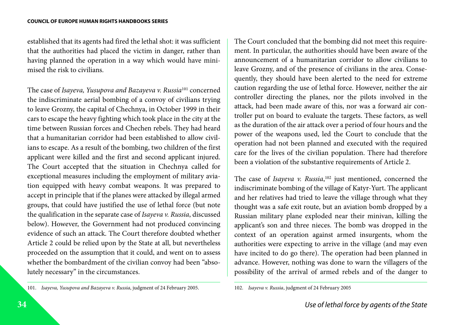established that its agents had fired the lethal shot: it was sufficient that the authorities had placed the victim in danger, rather than having planned the operation in a way which would have minimised the risk to civilians.

The case of Isayeva, Yusupova and Bazayeva v. Russia<sup>101</sup> concerned the indiscriminate aerial bombing of a convoy of civilians trying to leave Grozny, the capital of Chechnya, in October 1999 in their cars to escape the heavy fighting which took place in the city at the time between Russian forces and Chechen rebels. They had heard that a humanitarian corridor had been established to allow civilians to escape. As a result of the bombing, two children of the first applicant were killed and the first and second applicant injured. The Court accepted that the situation in Chechnya called for exceptional measures including the employment of military aviation equipped with heavy combat weapons. It was prepared to accept in principle that if the planes were attacked by illegal armed groups, that could have justified the use of lethal force (but note the qualification in the separate case of Isayeva v. Russia, discussed below). However, the Government had not produced convincing evidence of such an attack. The Court therefore doubted whether Article 2 could be relied upon by the State at all, but nevertheless proceeded on the assumption that it could, and went on to assess whether the bombardment of the civilian convoy had been "absolutely necessary" in the circumstances.

The Court concluded that the bombing did not meet this requirement. In particular, the authorities should have been aware of the announcement of a humanitarian corridor to allow civilians to leave Grozny, and of the presence of civilians in the area. Consequently, they should have been alerted to the need for extreme caution regarding the use of lethal force. However, neither the air controller directing the planes, nor the pilots involved in the attack, had been made aware of this, nor was a forward air controller put on board to evaluate the targets. These factors, as well as the duration of the air attack over a period of four hours and the power of the weapons used, led the Court to conclude that the operation had not been planned and executed with the required care for the lives of the civilian population. There had therefore been a violation of the substantive requirements of Article 2.

The case of Isayeva v. Russia,<sup>102</sup> just mentioned, concerned the indiscriminate bombing of the village of Katyr-Yurt. The applicant and her relatives had tried to leave the village through what they thought was a safe exit route, but an aviation bomb dropped by a Russian military plane exploded near their minivan, killing the applicant's son and three nieces. The bomb was dropped in the context of an operation against armed insurgents, whom the authorities were expecting to arrive in the village (and may even have incited to do go there). The operation had been planned in advance. However, nothing was done to warn the villagers of the possibility of the arrival of armed rebels and of the danger to

<span id="page-35-0"></span><sup>101.</sup> Isayeva, Yusupova and Bazayeva v. Russia, judgment of 24 February 2005. 102. Isayeva v. Russia, judgment of 24 February 2005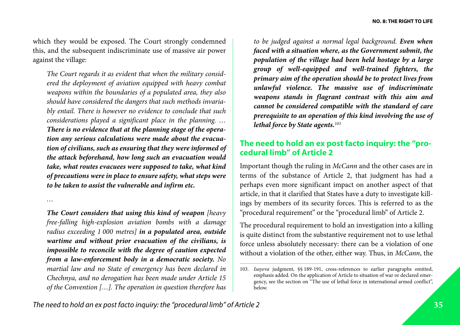which they would be exposed. The Court strongly condemned this, and the subsequent indiscriminate use of massive air power against the village:

The Court regards it as evident that when the military considered the deployment of aviation equipped with heavy combat weapons within the boundaries of a populated area, they also should have considered the dangers that such methods invariably entail. There is however no evidence to conclude that such considerations played a significant place in the planning. … *There is no evidence that at the planning stage of the operation any serious calculations were made about the evacuation of civilians, such as ensuring that they were informed of the attack beforehand, how long such an evacuation would take, what routes evacuees were supposed to take, what kind of precautions were in place to ensure safety, what steps were to be taken to assist the vulnerable and infirm etc.*

**The Court considers that using this kind of weapon** [heavy free-falling high-explosion aviation bombs with a damage radius exceeding 1 000 metres] *in a populated area, outside wartime and without prior evacuation of the civilians, is impossible to reconcile with the degree of caution expected from a law-enforcement body in a democratic society.* No martial law and no State of emergency has been declared in Chechnya, and no derogation has been made under Article 15 of the Convention […]. The operation in question therefore has

…

to be judged against a normal legal background. *Even when faced with a situation where, as the Government submit, the population of the village had been held hostage by a large group of well-equipped and well-trained fighters, the primary aim of the operation should be to protect lives from unlawful violence. The massive use of indiscriminate weapons stands in flagrant contrast with this aim and cannot be considered compatible with the standard of care prerequisite to an operation of this kind involving the use of lethal force by State agents.*<sup>103</sup>

### <span id="page-36-0"></span>**The need to hold an ex post facto inquiry: the "procedural limb" of Article 2**

Important though the ruling in McCann and the other cases are in terms of the substance of Article 2, that judgment has had a perhaps even more significant impact on another aspect of that article, in that it clarified that States have a duty to investigate killings by members of its security forces. This is referred to as the "procedural requirement" or the "procedural limb" of Article 2.

The procedural requirement to hold an investigation into a killing is quite distinct from the substantive requirement not to use lethal force unless absolutely necessary: there can be a violation of one without a violation of the other, either way. Thus, in McCann, the

<sup>103.</sup> Isayeva judgment, §§ 189-191, cross-references to earlier paragraphs omitted, emphasis added. On the application of Article to situation of war or declared emergency, see the section on "The use of lethal force in international armed conflict", below.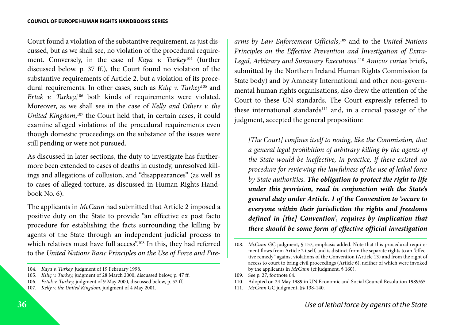Court found a violation of the substantive requirement, as just discussed, but as we shall see, no violation of the procedural requirement. Conversely, in the case of Kaya v. Turkey<sup>104</sup> (further discussed below. p. [37](#page-38-0) ff.), the Court found no violation of the substantive requirements of Article 2, but a violation of its procedural requirements. In other cases, such as *Kılıç v. Turkey*<sup>105</sup> and Ertak v. Turkey,<sup>106</sup> both kinds of requirements were violated. Moreover, as we shall see in the case of Kelly and Others v. the United Kingdom,<sup>107</sup> the Court held that, in certain cases, it could examine alleged violations of the procedural requirements even though domestic proceedings on the substance of the issues were still pending or were not pursued.

As discussed in later sections, the duty to investigate has furthermore been extended to cases of deaths in custody, unresolved killings and allegations of collusion, and "disappearances" (as well as to cases of alleged torture, as discussed in Human Rights Handbook No. 6).

The applicants in McCann had submitted that Article 2 imposed a positive duty on the State to provide "an effective ex post facto procedure for establishing the facts surrounding the killing by agents of the State through an independent judicial process to which relatives must have full access".<sup>108</sup> In this, they had referred to the United Nations Basic Principles on the Use of Force and Fire-

arms by Law Enforcement Officials, 109 and to the United Nations Principles on the Effective Prevention and Investigation of Extra-Legal, Arbitrary and Summary Executions. <sup>110</sup> Amicus curiae briefs, submitted by the Northern Ireland Human Rights Commission (a State body) and by Amnesty International and other non-governmental human rights organisations, also drew the attention of the Court to these UN standards. The Court expressly referred to these international standards<sup>111</sup> and, in a crucial passage of the judgment, accepted the general proposition:

[The Court] confines itself to noting, like the Commission, that a general legal prohibition of arbitrary killing by the agents of the State would be ineffective, in practice, if there existed no procedure for reviewing the lawfulness of the use of lethal force by State authorities. *The obligation to protect the right to life under this provision, read in conjunction with the State's general duty under Article. 1 of the Convention to 'secure to everyone within their jurisdiction the rights and freedoms defined in [the] Convention', requires by implication that there should be some form of effective official investigation*

<sup>104.</sup> Kaya v. Turkey, judgment of 19 February 1998.

<sup>105.</sup> *Kılıç v. Turkey*, judgment of 28 March 2000, discussed below, p. [47](#page-48-0) ff.

<sup>106.</sup> Ertak v. Turkey, judgment of 9 May 2000, discussed below, p. [52](#page-53-0) ff.

<sup>107.</sup> Kelly v. the United Kingdom, judgment of 4 May 2001.

<sup>108.</sup> McCann GC judgment, § 157, emphasis added. Note that this procedural requirement flows from Article 2 itself, and is distinct from the separate rights to an "effective remedy" against violations of the Convention (Article 13) and from the right of access to court to bring civil proceedings (Article 6), neither of which were invoked by the applicants in McCann (cf judgment, § 160).

<sup>109.</sup> See p. 27, footnote 64.

<sup>110.</sup> Adopted on 24 May 1989 in UN Economic and Social Council Resolution 1989/65.

<sup>111.</sup> McCann GC judgment, §§ 138-140.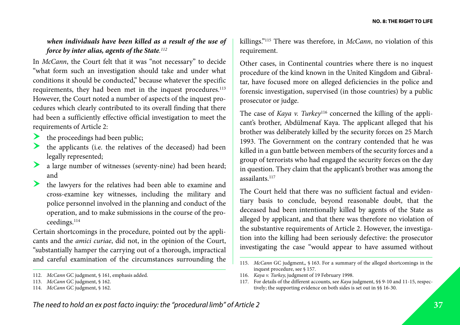#### *when individuals have been killed as a result of the use of force by inter alias, agents of the State*. 112

In McCann, the Court felt that it was "not necessary" to decide "what form such an investigation should take and under what conditions it should be conducted," because whatever the specific requirements, they had been met in the inquest procedures.<sup>113</sup> However, the Court noted a number of aspects of the inquest procedures which clearly contributed to its overall finding that there had been a sufficiently effective official investigation to meet the requirements of Article 2:

- the proceedings had been public;
- the applicants (i.e. the relatives of the deceased) had been legally represented;
- a large number of witnesses (seventy-nine) had been heard; and
- the lawyers for the relatives had been able to examine and cross-examine key witnesses, including the military and police personnel involved in the planning and conduct of the operation, and to make submissions in the course of the proceedings.114

Certain shortcomings in the procedure, pointed out by the applicants and the amici curiae, did not, in the opinion of the Court, "substantially hamper the carrying out of a thorough, impractical and careful examination of the circumstances surrounding the

killings."<sup>115</sup> There was therefore, in *McCann*, no violation of this requirement.

Other cases, in Continental countries where there is no inquest procedure of the kind known in the United Kingdom and Gibraltar, have focused more on alleged deficiencies in the police and forensic investigation, supervised (in those countries) by a public prosecutor or judge.

The case of Kaya v. Turkey<sup>116</sup> concerned the killing of the applicant's brother, Abdülmenaf Kaya. The applicant alleged that his brother was deliberately killed by the security forces on 25 March 1993. The Government on the contrary contended that he was killed in a gun battle between members of the security forces and a group of terrorists who had engaged the security forces on the day in question. They claim that the applicant's brother was among the assailants.117

The Court held that there was no sufficient factual and evidentiary basis to conclude, beyond reasonable doubt, that the deceased had been intentionally killed by agents of the State as alleged by applicant, and that there was therefore no violation of the substantive requirements of Article 2. However, the investigation into the killing had been seriously defective: the prosecutor investigating the case "would appear to have assumed without

<span id="page-38-0"></span>116. Kaya v. Turkey, judgment of 19 February 1998.

<sup>112.</sup> McCann GC judgment, § 161, emphasis added.

<sup>113.</sup> McCann GC judgment, § 162.

<sup>114.</sup> McCann GC judgment, § 162.

<sup>115.</sup> McCann GC judgment,, § 163. For a summary of the alleged shortcomings in the inquest procedure, see § 157.

<sup>117.</sup> For details of the different accounts, see Kaya judgment, §§ 9-10 and 11-15, respectively; the supporting evidence on both sides is set out in §§ 16-30.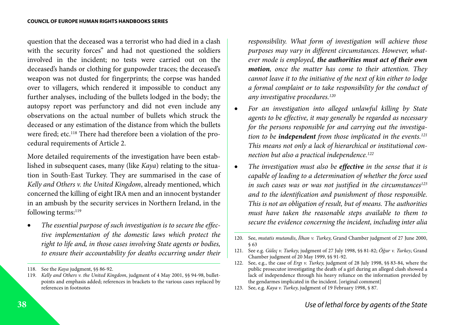question that the deceased was a terrorist who had died in a clash with the security forces" and had not questioned the soldiers involved in the incident; no tests were carried out on the deceased's hands or clothing for gunpowder traces; the deceased's weapon was not dusted for fingerprints; the corpse was handed over to villagers, which rendered it impossible to conduct any further analyses, including of the bullets lodged in the body; the autopsy report was perfunctory and did not even include any observations on the actual number of bullets which struck the deceased or any estimation of the distance from which the bullets were fired; etc.118 There had therefore been a violation of the procedural requirements of Article 2.

More detailed requirements of the investigation have been established in subsequent cases, many (like Kaya) relating to the situation in South-East Turkey. They are summarised in the case of Kelly and Others v. the United Kingdom, already mentioned, which concerned the killing of eight IRA men and an innocent bystander in an ambush by the security services in Northern Ireland, in the following terms:<sup>119</sup>

• The essential purpose of such investigation is to secure the effective implementation of the domestic laws which protect the right to life and, in those cases involving State agents or bodies, to ensure their accountability for deaths occurring under their responsibility. What form of investigation will achieve those purposes may vary in different circumstances. However, whatever mode is employed, *the authorities must act of their own motion*, once the matter has come to their attention. They cannot leave it to the initiative of the next of kin either to lodge a formal complaint or to take responsibility for the conduct of any investigative procedures.120

- For an investigation into alleged unlawful killing by State agents to be effective, it may generally be regarded as necessary for the persons responsible for and carrying out the investigation to be *independent* from those implicated in the events.<sup>121</sup> This means not only a lack of hierarchical or institutional connection but also a practical independence.<sup>122</sup>
- The investigation must also be *effective* in the sense that it is capable of leading to a determination of whether the force used in such cases was or was not justified in the circumstances $123$ and to the identification and punishment of those responsible. This is not an obligation of result, but of means. The authorities must have taken the reasonable steps available to them to secure the evidence concerning the incident, including inter alia

<sup>118.</sup> See the Kaya judgment, §§ 86-92.

<sup>119.</sup> Kelly and Others v. the United Kingdom, judgment of 4 May 2001, §§ 94-98, bulletpoints and emphasis added; references in brackets to the various cases replaced by references in footnotes

<sup>120.</sup> See, mutatis mutandis, *İlhan v.* Turkey, Grand Chamber judgment of 27 June 2000, § 63

<sup>121.</sup> See e.g. Güleç v. Turkey, judgment of 27 July 1998, §§ 81-82; *Öğur v. Turkey*, Grand Chamber judgment of 20 May 1999, §§ 91-92.

<sup>122.</sup> See, e.g., the case of *Ergı* v. Turkey, judgment of 28 July 1998, §§ 83-84, where the public prosecutor investigating the death of a girl during an alleged clash showed a lack of independence through his heavy reliance on the information provided by the gendarmes implicated in the incident. [original comment]

<sup>123.</sup> See, e.g. Kaya v. Turkey, judgment of 19 February 1998, § 87.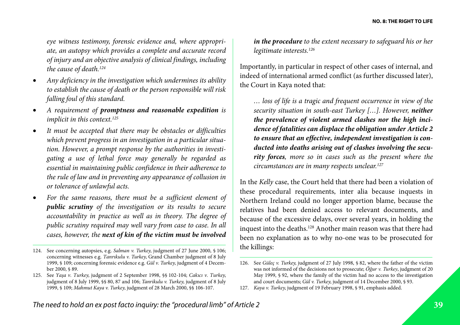eye witness testimony, forensic evidence and, where appropriate, an autopsy which provides a complete and accurate record of injury and an objective analysis of clinical findings, including the cause of death.<sup>124</sup>

- Any deficiency in the investigation which undermines its ability to establish the cause of death or the person responsible will risk falling foul of this standard.
- A requirement of *promptness and reasonable expedition* is implicit in this context.<sup>125</sup>
- It must be accepted that there may be obstacles or difficulties which prevent progress in an investigation in a particular situation. However, a prompt response by the authorities in investigating a use of lethal force may generally be regarded as essential in maintaining public confidence in their adherence to the rule of law and in preventing any appearance of collusion in or tolerance of unlawful acts.
- For the same reasons, there must be a sufficient element of *public scrutiny* of the investigation or its results to secure accountability in practice as well as in theory. The degree of public scrutiny required may well vary from case to case. In all cases, however, the *next of kin of the victim must be involved*

*in the procedure* to the extent necessary to safeguard his or her legitimate interests.<sup>126</sup>

Importantly, in particular in respect of other cases of internal, and indeed of international armed conflict (as further discussed later), the Court in Kaya noted that:

… loss of life is a tragic and frequent occurrence in view of the security situation in south-east Turkey […]. However, *neither the prevalence of violent armed clashes nor the high incidence of fatalities can displace the obligation under Article 2 to ensure that an effective, independent investigation is conducted into deaths arising out of clashes involving the security forces*, more so in cases such as the present where the circumstances are in many respects unclear.127

In the Kelly case, the Court held that there had been a violation of these procedural requirements, inter alia because inquests in Northern Ireland could no longer apportion blame, because the relatives had been denied access to relevant documents, and because of the excessive delays, over several years, in holding the inquest into the deaths.128 Another main reason was that there had been no explanation as to why no-one was to be prosecuted for

<sup>124.</sup> See concerning autopsies, e.g. Salman v. Turkey, judgment of 27 June 2000, § 106; the killings: concerning witnesses e.g. *Tanrıkulu* v. Turkey, Grand Chamber judgment of 8 July 1999, § 109; concerning forensic evidence e.g. Gül v. Turkey, judgment of 4 December 2000, § 89.

<sup>125.</sup> See *Yaşa v. Turkey*, judgment of 2 September 1998, §§ 102-104; *Cakıcı v. Turkey*, judgment of 8 July 1999, §§ 80, 87 and 106; Tanrikulu v. Turkey, judgment of 8 July 1999, § 109; Mahmut Kaya v. Turkey, judgment of 28 March 2000, §§ 106-107.

<sup>126.</sup> See Güleç v. Turkey, judgment of 27 July 1998, § 82, where the father of the victim was not informed of the decisions not to prosecute; *Öğur v. Turkey*, judgment of 20 May 1999, § 92, where the family of the victim had no access to the investigation and court documents; Gül v. Turkey, judgment of 14 December 2000, § 93.

<sup>127.</sup> Kaya v. Turkey, judgment of 19 February 1998, § 91, emphasis added.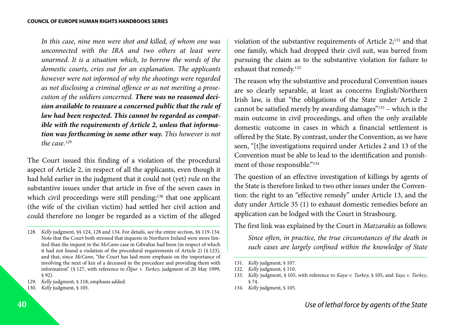In this case, nine men were shot and killed, of whom one was unconnected with the IRA and two others at least were unarmed. It is a situation which, to borrow the words of the domestic courts, cries out for an explanation. The applicants however were not informed of why the shootings were regarded as not disclosing a criminal offence or as not meriting a prosecution of the soldiers concerned. *There was no reasoned decision available to reassure a concerned public that the rule of law had been respected. This cannot be regarded as compatible with the requirements of Article 2, unless that information was forthcoming in some other way.* This however is not the case.129

The Court issued this finding of a violation of the procedural aspect of Article 2, in respect of all the applicants, even though it had held earlier in the judgment that it could not (yet) rule on the substantive issues under that article in five of the seven cases in which civil proceedings were still pending;<sup>130</sup> that one applicant (the wife of the civilian victim) had settled her civil action and could therefore no longer be regarded as a victim of the alleged

128. Kelly judgment, §§ 124, 128 and 134. For details, see the entire section, §§ 119-134. Note that the Court both stressed that inquests in Northern Ireland were more limited than the inquest in the McCann case in Gibraltar had been (in respect of which it had not found a violation of the procedural requirements of Article 2) (§ 123), and that, since McCann, "the Court has laid more emphasis on the importance of involving the next of kin of a deceased in the procedure and providing them with information" (§ 127, with reference to *Öğur v. Turkey*, judgment of 20 May 1999, § 92).

violation of the substantive requirements of Article 2;131 and that one family, which had dropped their civil suit, was barred from pursuing the claim as to the substantive violation for failure to exhaust that remedy.132

The reason why the substantive and procedural Convention issues are so clearly separable, at least as concerns English/Northern Irish law, is that "the obligations of the State under Article 2 cannot be satisfied merely by awarding damages"133 – which is the main outcome in civil proceedings, and often the only available domestic outcome in cases in which a financial settlement is offered by the State. By contrast, under the Convention, as we have seen, "[t]he investigations required under Articles 2 and 13 of the Convention must be able to lead to the identification and punishment of those responsible."134

The question of an effective investigation of killings by agents of the State is therefore linked to two other issues under the Convention: the right to an "effective remedy" under Article 13, and the duty under Article 35 (1) to exhaust domestic remedies before an application can be lodged with the Court in Strasbourg.

The first link was explained by the Court in Matzarakis as follows:

Since often, in practice, the true circumstances of the death in such cases are largely confined within the knowledge of State

134. Kelly judgment, § 105.

<sup>129.</sup> Kelly judgment, § 118, emphasis added.

<sup>130.</sup> Kelly judgment, § 105.

<sup>131.</sup> Kelly judgment, § 107.

<sup>132.</sup> Kelly judgment, § 110.

<sup>133.</sup> Kelly judgment, § 105, with reference to Kaya v. Turkey, § 105, and *Yaşa v. Turkey*, § 74.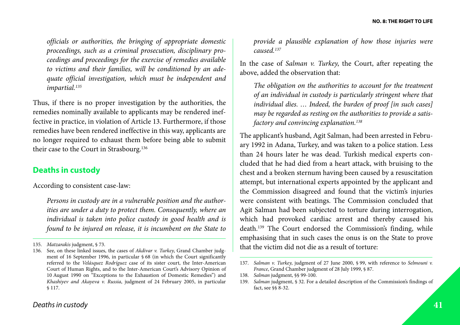officials or authorities, the bringing of appropriate domestic proceedings, such as a criminal prosecution, disciplinary proceedings and proceedings for the exercise of remedies available to victims and their families, will be conditioned by an adequate official investigation, which must be independent and impartial.<sup>135</sup>

Thus, if there is no proper investigation by the authorities, the remedies nominally available to applicants may be rendered ineffective in practice, in violation of Article 13. Furthermore, if those remedies have been rendered ineffective in this way, applicants are no longer required to exhaust them before being able to submit their case to the Court in Strasbourg.136

#### **Deaths in custody**

According to consistent case-law:

Persons in custody are in a vulnerable position and the authorities are under a duty to protect them. Consequently, where an individual is taken into police custody in good health and is found to be injured on release, it is incumbent on the State to provide a plausible explanation of how those injuries were caused.137

In the case of Salman v. Turkey, the Court, after repeating the above, added the observation that:

The obligation on the authorities to account for the treatment of an individual in custody is particularly stringent where that individual dies. … Indeed, the burden of proof [in such cases] may be regarded as resting on the authorities to provide a satisfactory and convincing explanation.<sup>138</sup>

The applicant's husband, Agit Salman, had been arrested in February 1992 in Adana, Turkey, and was taken to a police station. Less than 24 hours later he was dead. Turkish medical experts concluded that he had died from a heart attack, with bruising to the chest and a broken sternum having been caused by a resuscitation attempt, but international experts appointed by the applicant and the Commission disagreed and found that the victim's injuries were consistent with beatings. The Commission concluded that Agit Salman had been subjected to torture during interrogation, which had provoked cardiac arrest and thereby caused his death.139 The Court endorsed the Commission's finding, while emphasising that in such cases the onus is on the State to prove that the victim did not die as a result of torture: 135. Matzarakis judgment, § 73.

<sup>136.</sup> See, on these linked issues, the cases of Akdivar v. Turkey, Grand Chamber judgment of 16 September 1996, in particular § 68 (in which the Court significantly referred to the Velásquez Rodríguez case of its sister court, the Inter-American Court of Human Rights, and to the Inter-American Court's Advisory Opinion of 10 August 1990 on "Exceptions to the Exhaustion of Domestic Remedies") and Khashiyev and Akayeva v. Russia, judgment of 24 February 2005, in particular § 117.

<sup>137.</sup> Salman v. Turkey, judgment of 27 June 2000, § 99, with reference to Selmouni v. France, Grand Chamber judgment of 28 July 1999, § 87.

<sup>138.</sup> Salman judgment, §§ 99-100.

<sup>139.</sup> Salman judgment, § 32. For a detailed description of the Commission's findings of fact, see §§ 8-32.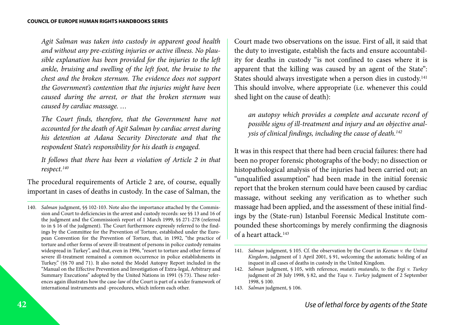Agit Salman was taken into custody in apparent good health and without any pre-existing injuries or active illness. No plausible explanation has been provided for the injuries to the left ankle, bruising and swelling of the left foot, the bruise to the chest and the broken sternum. The evidence does not support the Government's contention that the injuries might have been caused during the arrest, or that the broken sternum was caused by cardiac massage. …

The Court finds, therefore, that the Government have not accounted for the death of Agit Salman by cardiac arrest during his detention at Adana Security Directorate and that the respondent State's responsibility for his death is engaged.

It follows that there has been a violation of Article 2 in that respect.140

The procedural requirements of Article 2 are, of course, equally important in cases of deaths in custody. In the case of Salman, the

Court made two observations on the issue. First of all, it said that the duty to investigate, establish the facts and ensure accountability for deaths in custody "is not confined to cases where it is apparent that the killing was caused by an agent of the State": States should always investigate when a person dies in custody.141 This should involve, where appropriate (i.e. whenever this could shed light on the cause of death):

an autopsy which provides a complete and accurate record of possible signs of ill-treatment and injury and an objective analysis of clinical findings, including the cause of death.<sup>142</sup>

It was in this respect that there had been crucial failures: there had been no proper forensic photographs of the body; no dissection or histopathological analysis of the injuries had been carried out; an "unqualified assumption" had been made in the initial forensic report that the broken sternum could have been caused by cardiac massage, without seeking any verification as to whether such massage had been applied, and the assessment of these initial findings by the (State-run) Istanbul Forensic Medical Institute compounded these shortcomings by merely confirming the diagnosis of a heart attack.143

<sup>140.</sup> Salman judgment, §§ 102-103. Note also the importance attached by the Commission and Court to deficiencies in the arrest and custody records: see §§ 13 and 16 of the judgment and the Commission's report of 1 March 1999, §§ 271-278 (referred to in § 16 of the judgment). The Court furthermore expressly referred to the findings by the Committee for the Prevention of Torture, established under the European Convention for the Prevention of Torture, that, in 1992, "the practice of torture and other forms of severe ill-treatment of persons in police custody remains widespread in Turkey", and that, even in 1996, "resort to torture and other forms of severe ill-treatment remained a common occurrence in police establishments in Turkey." (§§ 70 and 71). It also noted the Model Autopsy Report included in the "Manual on the Effective Prevention and Investigation of Extra-legal, Arbitrary and Summary Executions" adopted by the United Nations in 1991 (§ 73). These references again illustrates how the case-law of the Court is part of a wider framework of international instruments and -procedures, which inform each other.

<sup>141.</sup> Salman judgment, § 105. Cf. the observation by the Court in Keenan v. the United Kingdom, judgment of 1 April 2001, § 91, welcoming the automatic holding of an inquest in all cases of deaths in custody in the United Kingdom.

<sup>142.</sup> Salman judgment, § 105, with reference, mutatis mutandis, to the Ergi v. Turkey judgment of 28 July 1998, § 82, and the *Yaşa v. Turkey* judgment of 2 September 1998, § 100.

<sup>143.</sup> Salman judgment, § 106.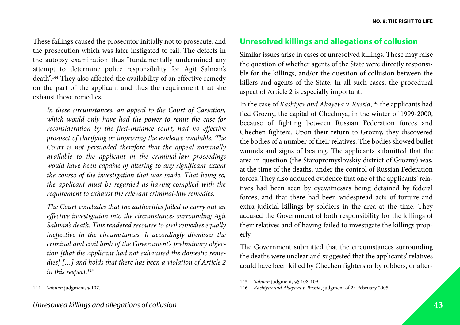These failings caused the prosecutor initially not to prosecute, and the prosecution which was later instigated to fail. The defects in the autopsy examination thus "fundamentally undermined any attempt to determine police responsibility for Agit Salman's death".144 They also affected the availability of an effective remedy on the part of the applicant and thus the requirement that she exhaust those remedies.

In these circumstances, an appeal to the Court of Cassation, which would only have had the power to remit the case for reconsideration by the first-instance court, had no effective prospect of clarifying or improving the evidence available. The Court is not persuaded therefore that the appeal nominally available to the applicant in the criminal-law proceedings would have been capable of altering to any significant extent the course of the investigation that was made. That being so, the applicant must be regarded as having complied with the requirement to exhaust the relevant criminal-law remedies.

The Court concludes that the authorities failed to carry out an effective investigation into the circumstances surrounding Agit Salman's death. This rendered recourse to civil remedies equally ineffective in the circumstances. It accordingly dismisses the criminal and civil limb of the Government's preliminary objection [that the applicant had not exhausted the domestic remedies] […] and holds that there has been a violation of Article 2 in this respect.<sup>145</sup>

## **Unresolved killings and allegations of collusion**

Similar issues arise in cases of unresolved killings. These may raise the question of whether agents of the State were directly responsible for the killings, and/or the question of collusion between the killers and agents of the State. In all such cases, the procedural aspect of Article 2 is especially important.

In the case of *Kashiyev and Akayeva v. Russia*,<sup>146</sup> the applicants had fled Grozny, the capital of Chechnya, in the winter of 1999-2000, because of fighting between Russian Federation forces and Chechen fighters. Upon their return to Grozny, they discovered the bodies of a number of their relatives. The bodies showed bullet wounds and signs of beating. The applicants submitted that the area in question (the Staropromyslovskiy district of Grozny) was, at the time of the deaths, under the control of Russian Federation forces. They also adduced evidence that one of the applicants' relatives had been seen by eyewitnesses being detained by federal forces, and that there had been widespread acts of torture and extra-judicial killings by soldiers in the area at the time. They accused the Government of both responsibility for the killings of their relatives and of having failed to investigate the killings properly.

The Government submitted that the circumstances surrounding the deaths were unclear and suggested that the applicants' relatives could have been killed by Chechen fighters or by robbers, or alter-

<sup>144.</sup> Salman judgment, § 107.

<sup>145.</sup> Salman judgment, §§ 108-109.

<sup>146.</sup> Kashiyev and Akayeva v. Russia, judgment of 24 February 2005.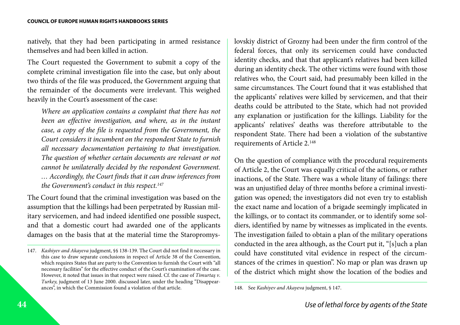natively, that they had been participating in armed resistance themselves and had been killed in action.

The Court requested the Government to submit a copy of the complete criminal investigation file into the case, but only about two thirds of the file was produced, the Government arguing that the remainder of the documents were irrelevant. This weighed heavily in the Court's assessment of the case:

Where an application contains a complaint that there has not been an effective investigation, and where, as in the instant case, a copy of the file is requested from the Government, the Court considers it incumbent on the respondent State to furnish all necessary documentation pertaining to that investigation. The question of whether certain documents are relevant or not cannot be unilaterally decided by the respondent Government. … Accordingly, the Court finds that it can draw inferences from the Government's conduct in this respect.<sup>147</sup>

The Court found that the criminal investigation was based on the assumption that the killings had been perpetrated by Russian military servicemen, and had indeed identified one possible suspect, and that a domestic court had awarded one of the applicants damages on the basis that at the material time the Staropromyslovskiy district of Grozny had been under the firm control of the federal forces, that only its servicemen could have conducted identity checks, and that that applicant's relatives had been killed during an identity check. The other victims were found with those relatives who, the Court said, had presumably been killed in the same circumstances. The Court found that it was established that the applicants' relatives were killed by servicemen, and that their deaths could be attributed to the State, which had not provided any explanation or justification for the killings. Liability for the applicants' relatives' deaths was therefore attributable to the respondent State. There had been a violation of the substantive requirements of Article 2.148

On the question of compliance with the procedural requirements of Article 2, the Court was equally critical of the actions, or rather inactions, of the State. There was a whole litany of failings: there was an unjustified delay of three months before a criminal investigation was opened; the investigators did not even try to establish the exact name and location of a brigade seemingly implicated in the killings, or to contact its commander, or to identify some soldiers, identified by name by witnesses as implicated in the events. The investigation failed to obtain a plan of the military operations conducted in the area although, as the Court put it, "[s]uch a plan could have constituted vital evidence in respect of the circumstances of the crimes in question". No map or plan was drawn up of the district which might show the location of the bodies and

<sup>147.</sup> Kashiyev and Akayeva judgment, §§ 138-139. The Court did not find it necessary in this case to draw separate conclusions in respect of Article 38 of the Convention, which requires States that are party to the Convention to furnish the Court with "all necessary facilities" for the effective conduct of the Court's examination of the case. However, it noted that issues in that respect were raised. Cf. the case of *Timurtaş v. Turkey*, judgment of 13 June 2000. discussed later, under the heading "Disappearances", in which the Commission found a violation of that article. 148. See Kashiyev and Akayeva judgment, § 147.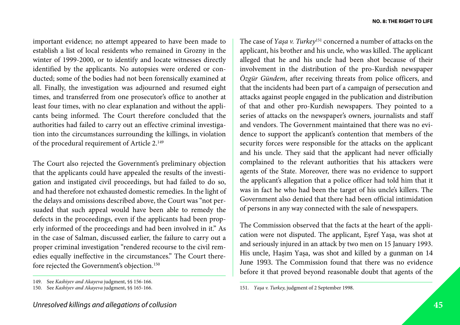important evidence; no attempt appeared to have been made to establish a list of local residents who remained in Grozny in the winter of 1999-2000, or to identify and locate witnesses directly identified by the applicants. No autopsies were ordered or conducted; some of the bodies had not been forensically examined at all. Finally, the investigation was adjourned and resumed eight times, and transferred from one prosecutor's office to another at least four times, with no clear explanation and without the applicants being informed. The Court therefore concluded that the authorities had failed to carry out an effective criminal investigation into the circumstances surrounding the killings, in violation of the procedural requirement of Article 2.149

The Court also rejected the Government's preliminary objection that the applicants could have appealed the results of the investigation and instigated civil proceedings, but had failed to do so, and had therefore not exhausted domestic remedies. In the light of the delays and omissions described above, the Court was "not persuaded that such appeal would have been able to remedy the defects in the proceedings, even if the applicants had been properly informed of the proceedings and had been involved in it." As in the case of Salman, discussed earlier, the failure to carry out a proper criminal investigation "rendered recourse to the civil remedies equally ineffective in the circumstances." The Court therefore rejected the Government's objection.150

The case of *Yaşa* v. Turkey151 concerned a number of attacks on the applicant, his brother and his uncle, who was killed. The applicant alleged that he and his uncle had been shot because of their involvement in the distribution of the pro-Kurdish newspaper Özgür Gündem, after receiving threats from police officers, and that the incidents had been part of a campaign of persecution and attacks against people engaged in the publication and distribution of that and other pro-Kurdish newspapers. They pointed to a series of attacks on the newspaper's owners, journalists and staff and vendors. The Government maintained that there was no evidence to support the applicant's contention that members of the security forces were responsible for the attacks on the applicant and his uncle. They said that the applicant had never officially complained to the relevant authorities that his attackers were agents of the State. Moreover, there was no evidence to support the applicant's allegation that a police officer had told him that it was in fact he who had been the target of his uncle's killers. The Government also denied that there had been official intimidation of persons in any way connected with the sale of newspapers.

The Commission observed that the facts at the heart of the application were not disputed. The applicant, Eşref Yaşa, was shot at and seriously injured in an attack by two men on 15 January 1993. His uncle, Haşim Yaşa, was shot and killed by a gunman on 14 June 1993. The Commission found that there was no evidence before it that proved beyond reasonable doubt that agents of the

<sup>149.</sup> See Kashiyev and Akayeva judgment, §§ 156-166.

<sup>150.</sup> See Kashiyev and Akayeva judgment, §§ 165-166. 151. *Yaşa v. Turkey*, judgment of 2 September 1998.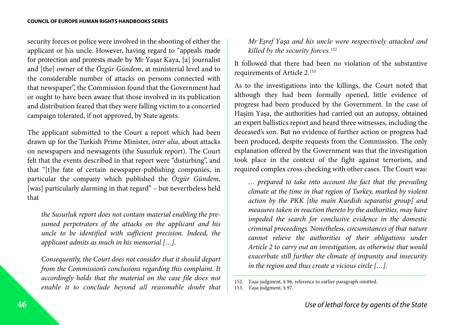security forces or police were involved in the shooting of either the applicant or his uncle. However, having regard to "appeals made for protection and protests made by Mr Yaşar Kaya, [a] journalist and [the] owner of the *Özgür Gündem*, at ministerial level and to the considerable number of attacks on persons connected with that newspaper", the Commission found that the Government had or ought to have been aware that those involved in its publication and distribution feared that they were falling victim to a concerted campaign tolerated, if not approved, by State agents.

The applicant submitted to the Court a report which had been drawn up for the Turkish Prime Minister, inter alia, about attacks on newspapers and newsagents (the Susurluk report). The Court felt that the events described in that report were "disturbing", and that "[t]he fate of certain newspaper-publishing companies, in particular the company which published the *Özgür Gündem*, [was] particularly alarming in that regard" – but nevertheless held that

the Susurluk report does not contain material enabling the presumed perpetrators of the attacks on the applicant and his uncle to be identified with sufficient precision. Indeed, the applicant admits as much in his memorial […].

Consequently, the Court does not consider that it should depart from the Commission's conclusions regarding this complaint. It accordingly holds that the material on the case file *does not enable it to conclude beyond all reasonable doubt that* *Mr Eşref Yaşa and his uncle were respectively attacked and killed by the security forces.*<sup>152</sup>

It followed that there had been no violation of the substantive requirements of Article 2.153

As to the investigations into the killings, the Court noted that although they had been formally opened, little evidence of progress had been produced by the Government. In the case of Haşim Yaşa, the authorities had carried out an autopsy, obtained an expert ballistics report and heard three witnesses, including the deceased's son. But no evidence of further action or progress had been produced, despite requests from the Commission. The only explanation offered by the Government was that the investigation took place in the context of the fight against terrorism, and required complex cross-checking with other cases. The Court was:

… prepared to take into account the fact that the prevailing climate at the time in that region of Turkey, marked by violent action by the PKK [the main Kurdish separatist group] and measures taken in reaction thereto by the authorities, may have impeded the search for conclusive evidence in the domestic criminal proceedings. Nonetheless, circumstances of that nature cannot relieve the authorities of their obligations under Article 2 to carry out an investigation, as otherwise that would exacerbate still further the climate of impunity and insecurity in the region and thus create a vicious circle […].

<sup>152.</sup> *Yaşa* judgment, § 96, reference to earlier paragraph omitted.

<sup>153.</sup> *Yaşa* judgment, § 97.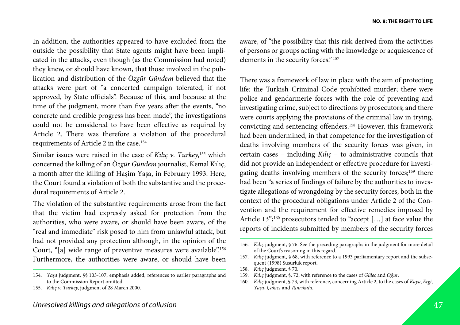In addition, the authorities appeared to have excluded from the outside the possibility that State agents might have been implicated in the attacks, even though (as the Commission had noted) they knew, or should have known, that those involved in the publication and distribution of the Özgür Gündem believed that the attacks were part of "a concerted campaign tolerated, if not approved, by State officials". Because of this, and because at the time of the judgment, more than five years after the events, "no concrete and credible progress has been made", the investigations could not be considered to have been effective as required by Article 2. There was therefore a violation of the procedural requirements of Article 2 in the case.154

Similar issues were raised in the case of *Kılıç v. Turkey*, 155 which concerned the killing of an Özgür Gündem journalist, Kemal Kılıç, a month after the killing of Haşim Yaşa, in February 1993. Here, the Court found a violation of both the substantive and the procedural requirements of Article 2.

The violation of the substantive requirements arose from the fact that the victim had expressly asked for protection from the authorities, who were aware, or should have been aware, of the "real and immediate" risk posed to him from unlawful attack, but had not provided any protection although, in the opinion of the Court, "[a] wide range of preventive measures were available".156 Furthermore, the authorities were aware, or should have been

<span id="page-48-0"></span>155. *Kılıç v. Turkey*, judgment of 28 March 2000.

aware, of "the possibility that this risk derived from the activities of persons or groups acting with the knowledge or acquiescence of elements in the security forces." 157

There was a framework of law in place with the aim of protecting life: the Turkish Criminal Code prohibited murder; there were police and gendarmerie forces with the role of preventing and investigating crime, subject to directions by prosecutors; and there were courts applying the provisions of the criminal law in trying, convicting and sentencing offenders.158 However, this framework had been undermined, in that competence for the investigation of deaths involving members of the security forces was given, in certain cases – including *Kılıç* – to administrative councils that did not provide an independent or effective procedure for investigating deaths involving members of the security forces;159 there had been "a series of findings of failure by the authorities to investigate allegations of wrongdoing by the security forces, both in the context of the procedural obligations under Article 2 of the Convention and the requirement for effective remedies imposed by Article 13";<sup>160</sup> prosecutors tended to "accept [...] at face value the reports of incidents submitted by members of the security forces

- 156. *Kılıç* judgment, § 76. See the preceding paragraphs in the judgment for more detail of the Court's reasoning in this regard.
- 157. *Kılıç* judgment, § 68, with reference to a 1993 parliamentary report and the subsequent (1998) Susurluk report.
- 158. *Kılıç* judgment, § 70.
- 159. *Kılıç* judgment, §. 72, with reference to the cases of Güleç and *Oğur*.
- 160. *Kılıç* judgment, § 73, with reference, concerning Article 2, to the cases of Kaya, Ergi, *Yaşa*, *Çakıcı* and *Tanrıkulu*.

<sup>154.</sup> *Yaşa* judgment, §§ 103-107, emphasis added, references to earlier paragraphs and to the Commission Report omitted.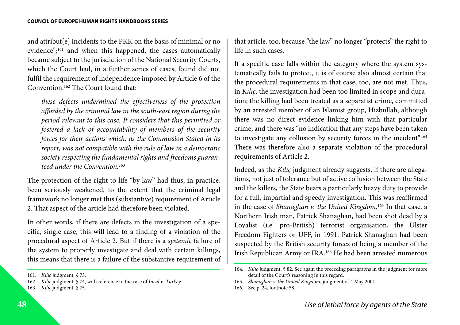and attribut[e] incidents to the PKK on the basis of minimal or no evidence";161 and when this happened, the cases automatically became subject to the jurisdiction of the National Security Courts, which the Court had, in a further series of cases, found did not fulfil the requirement of independence imposed by Article 6 of the Convention.162 The Court found that:

these defects undermined the effectiveness of the protection afforded by the criminal law in the south-east region during the period relevant to this case. It considers that this permitted or fostered a lack of accountability of members of the security forces for their actions which, as the Commission Stated in its report, was not compatible with the rule of law in a democratic society respecting the fundamental rights and freedoms guaranteed under the Convention.<sup>163</sup>

The protection of the right to life "by law" had thus, in practice, been seriously weakened, to the extent that the criminal legal framework no longer met this (substantive) requirement of Article 2. That aspect of the article had therefore been violated.

In other words, if there are defects in the investigation of a specific, single case, this will lead to a finding of a violation of the procedural aspect of Article 2. But if there is a systemic failure of the system to properly investigate and deal with certain killings, this means that there is a failure of the substantive requirement of that article, too, because "the law" no longer "protects" the right to life in such cases.

If a specific case falls within the category where the system systematically fails to protect, it is of course also almost certain that the procedural requirements in that case, too, are not met. Thus, in *Kılıç*, the investigation had been too limited in scope and duration; the killing had been treated as a separatist crime, committed by an arrested member of an Islamist group, Hizbullah, although there was no direct evidence linking him with that particular crime; and there was "no indication that any steps have been taken to investigate any collusion by security forces in the incident".164 There was therefore also a separate violation of the procedural requirements of Article 2.

Indeed, as the *Kılıç* judgment already suggests, if there are allegations, not just of tolerance but of active collusion between the State and the killers, the State bears a particularly heavy duty to provide for a full, impartial and speedy investigation. This was reaffirmed in the case of Shanaghan v. the United Kingdom. 165 In that case, a Northern Irish man, Patrick Shanaghan, had been shot dead by a Loyalist (i.e. pro-British) terrorist organisation, the Ulster Freedom Fighters or UFF, in 1991. Patrick Shanaghan had been suspected by the British security forces of being a member of the Irish Republican Army or IRA.166 He had been arrested numerous

<sup>161.</sup> *Kılıç* judgment, § 73.

<sup>162.</sup> *Kılıç* judgment, § 74, with reference to the case of *Incal v. Turkey*.

<sup>163.</sup> *Kılıç* judgment, § 75.

<sup>164.</sup> *Kılıç* judgment, § 82. See again the preceding paragraphs in the judgment for more detail of the Court's reasoning in this regard.

<sup>165.</sup> Shanaghan v. the United Kingdom, judgment of 4 May 2001.

<sup>166.</sup> See p. 24, footnote 58.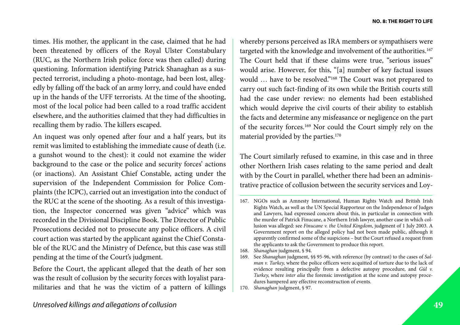times. His mother, the applicant in the case, claimed that he had been threatened by officers of the Royal Ulster Constabulary (RUC, as the Northern Irish police force was then called) during questioning. Information identifying Patrick Shanaghan as a suspected terrorist, including a photo-montage, had been lost, allegedly by falling off the back of an army lorry, and could have ended up in the hands of the UFF terrorists. At the time of the shooting, most of the local police had been called to a road traffic accident elsewhere, and the authorities claimed that they had difficulties in recalling them by radio. The killers escaped.

An inquest was only opened after four and a half years, but its remit was limited to establishing the immediate cause of death (i.e. a gunshot wound to the chest): it could not examine the wider background to the case or the police and security forces' actions (or inactions). An Assistant Chief Constable, acting under the supervision of the Independent Commission for Police Complaints (the ICPC), carried out an investigation into the conduct of the RUC at the scene of the shooting. As a result of this investigation, the Inspector concerned was given "advice" which was recorded in the Divisional Discipline Book. The Director of Public Prosecutions decided not to prosecute any police officers. A civil court action was started by the applicant against the Chief Constable of the RUC and the Ministry of Defence, but this case was still pending at the time of the Court's judgment.

Before the Court, the applicant alleged that the death of her son was the result of collusion by the security forces with loyalist paramilitaries and that he was the victim of a pattern of killings

whereby persons perceived as IRA members or sympathisers were targeted with the knowledge and involvement of the authorities.<sup>167</sup> The Court held that if these claims were true, "serious issues" would arise. However, for this, "[a] number of key factual issues would … have to be resolved."168 The Court was not prepared to carry out such fact-finding of its own while the British courts still had the case under review: no elements had been established which would deprive the civil courts of their ability to establish the facts and determine any misfeasance or negligence on the part of the security forces.169 Nor could the Court simply rely on the material provided by the parties.170

The Court similarly refused to examine, in this case and in three other Northern Irish cases relating to the same period and dealt with by the Court in parallel, whether there had been an administrative practice of collusion between the security services and Loy-

- 168. Shanaghan judgment, § 94.
- 169. See Shanaghan judgment, §§ 95-96, with reference (by contrast) to the cases of Salman v. Turkey, where the police officers were acquitted of torture due to the lack of evidence resulting principally from a defective autopsy procedure, and Gül v. Turkey, where inter alia the forensic investigation at the scene and autopsy procedures hampered any effective reconstruction of events.
- 170. Shanaghan judgment, § 97.

<sup>167.</sup> NGOs such as Amnesty International, Human Rights Watch and British Irish Rights Watch, as well as the UN Special Rapporteur on the Independence of Judges and Lawyers, had expressed concern about this, in particular in connection with the murder of Patrick Finucane, a Northern Irish lawyer, another case in which collusion was alleged: see Finucane v. the United Kingdom, judgment of 1 July 2003. A Government report on the alleged policy had not been made public, although it apparently confirmed some of the suspicions – but the Court refused a request from the applicants to ask the Government to produce this report.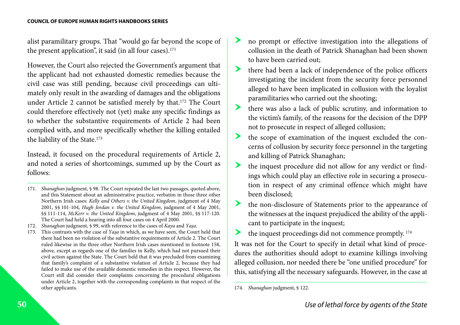alist paramilitary groups. That "would go far beyond the scope of the present application", it said (in all four cases).<sup>171</sup>

However, the Court also rejected the Government's argument that the applicant had not exhausted domestic remedies because the civil case was still pending, because civil proceedings can ultimately only result in the awarding of damages and the obligations under Article 2 cannot be satisfied merely by that.172 The Court could therefore effectively not (yet) make any specific findings as to whether the substantive requirements of Article 2 had been complied with, and more specifically whether the killing entailed the liability of the State.<sup>173</sup>

Instead, it focused on the procedural requirements of Article 2, and noted a series of shortcomings, summed up by the Court as follows:

- 171. Shanaghan judgment, § 98. The Court repeated the last two passages, quoted above, and this Statement about an administrative practice, verbatim in those three other Northern Irish cases: Kelly and Others v. the United Kingdom, judgment of 4 May 2001, §§ 101-104, Hugh Jordan v. the United Kingdom, judgment of 4 May 2001, §§ 111-114, McKerr v. the United Kingdom, judgment of 4 May 2001, §§ 117-120. The Court had held a hearing into all four cases on 4 April 2000.
- 172. Shanaghan judgment, § 99, with reference to the cases of Kaya and *Yaşa*.
- 173. This contrasts with the case of *Yaşa* in which, as we have seen, the Court held that there had been no violation of the substantive requirements of Article 2. The Court ruled likewise in the three other Northern Irish cases mentioned in footnote 158, above, except as regards one of the families in Kelly, which had not pursued their civil action against the State. The Court held that it was precluded from examining that family's complaint of a substantive violation of Article 2, because they had failed to make use of the available domestic remedies in this respect. However, the Court still did consider their complaints concerning the procedural obligations under Article 2, together with the corresponding complaints in that respect of the
- no prompt or effective investigation into the allegations of collusion in the death of Patrick Shanaghan had been shown to have been carried out;
- there had been a lack of independence of the police officers investigating the incident from the security force personnel alleged to have been implicated in collusion with the loyalist paramilitaries who carried out the shooting;
- there was also a lack of public scrutiny, and information to the victim's family, of the reasons for the decision of the DPP not to prosecute in respect of alleged collusion;
- the scope of examination of the inquest excluded the concerns of collusion by security force personnel in the targeting and killing of Patrick Shanaghan;
- the inquest procedure did not allow for any verdict or findings which could play an effective role in securing a prosecution in respect of any criminal offence which might have been disclosed;
- the non-disclosure of Statements prior to the appearance of the witnesses at the inquest prejudiced the ability of the applicant to participate in the inquest;

the inquest proceedings did not commence promptly.  $174$ It was not for the Court to specify in detail what kind of procedures the authorities should adopt to examine killings involving alleged collusion, nor needed there be "one unified procedure" for this, satisfying all the necessary safeguards. However, in the case at

<sup>174.</sup> Shanaghan judgment, § 122.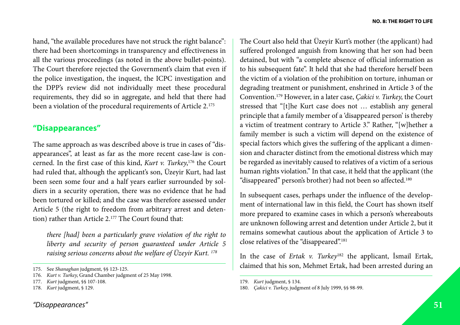hand, "the available procedures have not struck the right balance": there had been shortcomings in transparency and effectiveness in all the various proceedings (as noted in the above bullet-points). The Court therefore rejected the Government's claim that even if the police investigation, the inquest, the ICPC investigation and the DPP's review did not individually meet these procedural requirements, they did so in aggregate, and held that there had been a violation of the procedural requirements of Article 2.175

### **"Disappearances"**

The same approach as was described above is true in cases of "disappearances", at least as far as the more recent case-law is concerned. In the first case of this kind, *Kurt v. Turkey*,<sup>176</sup> the Court had ruled that, although the applicant's son, Üzeyir Kurt, had last been seen some four and a half years earlier surrounded by soldiers in a security operation, there was no evidence that he had been tortured or killed; and the case was therefore assessed under Article 5 (the right to freedom from arbitrary arrest and detention) rather than Article 2.177 The Court found that:

there [had] been a particularly grave violation of the right to liberty and security of person guaranteed under Article 5 raising serious concerns about the welfare of Üzeyir Kurt. 178

The Court also held that Üzeyir Kurt's mother (the applicant) had suffered prolonged anguish from knowing that her son had been detained, but with "a complete absence of official information as to his subsequent fate". It held that she had therefore herself been the victim of a violation of the prohibition on torture, inhuman or degrading treatment or punishment, enshrined in Article 3 of the Convention.179 However, in a later case, Çakici v. Turkey, the Court stressed that "[t]he Kurt case does not … establish any general principle that a family member of a 'disappeared person' is thereby a victim of treatment contrary to Article 3." Rather, "[w]hether a family member is such a victim will depend on the existence of special factors which gives the suffering of the applicant a dimension and character distinct from the emotional distress which may be regarded as inevitably caused to relatives of a victim of a serious human rights violation." In that case, it held that the applicant (the "disappeared" person's brother) had not been so affected.180

In subsequent cases, perhaps under the influence of the development of international law in this field, the Court has shown itself more prepared to examine cases in which a person's whereabouts are unknown following arrest and detention under Article 2, but it remains somewhat cautious about the application of Article 3 to close relatives of the "disappeared".181

In the case of *Ertak v. Turkey*<sup>182</sup> the applicant, Ismail Ertak, claimed that his son, Mehmet Ertak, had been arrested during an 175. See Shanaghan judgment, §§ 123-125.

<sup>176.</sup> Kurt v. Turkey, Grand Chamber judgment of 25 May 1998.

<sup>177.</sup> Kurt judgment, §§ 107-108.

<sup>178.</sup> Kurt judgment, § 129.

<sup>179.</sup> Kurt judgment, § 134.

<sup>180.</sup> Çakici v. Turkey, judgment of 8 July 1999, §§ 98-99.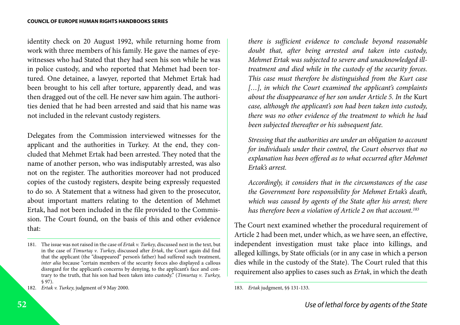identity check on 20 August 1992, while returning home from work with three members of his family. He gave the names of eyewitnesses who had Stated that they had seen his son while he was in police custody, and who reported that Mehmet had been tortured. One detainee, a lawyer, reported that Mehmet Ertak had been brought to his cell after torture, apparently dead, and was then dragged out of the cell. He never saw him again. The authorities denied that he had been arrested and said that his name was not included in the relevant custody registers.

Delegates from the Commission interviewed witnesses for the applicant and the authorities in Turkey. At the end, they concluded that Mehmet Ertak had been arrested. They noted that the name of another person, who was indisputably arrested, was also not on the register. The authorities moreover had not produced copies of the custody registers, despite being expressly requested to do so. A Statement that a witness had given to the prosecutor, about important matters relating to the detention of Mehmet Ertak, had not been included in the file provided to the Commission. The Court found, on the basis of this and other evidence that:

<span id="page-53-0"></span>182. Ertak v. Turkey, judgment of 9 May 2000. 183. Ertak judgment, §§ 131-133.

there is sufficient evidence to conclude beyond reasonable doubt that, after being arrested and taken into custody, Mehmet Ertak was subjected to severe and unacknowledged illtreatment and died while in the custody of the security forces. This case must therefore be distinguished from the Kurt case [...], in which the Court examined the applicant's complaints about the disappearance of her son under Article 5. In the Kurt case, although the applicant's son had been taken into custody, there was no other evidence of the treatment to which he had been subjected thereafter or his subsequent fate.

Stressing that the authorities are under an obligation to account for individuals under their control, the Court observes that no explanation has been offered as to what occurred after Mehmet Ertak's arrest.

Accordingly, it considers that in the circumstances of the case the Government bore responsibility for Mehmet Ertak's death, which was caused by agents of the State after his arrest; there has therefore been a violation of Article 2 on that account.<sup>183</sup>

The Court next examined whether the procedural requirement of Article 2 had been met, under which, as we have seen, an effective, independent investigation must take place into killings, and alleged killings, by State officials (or in any case in which a person dies while in the custody of the State). The Court ruled that this requirement also applies to cases such as Ertak, in which the death

<sup>181.</sup> The issue was not raised in the case of Ertak v. Turkey, discussed next in the text, but in the case of *Timurtaş v. Turkey*, discussed after Ertak, the Court again did find that the applicant (the "disappeared" person's father) had suffered such treatment, inter alia because "certain members of the security forces also displayed a callous disregard for the applicant's concerns by denying, to the applicant's face and contrary to the truth, that his son had been taken into custody." (*Timurtaş v. Turkey*, § 97).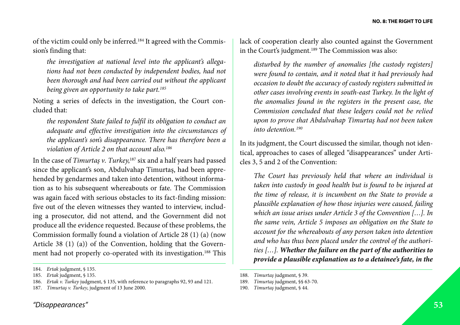of the victim could only be inferred.184 It agreed with the Commission's finding that:

the investigation at national level into the applicant's allegations had not been conducted by independent bodies, had not been thorough and had been carried out without the applicant being given an opportunity to take part.<sup>185</sup>

Noting a series of defects in the investigation, the Court concluded that:

the respondent State failed to fulfil its obligation to conduct an adequate and effective investigation into the circumstances of the applicant's son's disappearance. There has therefore been a violation of Article 2 on that account also.<sup>186</sup>

In the case of *Timurtaş v. Turkey*, 187 six and a half years had passed since the applicant's son, Abdulvahap Timurtaş, had been apprehended by gendarmes and taken into detention, without information as to his subsequent whereabouts or fate. The Commission was again faced with serious obstacles to its fact-finding mission: five out of the eleven witnesses they wanted to interview, including a prosecutor, did not attend, and the Government did not produce all the evidence requested. Because of these problems, the Commission formally found a violation of Article 28 (1) (a) (now Article 38 (1) (a)) of the Convention, holding that the Government had not properly co-operated with its investigation.<sup>188</sup> This

- 186. Ertak v. Turkey judgment, § 135, with reference to paragraphs 92, 93 and 121.
- 187. *Timurtaş v. Turkey*, judgment of 13 June 2000.

lack of cooperation clearly also counted against the Government in the Court's judgment.189 The Commission was also:

disturbed by the number of anomalies [the custody registers] were found to contain, and it noted that it had previously had occasion to doubt the accuracy of custody registers submitted in other cases involving events in south-east Turkey. In the light of the anomalies found in the registers in the present case, the Commission concluded that these ledgers could not *be relied upon to prove that Abdulvahap Timurtaş had not been taken into detention.*<sup>190</sup>

In its judgment, the Court discussed the similar, though not identical, approaches to cases of alleged "disappearances" under Articles 3, 5 and 2 of the Convention:

The Court has previously held that where an individual is taken into custody in good health but is found to be injured at the time of release, it is incumbent on the State to provide a plausible explanation of how those injuries were caused, failing which an issue arises under Article 3 of the Convention […]. In the same vein, Article 5 imposes an obligation on the State to account for the whereabouts of any person taken into detention and who has thus been placed under the control of the authorities […]. *Whether the failure on the part of the authorities to provide a plausible explanation as to a detainee's fate, in the*

- 188. *Timurtaş* judgment, § 39.
- 189. *Timurtaş* judgment, §§ 63-70.
- 190. *Timurtaş* judgment, § 44.

<sup>184.</sup> Ertak judgment, § 135.

<sup>185.</sup> Ertak judgment, § 135.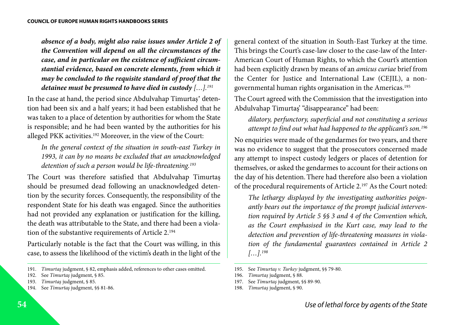*absence of a body, might also raise issues under Article 2 of the Convention will depend on all the circumstances of the case, and in particular on the existence of sufficient circumstantial evidence, based on concrete elements, from which it may be concluded to the requisite standard of proof that the detainee must be presumed to have died in custody* […].191

In the case at hand, the period since Abdulvahap Timurtaş' detention had been six and a half years; it had been established that he was taken to a place of detention by authorities for whom the State is responsible; and he had been wanted by the authorities for his alleged PKK activities.192 Moreover, in the view of the Court:

In the general context of the situation in south-east Turkey in 1993, it can by no means be excluded that an unacknowledged detention of such a person would be life-threatening.<sup>193</sup>

The Court was therefore satisfied that Abdulvahap Timurtaş should be presumed dead following an unacknowledged detention by the security forces. Consequently, the responsibility of the respondent State for his death was engaged. Since the authorities had not provided any explanation or justification for the killing, the death was attributable to the State, and there had been a violation of the substantive requirements of Article 2.194

Particularly notable is the fact that the Court was willing, in this case, to assess the likelihood of the victim's death in the light of the

191. *Timurtaş* judgment, § 82, emphasis added, references to other cases omitted.

general context of the situation in South-East Turkey at the time. This brings the Court's case-law closer to the case-law of the Inter-American Court of Human Rights, to which the Court's attention had been explicitly drawn by means of an amicus curiae brief from the Center for Justice and International Law (CEJIL), a nongovernmental human rights organisation in the Americas.195

The Court agreed with the Commission that the investigation into Abdulvahap Timurtaş' "disappearance" had been:

dilatory, perfunctory, superficial and not constituting a serious attempt to find out what had happened to the applicant's son.196

No enquiries were made of the gendarmes for two years, and there was no evidence to suggest that the prosecutors concerned made any attempt to inspect custody ledgers or places of detention for themselves, or asked the gendarmes to account for their actions on the day of his detention. There had therefore also been a violation of the procedural requirements of Article 2.197 As the Court noted:

The lethargy displayed by the investigating authorities poignantly bears out the importance of the prompt judicial intervention required by Article 5 §§ 3 and 4 of the Convention which, as the Court emphasised in the Kurt case, may lead to the detection and prevention of life-threatening measures in violation of the fundamental guarantees contained in Article 2  $[...]$ .<sup>198</sup>

195. See *Timurtaş v. Turkey* judgment, §§ 79-80.

- 197. See *Timurtaş* judgment, §§ 89-90.
- 198. *Timurtaş* judgment, § 90.

<sup>192.</sup> See *Timurtaş* judgment, § 85.

<sup>193.</sup> *Timurtaş* judgment, § 85.

<sup>194.</sup> See *Timurtaş* judgment, §§ 81-86.

<sup>196.</sup> *Timurtaş* judgment, § 88.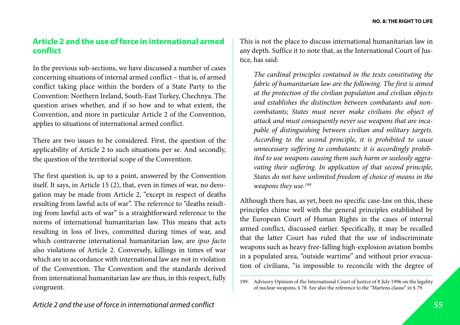### **Article 2 and the use of force in international armed conflict**

In the previous sub-sections, we have discussed a number of cases concerning situations of internal armed conflict – that is, of armed conflict taking place within the borders of a State Party to the Convention: Northern Ireland, South-East Turkey, Chechnya. The question arises whether, and if so how and to what extent, the Convention, and more in particular Article 2 of the Convention, applies to situations of international armed conflict.

There are two issues to be considered. First, the question of the applicability of Article 2 to such situations per se. And secondly, the question of the territorial scope of the Convention.

The first question is, up to a point, answered by the Convention itself. It says, in Article 15 (2), that, even in times of war, no derogation may be made from Article 2, "except in respect of deaths resulting from lawful acts of war". The reference to "deaths resulting from lawful acts of war" is a straightforward reference to the norms of international humanitarian law. This means that acts resulting in loss of lives, committed during times of war, and which contravene international humanitarian law, are ipso facto also violations of Article 2. Conversely, killings in times of war which are in accordance with international law are not in violation of the Convention. The Convention and the standards derived from international humanitarian law are thus, in this respect, fully congruent.

This is not the place to discuss international humanitarian law in any depth. Suffice it to note that, as the International Court of Justice, has said:

The cardinal principles contained in the texts constituting the fabric of humanitarian law are the following. The first is aimed at the protection of the civilian population and civilian objects and establishes the distinction between combatants and noncombatants; States must never make civilians the object of attack and must consequently never use weapons that are incapable of distinguishing between civilian and military targets. According to the second principle, it is prohibited to cause unnecessary suffering to combatants: it is accordingly prohibited to use weapons causing them such harm or uselessly aggravating their suffering. In application of that second principle, States do not have unlimited freedom of choice of means in the weapons they use.<sup>199</sup>

Although there has, as yet, been no specific case-law on this, these principles chime well with the general principles established by the European Court of Human Rights in the cases of internal armed conflict, discussed earlier. Specifically, it may be recalled that the latter Court has ruled that the use of indiscriminate weapons such as heavy free-falling high-explosion aviation bombs in a populated area, "outside wartime" and without prior evacuation of civilians, "is impossible to reconcile with the degree of

<sup>199.</sup> Advisory Opinion of the International Court of Justice of 8 July 1996 on the legality of nuclear weapons, § 78. See also the reference to the "Martens clause" in § 79.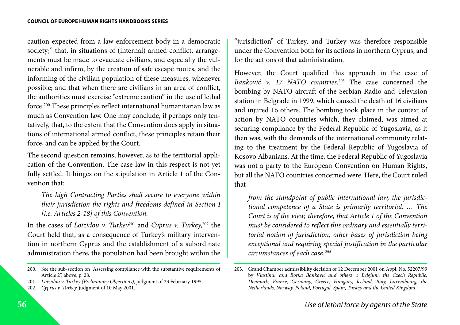caution expected from a law-enforcement body in a democratic society;" that, in situations of (internal) armed conflict, arrangements must be made to evacuate civilians, and especially the vulnerable and infirm, by the creation of safe escape routes, and the informing of the civilian population of these measures, whenever possible; and that when there are civilians in an area of conflict, the authorities must exercise "extreme caution" in the use of lethal force.200 These principles reflect international humanitarian law as much as Convention law. One may conclude, if perhaps only tentatively, that, to the extent that the Convention does apply in situations of international armed conflict, these principles retain their force, and can be applied by the Court.

The second question remains, however, as to the territorial application of the Convention. The case-law in this respect is not yet fully settled. It hinges on the stipulation in Article 1 of the Convention that:

The high Contracting Parties shall secure to everyone within their jurisdiction the rights and freedoms defined in Section I [i.e. Articles 2-18] of this Convention.

In the cases of *Loizidou v. Turkey<sup>201</sup> and Cyprus v. Turkey*,<sup>202</sup> the Court held that, as a consequence of Turkey's military intervention in northern Cyprus and the establishment of a subordinate administration there, the population had been brought within the

- 201. Loizidou v. Turkey (Preliminary Objections), judgment of 23 February 1995.
- 202. Cyprus v. Turkey, judgment of 10 May 2001.

"jurisdiction" of Turkey, and Turkey was therefore responsible under the Convention both for its actions in northern Cyprus, and for the actions of that administration.

However, the Court qualified this approach in the case of Banković v. 17 NATO countries.<sup>203</sup> The case concerned the bombing by NATO aircraft of the Serbian Radio and Television station in Belgrade in 1999, which caused the death of 16 civilians and injured 16 others. The bombing took place in the context of action by NATO countries which, they claimed, was aimed at securing compliance by the Federal Republic of Yugoslavia, as it then was, with the demands of the international community relating to the treatment by the Federal Republic of Yugoslavia of Kosovo Albanians. At the time, the Federal Republic of Yugoslavia was not a party to the European Convention on Human Rights, but all the NATO countries concerned were. Here, the Court ruled that

from the standpoint of public international law, the jurisdictional competence of a State is primarily territorial. … The Court is of the view, therefore, that Article 1 of the Convention must be considered to reflect this ordinary and essentially territorial notion of jurisdiction, other bases of jurisdiction being exceptional and requiring special justification in the particular circumstances of each case.204

<sup>200.</sup> See the sub-section on "Assessing compliance with the substantive requirements of Article 2", above, p. [28](#page-29-0).

<sup>203.</sup> Grand Chamber admissibility decision of 12 December 2001 on Appl. No. 52207/99 by Vlastimir and Borka Banković and others v. Belgium, the Czech Republic, Denmark, France, Germany, Greece, Hungary, Iceland, Italy, Luxembourg, the Netherlands, Norway, Poland, Portugal, Spain, Turkey and the United Kingdom.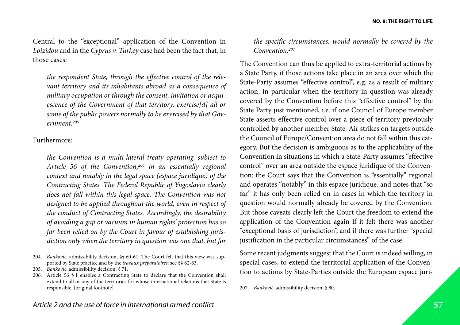Central to the "exceptional" application of the Convention in Loizidou and in the Cyprus v. Turkey case had been the fact that, in those cases:

the respondent State, through the effective control of the relevant territory and its inhabitants abroad as a consequence of military occupation or through the consent, invitation or acquiescence of the Government of that territory, exercise[d] all or some of the public powers normally to be exercised by that Government<sup>205</sup>

Furthermore:

the Convention is a multi-lateral treaty operating, subject to Article 56 of the Convention,<sup>206</sup> in an essentially regional context and notably in the legal space (espace juridique) of the Contracting States. The Federal Republic of Yugoslavia clearly does not fall within this legal space. The Convention was not designed to be applied throughout the world, even in respect of the conduct of Contracting States. Accordingly, the desirability of avoiding a gap or vacuum in human rights' protection has so far been relied on by the Court in favour of establishing jurisdiction only when the territory in question was one that, but for

the specific circumstances, would normally be covered by the Convention.207

The Convention can thus be applied to extra-territorial actions by a State Party, if those actions take place in an area over which the State-Party assumes "effective control", e.g. as a result of military action, in particular when the territory in question was already covered by the Convention before this "effective control" by the State Party just mentioned, i.e. if one Council of Europe member State asserts effective control over a piece of territory previously controlled by another member State. Air strikes on targets outside the Council of Europe/Convention area do not fall within this category. But the decision is ambiguous as to the applicability of the Convention in situations in which a State-Party assumes "effective control" over an area outside the espace juridique of the Convention: the Court says that the Convention is "essentially" regional and operates "notably" in this espace juridique, and notes that "so far" it has only been relied on in cases in which the territory in question would normally already be covered by the Convention. But those caveats clearly left the Court the freedom to extend the application of the Convention again if it felt there was another "exceptional basis of jurisdiction", and if there was further "special justification in the particular circumstances" of the case.

Some recent judgments suggest that the Court is indeed willing, in special cases, to extend the territorial application of the Convention to actions by State-Parties outside the European espace juri-

<sup>204.</sup> Banković, admissibility decision, §§ 60-61. The Court felt that this view was supported by State practice and by the travaux préparatoires: see §§ 62-63.

<sup>205.</sup> Banković, admissibility decision, § 71.

<sup>206.</sup> Article 56 § 1 enables a Contracting State to declare that the Convention shall extend to all or any of the territories for whose international relations that State is

<sup>207.</sup> Banković, admissibility decision, § 80.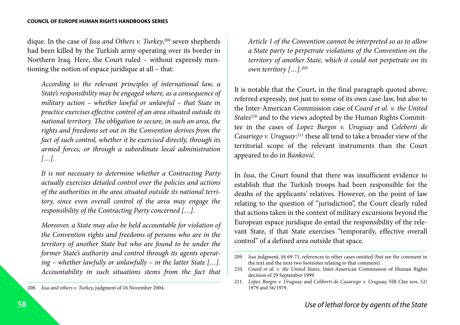dique. In the case of Issa and Others v. Turkey,<sup>208</sup> seven shepherds had been killed by the Turkish army operating over its border in Northern Iraq. Here, the Court ruled – without expressly mentioning the notion of espace juridique at all – that:

According to the relevant principles of international law, a State's responsibility may be engaged where, as a consequence of military action – whether lawful or unlawful – that State in practice exercises effective control of an area situated outside its national territory. The obligation to secure, in such an area, the rights and freedoms set out in the Convention derives from the fact of such control, whether it be exercised directly, through its armed forces, or through a subordinate local administration […].

It is not necessary to determine whether a Contracting Party actually exercises detailed control over the policies and actions of the authorities in the area situated outside its national territory, since even overall control of the area may engage the responsibility of the Contracting Party concerned […].

Moreover, a State may also be held accountable for violation of the Convention rights and freedoms of persons who are in the territory of another State but who are found to be under the former State's authority and control through its agents operating – whether lawfully or unlawfully – in the latter State  $[\dots]$ . Accountability in such situations stems from the fact that

208. Issa and others v. Turkey, judgment of 16 November 2004.

Article 1 of the Convention cannot be interpreted so as to allow a State party to perpetrate violations of the Convention on the territory of another State, which it could not perpetrate on its own territory […].209

It is notable that the Court, in the final paragraph quoted above, referred expressly, not just to some of its own case-law, but also to the Inter-American Commission case of Coard et al. v. the United States<sup>210</sup> and to the views adopted by the Human Rights Committee in the cases of Lopez Burgos v. Uruguay and Celeberti de Casariego v. Uruguay:<sup>211</sup> these all tend to take a broader view of the territorial scope of the relevant instruments than the Court appeared to do in Banković.

In Issa, the Court found that there was insufficient evidence to establish that the Turkish troops had been responsible for the deaths of the applicants' relatives. However, on the point of law relating to the question of "jurisdiction", the Court clearly ruled that actions taken in the context of military excursions beyond the European espace juridique do entail the responsibility of the relevant State, if that State exercises "temporarily, effective overall control" of a defined area outside that space.

<sup>209.</sup> Issa judgment, §§ 69-71, references to other cases omitted (but see the comment in the text and the next two footnotes relating to that comment).

<sup>210.</sup> Coard et al. v. the United States, Inter-American Commission of Human Rights decision of 29 September 1999.

<sup>211.</sup> López Burgos v. Uruguay and Celiberti de Casariego v. Uruguay, HR Ctee nos. 52/ 1979 and 56/1979.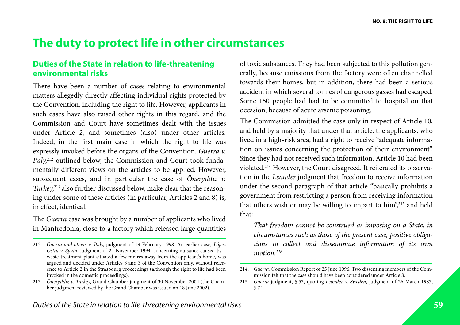# **The duty to protect life in other circumstances**

### **Duties of the State in relation to life-threatening environmental risks**

There have been a number of cases relating to environmental matters allegedly directly affecting individual rights protected by the Convention, including the right to life. However, applicants in such cases have also raised other rights in this regard, and the Commission and Court have sometimes dealt with the issues under Article 2, and sometimes (also) under other articles. Indeed, in the first main case in which the right to life was expressly invoked before the organs of the Convention, Guerra v. Italy,<sup>212</sup> outlined below, the Commission and Court took fundamentally different views on the articles to be applied. However, subsequent cases, and in particular the case of *Öneryıldız* v. Turkey, 213 also further discussed below, make clear that the reasoning under some of these articles (in particular, Articles 2 and 8) is, in effect, identical.

The Guerra case was brought by a number of applicants who lived in Manfredonia, close to a factory which released large quantities

of toxic substances. They had been subjected to this pollution generally, because emissions from the factory were often channelled towards their homes, but in addition, there had been a serious accident in which several tonnes of dangerous gasses had escaped. Some 150 people had had to be committed to hospital on that occasion, because of acute arsenic poisoning.

The Commission admitted the case only in respect of Article 10, and held by a majority that under that article, the applicants, who lived in a high-risk area, had a right to receive "adequate information on issues concerning the protection of their environment". Since they had not received such information, Article 10 had been violated.214 However, the Court disagreed. It reiterated its observation in the Leander judgment that freedom to receive information under the second paragraph of that article "basically prohibits a government from restricting a person from receiving information that others wish or may be willing to impart to him",215 and held that:

That freedom cannot be construed as imposing on a State, in circumstances such as those of the present case, positive obligations to collect and disseminate information of its own motion.<sup>216</sup>

<sup>212.</sup> Guerra and others v. Italy, judgment of 19 February 1998. An earlier case, López Ostra v. Spain, judgment of 24 November 1994, concerning nuisance caused by a waste-treatment plant situated a few metres away from the applicant's home, was argued and decided under Articles 8 and 3 of the Convention only, without reference to Article 2 in the Strasbourg proceedings (although the right to life had been invoked in the domestic proceedings).

<sup>213.</sup> *Öneryıldız* v. Turkey, Grand Chamber judgment of 30 November 2004 (the Chamber judgment reviewed by the Grand Chamber was issued on 18 June 2002).

<sup>214.</sup> Guerra, Commission Report of 25 June 1996. Two dissenting members of the Commission felt that the case should have been considered under Article 8.

<sup>215.</sup> Guerra judgment, § 53, quoting Leander v. Sweden, judgment of 26 March 1987, § 74.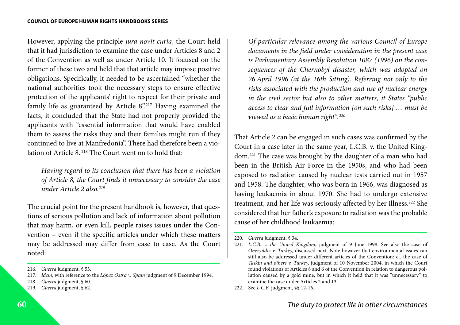However, applying the principle jura novit curia, the Court held that it had jurisdiction to examine the case under Articles 8 and 2 of the Convention as well as under Article 10. It focused on the former of these two and held that that article may impose positive obligations. Specifically, it needed to be ascertained "whether the national authorities took the necessary steps to ensure effective protection of the applicants' right to respect for their private and family life as guaranteed by Article 8".<sup>217</sup> Having examined the facts, it concluded that the State had not properly provided the applicants with "essential information that would have enabled them to assess the risks they and their families might run if they continued to live at Manfredonia". There had therefore been a violation of Article 8. 218 The Court went on to hold that:

Having regard to its conclusion that there has been a violation of Article 8, the Court finds it unnecessary to consider the case under Article 2 also.219

The crucial point for the present handbook is, however, that questions of serious pollution and lack of information about pollution that may harm, or even kill, people raises issues under the Convention – even if the specific articles under which these matters may be addressed may differ from case to case. As the Court noted:

217. Idem, with reference to the *Lόpez Ostra v. Spain* judgment of 9 December 1994.

Of particular relevance among the various Council of Europe documents in the field under consideration in the present case is Parliamentary Assembly Resolution 1087 (1996) on the consequences of the Chernobyl disaster, which was adopted on 26 April 1996 (at the 16th Sitting). Referring not only to the risks associated with the production and use of nuclear energy in the civil sector but also to other matters, it States "public access to clear and full information [on such risks] … must be viewed as a basic human right".220

That Article 2 can be engaged in such cases was confirmed by the Court in a case later in the same year, L.C.B. v. the United Kingdom.221 The case was brought by the daughter of a man who had been in the British Air Force in the 1950s, and who had been exposed to radiation caused by nuclear tests carried out in 1957 and 1958. The daughter, who was born in 1966, was diagnosed as having leukaemia in about 1970. She had to undergo extensive treatment, and her life was seriously affected by her illness.<sup>222</sup> She considered that her father's exposure to radiation was the probable cause of her childhood leukaemia:

<sup>216.</sup> Guerra judgment, § 53.

<sup>218.</sup> Guerra judgment, § 60.

<sup>219.</sup> Guerra judgment, § 62.

<sup>220.</sup> Guerra judgment, § 34.

<span id="page-61-0"></span><sup>221.</sup> L.C.B. v. the United Kingdom, judgment of 9 June 1998. See also the case of *Öneryıldız* v. Turkey, discussed next. Note however that environmental issues can still also be addressed under different articles of the Convention: cf. the case of Taskin and others v. Turkey, judgment of 10 November 2004, in which the Court found violations of Articles 8 and 6 of the Convention in relation to dangerous pollution caused by a gold mine, but in which it held that it was "unnecessary" to examine the case under Articles 2 and 13.

<sup>222.</sup> See L.C.B. judgment, §§ 12-16.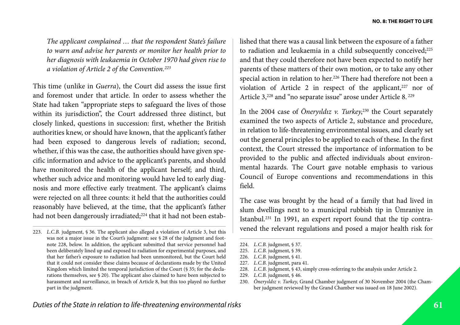The applicant complained … that the respondent State's failure to warn and advise her parents or monitor her health prior to her diagnosis with leukaemia in October 1970 had given rise to a violation of Article 2 of the Convention.223

This time (unlike in Guerra), the Court did assess the issue first and foremost under that article. In order to assess whether the State had taken "appropriate steps to safeguard the lives of those within its jurisdiction", the Court addressed three distinct, but closely linked, questions in succession: first, whether the British authorities knew, or should have known, that the applicant's father had been exposed to dangerous levels of radiation; second, whether, if this was the case, the authorities should have given specific information and advice to the applicant's parents, and should have monitored the health of the applicant herself; and third, whether such advice and monitoring would have led to early diagnosis and more effective early treatment. The applicant's claims were rejected on all three counts: it held that the authorities could reasonably have believed, at the time, that the applicant's father had not been dangerously irradiated;<sup>224</sup> that it had not been estab-

was not a major issue in the Court's judgment: see § 28 of the judgment and footnote 228, below. In addition, the applicant submitted that service personnel had been deliberately lined up and exposed to radiation for experimental purposes, and that her father's exposure to radiation had been unmonitored, but the Court held that it could not consider these claims because of declarations made by the United Kingdom which limited the temporal jurisdiction of the Court (§ 35; for the declarations themselves, see § 20). The applicant also claimed to have been subjected to harassment and surveillance, in breach of Article 8, but this too played no further part in the judgment.

lished that there was a causal link between the exposure of a father to radiation and leukaemia in a child subsequently conceived;<sup>225</sup> and that they could therefore not have been expected to notify her parents of these matters of their own motion, or to take any other special action in relation to her.<sup>226</sup> There had therefore not been a violation of Article 2 in respect of the applicant, $227$  nor of Article 3,<sup>228</sup> and "no separate issue" arose under Article 8.<sup>229</sup>

In the 2004 case of *Öneryıldız* v. Turkey, 230 the Court separately examined the two aspects of Article 2, substance and procedure, in relation to life-threatening environmental issues, and clearly set out the general principles to be applied to each of these. In the first context, the Court stressed the importance of information to be provided to the public and affected individuals about environmental hazards. The Court gave notable emphasis to various Council of Europe conventions and recommendations in this field.

The case was brought by the head of a family that had lived in slum dwellings next to a municipal rubbish tip in Ümraniye in Istanbul.231 In 1991, an expert report found that the tip contra- $\overline{p}$  vened the relevant regulations and posed a major health risk for 223. L.C.B. judgment, § 36. The applicant also alleged a violation of Article 3, but this

<sup>224.</sup> L.C.B. judgment, § 37.

<sup>225.</sup> L.C.B. judgment, § 39.

<sup>226.</sup> L.C.B. judgment, § 41.

<sup>227.</sup> L.C.B. judgment, para 41.

<sup>228.</sup> L.C.B. judgment, § 43, simply cross-referring to the analysis under Article 2.

<sup>229.</sup> L.C.B. judgment, § 46.

<sup>230.</sup> *Öneryıldız* v. Turkey, Grand Chamber judgment of 30 November 2004 (the Chamber judgment reviewed by the Grand Chamber was issued on 18 June 2002).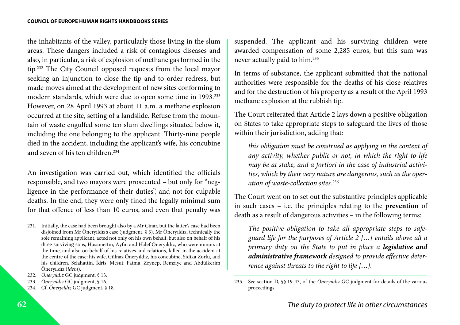the inhabitants of the valley, particularly those living in the slum areas. These dangers included a risk of contagious diseases and also, in particular, a risk of explosion of methane gas formed in the tip.232 The City Council opposed requests from the local mayor seeking an injunction to close the tip and to order redress, but made moves aimed at the development of new sites conforming to modern standards, which were due to open some time in 1993.233 However, on 28 April 1993 at about 11 a.m. a methane explosion occurred at the site, setting of a landslide. Refuse from the mountain of waste engulfed some ten slum dwellings situated below it, including the one belonging to the applicant. Thirty-nine people died in the accident, including the applicant's wife, his concubine and seven of his ten children.234

An investigation was carried out, which identified the officials responsible, and two mayors were prosecuted – but only for "negligence in the performance of their duties", and not for culpable deaths. In the end, they were only fined the legally minimal sum for that offence of less than 10 euros, and even that penalty was

231. Initially, the case had been brought also by a Mr Çinar, but the latter's case had been disjoined from Mr Öneryıldız's case (judgment, § 3). Mr Öneryıldız, technically the sole remaining applicant, acted not only on his own behalf, but also on behalf of his three surviving sons, Hüsamettin, Ayfın and Halef Öneryıldız, who were minors at the time, and also on behalf of his relatives and relations, killed in the accident at the centre of the case: his wife, Gülnaz Öneryıldız, his concubine, Sidika Zorlu, and his children, Selahattin, İdris, Mesut, Fatma, Zeynep, Remziye and Abdülkerim Öneryıldız (idem).

- 232. *Öneryıldız* GC judgment, § 13.
- 233. *Öneryıldız* GC judgment, § 16.

suspended. The applicant and his surviving children were awarded compensation of some 2,285 euros, but this sum was never actually paid to him.235

In terms of substance, the applicant submitted that the national authorities were responsible for the deaths of his close relatives and for the destruction of his property as a result of the April 1993 methane explosion at the rubbish tip.

The Court reiterated that Article 2 lays down a positive obligation on States to take appropriate steps to safeguard the lives of those within their jurisdiction, adding that:

this obligation must be construed as applying in the context of any activity, whether public or not, in which the right to life may be at stake, and a fortiori in the case of industrial activities, which by their very nature are dangerous, such as the operation of waste-collection sites.<sup>236</sup>

The Court went on to set out the substantive principles applicable in such cases – i.e. the principles relating to the **prevention** of death as a result of dangerous activities – in the following terms:

The positive obligation to take all appropriate steps to safeguard life for the purposes of Article 2 […] entails above all a primary duty on the State to put in place a *legislative and administrative framework* designed to provide effective deterrence against threats to the right to life […].

<sup>234.</sup> Cf. *Öneryıldız* GC judgment, § 18.

<sup>235.</sup> See section D, §§ 19-43, of the *Öneryıldız* GC judgment for details of the various proceedings.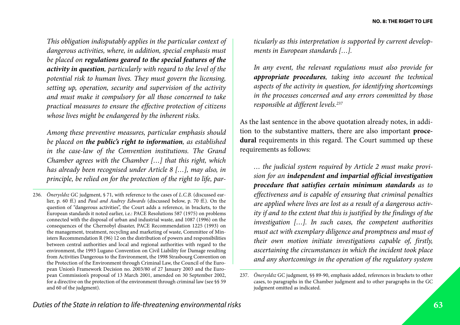This obligation indisputably applies in the particular context of dangerous activities, where, in addition, special emphasis must be placed on *regulations geared to the special features of the activity in question*, particularly with regard to the level of the potential risk to human lives. They must govern the licensing, setting up, operation, security and supervision of the activity and must make it compulsory for all those concerned to take practical measures to ensure the effective protection of citizens whose lives might be endangered by the inherent risks.

Among these preventive measures, particular emphasis should be placed on *the public's right to information*, as established in the case-law of the Convention institutions. The Grand Chamber agrees with the Chamber […] that this right, which has already been recognised under Article 8 […], may also, in principle, be relied on for the protection of the right to life, par-

ticularly as this interpretation is supported by current developments in European standards […].

In any event, the relevant regulations must also provide for *appropriate procedures*, taking into account the technical aspects of the activity in question, for identifying shortcomings in the processes concerned and any errors committed by those responsible at different levels.<sup>237</sup>

As the last sentence in the above quotation already notes, in addition to the substantive matters, there are also important **procedural** requirements in this regard. The Court summed up these requirements as follows:

… the judicial system required by Article 2 must make provision for an *independent and impartial official investigation procedure that satisfies certain minimum standards* as to effectiveness and is capable of ensuring that criminal penalties are applied where lives are lost as a result of a dangerous activity if and to the extent that this is justified by the findings of the investigation […]. In such cases, the competent authorities must act with exemplary diligence and promptness and must of their own motion initiate investigations capable of, firstly, ascertaining the circumstances in which the incident took place and any shortcomings in the operation of the regulatory system

<sup>236.</sup> *Öneryıldız* GC judgment, § 71, with reference to the cases of L.C.B. (discussed earlier, p. [60](#page-61-0) ff.) and Paul and Audrey Edwards (discussed below, p. [70](#page-71-0) ff.). On the question of "dangerous activities", the Court adds a reference, in brackets, to the European standards it noted earlier, i.e.: PACE Resolutions 587 (1975) on problems connected with the disposal of urban and industrial waste, and 1087 (1996) on the consequences of the Chernobyl disaster, PACE Recommendation 1225 (1993) on the management, treatment, recycling and marketing of waste, Committee of Ministers Recommendation R (96) 12 on the distribution of powers and responsibilities between central authorities and local and regional authorities with regard to the environment, the 1993 Lugano Convention on Civil Liability for Damage resulting from Activities Dangerous to the Environment, the 1998 Strasbourg Convention on the Protection of the Environment through Criminal Law, the Council of the European Union's Framework Decision no. 2003/80 of 27 January 2003 and the European Commission's proposal of 13 March 2001, amended on 30 September 2002, for a directive on the protection of the environment through criminal law (see §§ 59 and 60 of the judgment).

<sup>237.</sup> *Öneryıldız* GC judgment, §§ 89-90, emphasis added, references in brackets to other cases, to paragraphs in the Chamber judgment and to other paragraphs in the GC judgment omitted as indicated.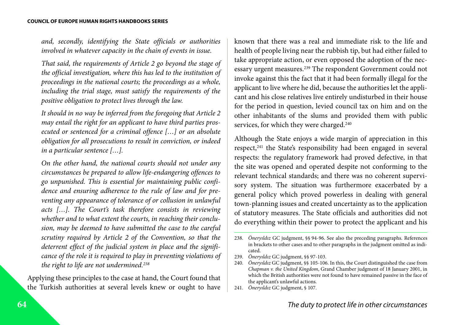and, secondly, identifying the State officials or authorities involved in whatever capacity in the chain of events in issue.

That said, the requirements of Article 2 go beyond the stage of the official investigation, where this has led to the institution of proceedings in the national courts; the proceedings as a whole, including the trial stage, must satisfy the requirements of the positive obligation to protect lives through the law.

It should in no way be inferred from the foregoing that Article 2 may entail the right for an applicant to have third parties prosecuted or sentenced for a criminal offence […] or an absolute obligation for all prosecutions to result in conviction, or indeed in a particular sentence […].

On the other hand, the national courts should not under any circumstances be prepared to allow life-endangering offences to go unpunished. This is essential for maintaining public confidence and ensuring adherence to the rule of law and for preventing any appearance of tolerance of or collusion in unlawful acts […]. The Court's task therefore consists in reviewing whether and to what extent the courts, in reaching their conclusion, may be deemed to have submitted the case to the careful scrutiny required by Article 2 of the Convention, so that the deterrent effect of the judicial system in place and the significance of the role it is required to play in preventing violations of the right to life are not undermined.<sup>238</sup>

Applying these principles to the case at hand, the Court found that the Turkish authorities at several levels knew or ought to have

known that there was a real and immediate risk to the life and health of people living near the rubbish tip, but had either failed to take appropriate action, or even opposed the adoption of the necessary urgent measures.239 The respondent Government could not invoke against this the fact that it had been formally illegal for the applicant to live where he did, because the authorities let the applicant and his close relatives live entirely undisturbed in their house for the period in question, levied council tax on him and on the other inhabitants of the slums and provided them with public services, for which they were charged.<sup>240</sup>

Although the State enjoys a wide margin of appreciation in this respect,<sup>241</sup> the State's responsibility had been engaged in several respects: the regulatory framework had proved defective, in that the site was opened and operated despite not conforming to the relevant technical standards; and there was no coherent supervisory system. The situation was furthermore exacerbated by a general policy which proved powerless in dealing with general town-planning issues and created uncertainty as to the application of statutory measures. The State officials and authorities did not do everything within their power to protect the applicant and his

239. *Öneryıldız* GC judgment, §§ 97-103.

<sup>238.</sup> *Öneryıldız* GC judgment, §§ 94-96. See also the preceding paragraphs. References in brackets to other cases and to other paragraphs in the judgment omitted as indicated.

<sup>240.</sup> *Öneryıldız* GC judgment, §§ 105-106. In this, the Court distinguished the case from Chapman v. the United Kingdom, Grand Chamber judgment of 18 January 2001, in which the British authorities were not found to have remained passive in the face of the applicant's unlawful actions.

<sup>241.</sup> *Öneryıldız* GC judgment, § 107.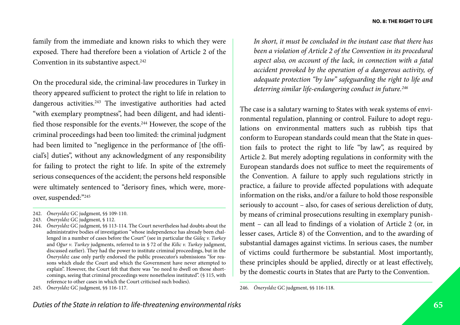family from the immediate and known risks to which they were exposed. There had therefore been a violation of Article 2 of the Convention in its substantive aspect.<sup>242</sup>

On the procedural side, the criminal-law procedures in Turkey in theory appeared sufficient to protect the right to life in relation to dangerous activities.243 The investigative authorities had acted "with exemplary promptness", had been diligent, and had identified those responsible for the events.244 However, the scope of the criminal proceedings had been too limited: the criminal judgment had been limited to "negligence in the performance of [the official's] duties", without any acknowledgment of any responsibility for failing to protect the right to life. In spite of the extremely serious consequences of the accident; the persons held responsible were ultimately sentenced to "derisory fines, which were, moreover, suspended:"245

In short, it must be concluded in the instant case that there has been a violation of Article 2 of the Convention in its procedural aspect also, on account of the lack, in connection with a fatal accident provoked by the operation of a dangerous activity, of adequate protection "by law" safeguarding the right to life and deterring similar life-endangering conduct in future.<sup>246</sup>

The case is a salutary warning to States with weak systems of environmental regulation, planning or control. Failure to adopt regulations on environmental matters such as rubbish tips that conform to European standards could mean that the State in question fails to protect the right to life "by law", as required by Article 2. But merely adopting regulations in conformity with the European standards does not suffice to meet the requirements of the Convention. A failure to apply such regulations strictly in practice, a failure to provide affected populations with adequate information on the risks, and/or a failure to hold those responsible seriously to account – also, for cases of serious dereliction of duty, by means of criminal prosecutions resulting in exemplary punishment – can all lead to findings of a violation of Article 2 (or, in lesser cases, Article 8) of the Convention, and to the awarding of substantial damages against victims. In serious cases, the number of victims could furthermore be substantial. Most importantly, these principles should be applied, directly or at least effectively, by the domestic courts in States that are Party to the Convention.

<sup>242.</sup> *Öneryıldız* GC judgment, §§ 109-110.

<sup>243.</sup> *Öneryıldız* GC judgment, § 112.

<sup>244.</sup> *Öneryıldız* GC judgment, §§ 113-114. The Court nevertheless had doubts about the administrative bodies of investigation "whose independence has already been challenged in a number of cases before the Court" (see in particular the Güleç v. Turkey and *Oğur v. Turkey* judgments, referred to in § 72 of the Kilic v. Turkey judgment, discussed earlier). They had the power to institute criminal proceedings, but in the *Öneryıldız* case only partly endorsed the public prosecutor's submissions "for reasons which elude the Court and which the Government have never attempted to explain". However, the Court felt that there was "no need to dwell on those shortcomings, seeing that criminal proceedings were nonetheless instituted". (§ 115, with reference to other cases in which the Court criticised such bodies).<br>245. *Öneryildiz* GC judgment, §§ 116-117.

<sup>245.</sup> *Öneryıldız* GC judgment, §§ 116-117. 246. *Öneryıldız* GC judgment, §§ 116-118.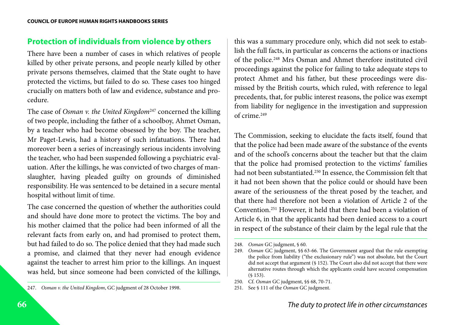## **Protection of individuals from violence by others**

There have been a number of cases in which relatives of people killed by other private persons, and people nearly killed by other private persons themselves, claimed that the State ought to have protected the victims, but failed to do so. These cases too hinged crucially on matters both of law and evidence, substance and procedure.

The case of Osman v. the United Kingdom<sup>247</sup> concerned the killing of two people, including the father of a schoolboy, Ahmet Osman, by a teacher who had become obsessed by the boy. The teacher, Mr Paget-Lewis, had a history of such infatuations. There had moreover been a series of increasingly serious incidents involving the teacher, who had been suspended following a psychiatric evaluation. After the killings, he was convicted of two charges of manslaughter, having pleaded guilty on grounds of diminished responsibility. He was sentenced to be detained in a secure mental hospital without limit of time.

The case concerned the question of whether the authorities could and should have done more to protect the victims. The boy and his mother claimed that the police had been informed of all the relevant facts from early on, and had promised to protect them, but had failed to do so. The police denied that they had made such a promise, and claimed that they never had enough evidence against the teacher to arrest him prior to the killings. An inquest was held, but since someone had been convicted of the killings,

247. Osman v. the United Kingdom, GC judgment of 28 October 1998.

this was a summary procedure only, which did not seek to establish the full facts, in particular as concerns the actions or inactions of the police.248 Mrs Osman and Ahmet therefore instituted civil proceedings against the police for failing to take adequate steps to protect Ahmet and his father, but these proceedings were dismissed by the British courts, which ruled, with reference to legal precedents, that, for public interest reasons, the police was exempt from liability for negligence in the investigation and suppression of crime.249

The Commission, seeking to elucidate the facts itself, found that that the police had been made aware of the substance of the events and of the school's concerns about the teacher but that the claim that the police had promised protection to the victims' families had not been substantiated.<sup>250</sup> In essence, the Commission felt that it had not been shown that the police could or should have been aware of the seriousness of the threat posed by the teacher, and that there had therefore not been a violation of Article 2 of the Convention.251 However, it held that there had been a violation of Article 6, in that the applicants had been denied access to a court in respect of the substance of their claim by the legal rule that the

251. See § 111 of the Osman GC judgment.

<sup>248.</sup> Osman GC judgment, § 60.

<sup>249.</sup> Osman GC judgment, §§ 63-66. The Government argued that the rule exempting the police from liability ("the exclusionary rule") was not absolute, but the Court did not accept that argument (§ 152). The Court also did not accept that there were alternative routes through which the applicants could have secured compensation (§ 153).

<sup>250.</sup> Cf. Osman GC judgment, §§ 68, 70-71.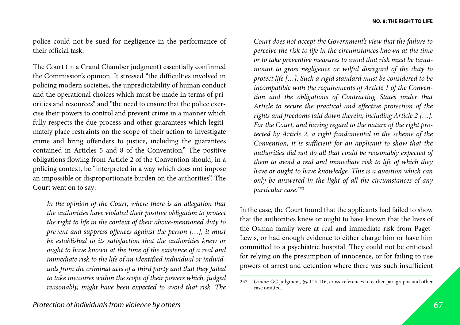police could not be sued for negligence in the performance of their official task.

The Court (in a Grand Chamber judgment) essentially confirmed the Commission's opinion. It stressed "the difficulties involved in policing modern societies, the unpredictability of human conduct and the operational choices which must be made in terms of priorities and resources" and "the need to ensure that the police exercise their powers to control and prevent crime in a manner which fully respects the due process and other guarantees which legitimately place restraints on the scope of their action to investigate crime and bring offenders to justice, including the guarantees contained in Articles 5 and 8 of the Convention." The positive obligations flowing from Article 2 of the Convention should, in a policing context, be "interpreted in a way which does not impose an impossible or disproportionate burden on the authorities". The Court went on to say:

In the opinion of the Court, where there is an allegation that the authorities have violated their positive obligation to protect the right to life in the context of their above-mentioned duty to prevent and suppress offences against the person […], it must be established to its satisfaction that the authorities knew or ought to have known at the time of the existence of a real and immediate risk to the life of an identified individual or individuals from the criminal acts of a third party and that they failed to take measures within the scope of their powers which, judged reasonably, might have been expected to avoid that risk. The Court does not accept the Government's view that the failure to perceive the risk to life in the circumstances known at the time or to take preventive measures to avoid that risk must be tantamount to gross negligence or wilful disregard of the duty to protect life […]. Such a rigid standard must be considered to be incompatible with the requirements of Article 1 of the Convention and the obligations of Contracting States under that Article to secure the practical and effective protection of the rights and freedoms laid down therein, including Article 2 […]. For the Court, and having regard to the nature of the right protected by Article 2, a right fundamental in the scheme of the Convention, it is sufficient for an applicant to show that the authorities did not do all that could be reasonably expected of them to avoid a real and immediate risk to life of which they have or ought to have knowledge. This is a question which can only be answered in the light of all the circumstances of any particular case.252

In the case, the Court found that the applicants had failed to show that the authorities knew or ought to have known that the lives of the Osman family were at real and immediate risk from Paget-Lewis, or had enough evidence to either charge him or have him committed to a psychiatric hospital. They could not be criticised for relying on the presumption of innocence, or for failing to use powers of arrest and detention where there was such insufficient

<sup>252.</sup> Osman GC judgment, §§ 115-116, cross-references to earlier paragraphs and other case omitted.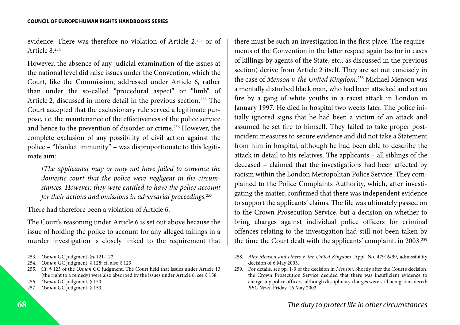evidence. There was therefore no violation of Article 2,253 or of Article 8.254

However, the absence of any judicial examination of the issues at the national level did raise issues under the Convention, which the Court, like the Commission, addressed under Article 6, rather than under the so-called "procedural aspect" or "limb" of Article 2, discussed in more detail in the previous section.255 The Court accepted that the exclusionary rule served a legitimate purpose, i.e. the maintenance of the effectiveness of the police service and hence to the prevention of disorder or crime.256 However, the complete exclusion of any possibility of civil action against the police – "blanket immunity" – was disproportionate to this legitimate aim:

[The applicants] may or may not have failed to convince the domestic court that the police were negligent in the circumstances. However, they were entitled to have the police account for their actions and omissions in adversarial proceedings.<sup>257</sup>

There had therefore been a violation of Article 6.

The Court's reasoning under Article 6 is set out above because the issue of holding the police to account for any alleged failings in a murder investigation is closely linked to the requirement that there must be such an investigation in the first place. The requirements of the Convention in the latter respect again (as for in cases of killings by agents of the State, etc., as discussed in the previous section) derive from Article 2 itself. They are set out concisely in the case of Menson v. the United Kingdom. 258 Michael Menson was a mentally disturbed black man, who had been attacked and set on fire by a gang of white youths in a racist attack in London in January 1997. He died in hospital two weeks later. The police initially ignored signs that he had been a victim of an attack and assumed he set fire to himself. They failed to take proper postincident measures to secure evidence and did not take a Statement from him in hospital, although he had been able to describe the attack in detail to his relatives. The applicants – all siblings of the deceased – claimed that the investigations had been affected by racism within the London Metropolitan Police Service. They complained to the Police Complaints Authority, which, after investigating the matter, confirmed that there was independent evidence to support the applicants' claims. The file was ultimately passed on to the Crown Prosecution Service, but a decision on whether to bring charges against individual police officers for criminal offences relating to the investigation had still not been taken by the time the Court dealt with the applicants' complaint, in 2003.259

<sup>253.</sup> Osman GC judgment, §§ 121-122.

<sup>254.</sup> Osman GC judgment, § 128; cf. also § 129.

<sup>255.</sup> Cf. § 123 of the Osman GC judgment. The Court held that issues under Article 13 (the right to a remedy) were also absorbed by the issues under Article 6: see § 158.

<sup>256.</sup> Osman GC judgment, § 150.

<sup>257.</sup> Osman GC judgment, § 153.

<sup>258.</sup> Alex Menson and others v. the United Kingdom, Appl. No. 47916/99, admissibility decision of 6 May 2003.

<sup>259.</sup> For details, see pp. 1-9 of the decision in Menson. Shortly after the Court's decision, the Crown Prosecution Service decided that there was insufficient evidence to charge any police officers, although disciplinary charges were still being considered: BBC News, Friday, 16 May 2003.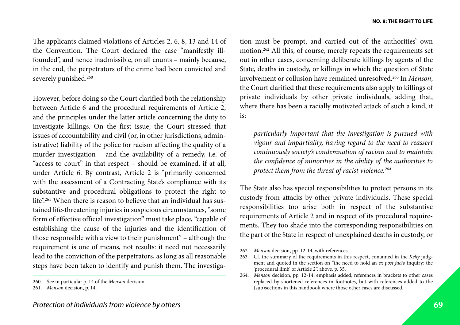The applicants claimed violations of Articles 2, 6, 8, 13 and 14 of the Convention. The Court declared the case "manifestly illfounded", and hence inadmissible, on all counts – mainly because, in the end, the perpetrators of the crime had been convicted and severely punished.<sup>260</sup>

However, before doing so the Court clarified both the relationship between Article 6 and the procedural requirements of Article 2, and the principles under the latter article concerning the duty to investigate killings. On the first issue, the Court stressed that issues of accountability and civil (or, in other jurisdictions, administrative) liability of the police for racism affecting the quality of a murder investigation – and the availability of a remedy, i.e. of "access to court" in that respect – should be examined, if at all, under Article 6. By contrast, Article 2 is "primarily concerned with the assessment of a Contracting State's compliance with its substantive and procedural obligations to protect the right to life".<sup>261</sup> When there is reason to believe that an individual has sustained life-threatening injuries in suspicious circumstances, "some form of effective official investigation" must take place, "capable of establishing the cause of the injuries and the identification of those responsible with a view to their punishment" – although the requirement is one of means, not results: it need not necessarily lead to the conviction of the perpetrators, as long as all reasonable steps have been taken to identify and punish them. The investigation must be prompt, and carried out of the authorities' own motion.262 All this, of course, merely repeats the requirements set out in other cases, concerning deliberate killings by agents of the State, deaths in custody, or killings in which the question of State involvement or collusion have remained unresolved.263 In Menson, the Court clarified that these requirements also apply to killings of private individuals by other private individuals, adding that, where there has been a racially motivated attack of such a kind, it is:

particularly important that the investigation is pursued with vigour and impartiality, having regard to the need to reassert continuously society's condemnation of racism and to maintain the confidence of minorities in the ability of the authorities to protect them from the threat of racist violence.<sup>264</sup>

The State also has special responsibilities to protect persons in its custody from attacks by other private individuals. These special responsibilities too arise both in respect of the substantive requirements of Article 2 and in respect of its procedural requirements. They too shade into the corresponding responsibilities on the part of the State in respect of unexplained deaths in custody, or

<sup>260.</sup> See in particular p. 14 of the Menson decision.

<sup>261.</sup> Menson decision, p. 14.

<sup>262.</sup> Menson decision, pp. 12-14, with references.

<sup>263.</sup> Cf. the summary of the requirements in this respect, contained in the Kelly judgment and quoted in the section on "the need to hold an ex post facto inquiry: the 'procedural limb' of Article 2", above, p. [35.](#page-36-0)

<sup>264.</sup> Menson decision, pp. 12-14, emphasis added; references in brackets to other cases replaced by shortened references in footnotes, but with references added to the (sub)sections in this handbook where those other cases are discussed.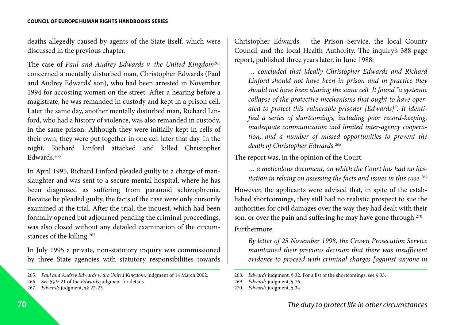deaths allegedly caused by agents of the State itself, which were discussed in the previous chapter.

The case of Paul and Audrey Edwards v. the United Kingdom<sup>265</sup> concerned a mentally disturbed man, Christopher Edwards (Paul and Audrey Edwards' son), who had been arrested in November 1994 for accosting women on the street. After a hearing before a magistrate, he was remanded in custody and kept in a prison cell. Later the same day, another mentally disturbed man, Richard Linford, who had a history of violence, was also remanded in custody, in the same prison. Although they were initially kept in cells of their own, they were put together in one cell later that day. In the night, Richard Linford attacked and killed Christopher Edwards.266

In April 1995, Richard Linford pleaded guilty to a charge of manslaughter and was sent to a secure mental hospital, where he has been diagnosed as suffering from paranoid schizophrenia. Because he pleaded guilty, the facts of the case were only cursorily examined at the trial. After the trial, the inquest, which had been formally opened but adjourned pending the criminal proceedings, was also closed without any detailed examination of the circumstances of the killing.<sup>267</sup>

In July 1995 a private, non-statutory inquiry was commissioned by three State agencies with statutory responsibilities towards

<span id="page-71-0"></span>265. Paul and Audrey Edwards v. the United Kingdom, judgment of 14 March 2002.

266. See §§ 9-21 of the Edwards judgment for details.

267. Edwards judgment, §§ 22-23.

Christopher Edwards – the Prison Service, the local County Council and the local Health Authority. The inquiry's 388-page report, published three years later, in June 1988:

… concluded that ideally Christopher Edwards and Richard Linford should not have been in prison and in practice they should not have been sharing the same cell. It found "a systemic collapse of the protective mechanisms that ought to have operated to protect this vulnerable prisoner [Edwards]". It identified a series of shortcomings, including poor record-keeping, inadequate communication and limited inter-agency cooperation, and a number of missed opportunities to prevent the death of Christopher Edwards.<sup>268</sup>

The report was, in the opinion of the Court:

… a meticulous document, on which the Court has had no hesitation in relying on assessing the facts and issues in this case.<sup>269</sup>

However, the applicants were advised that, in spite of the established shortcomings, they still had no realistic prospect to sue the authorities for civil damages over the way they had dealt with their son, or over the pain and suffering he may have gone through.<sup>270</sup> Furthermore:

By letter of 25 November 1998, the Crown Prosecution Service maintained their previous decision that there was insufficient evidence to proceed with criminal charges [against anyone in

<sup>268.</sup> Edwards judgment, § 32. For a list of the shortcomings, see § 33.

<sup>269.</sup> Edwards judgment, § 76.

<sup>270.</sup> Edwards judgment, § 34.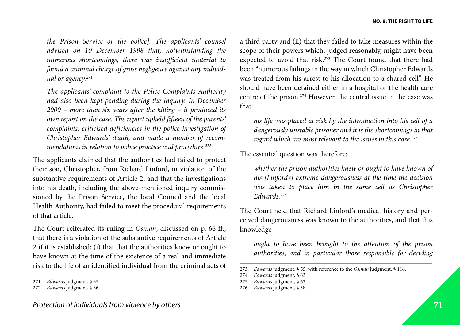the Prison Service or the police]. The applicants' counsel advised on 10 December 1998 that, notwithstanding the numerous shortcomings, there was insufficient material to found a criminal charge of gross negligence against any individual or agency.<sup>271</sup>

The applicants' complaint to the Police Complaints Authority had also been kept pending during the inquiry. In December 2000 – more than six years after the killing – it produced its own report on the case. The report upheld fifteen of the parents' complaints, criticised deficiencies in the police investigation of Christopher Edwards' death, and made a number of recommendations in relation to police practice and procedure.<sup>272</sup>

The applicants claimed that the authorities had failed to protect their son, Christopher, from Richard Linford, in violation of the substantive requirements of Article 2; and that the investigations into his death, including the above-mentioned inquiry commissioned by the Prison Service, the local Council and the local Health Authority, had failed to meet the procedural requirements of that article.

The Court reiterated its ruling in Osman, discussed on p. [66](#page-67-0) ff., that there is a violation of the substantive requirements of Article 2 if it is established: (i) that that the authorities knew or ought to have known at the time of the existence of a real and immediate risk to the life of an identified individual from the criminal acts of a third party and (ii) that they failed to take measures within the scope of their powers which, judged reasonably, might have been expected to avoid that risk.273 The Court found that there had been "numerous failings in the way in which Christopher Edwards was treated from his arrest to his allocation to a shared cell". He should have been detained either in a hospital or the health care centre of the prison.274 However, the central issue in the case was that:

his life was placed at risk by the introduction into his cell of a dangerously unstable prisoner and it is the shortcomings in that regard which are most relevant to the issues in this case.<sup>275</sup>

The essential question was therefore:

whether the prison authorities knew or ought to have known of his [Linford's] extreme dangerousness at the time the decision was taken to place him in the same cell as Christopher Edwards.276

The Court held that Richard Linford's medical history and perceived dangerousness was known to the authorities, and that this knowledge

ought to have been brought to the attention of the prison authorities, and in particular those responsible for deciding

<sup>271.</sup> Edwards judgment, § 35.

<sup>272.</sup> Edwards judgment, § 36.

<sup>273.</sup> Edwards judgment, § 55, with reference to the Osman judgment, § 116.

<sup>274.</sup> Edwards judgment, § 63.

<sup>275.</sup> Edwards judgment, § 63.

<sup>276.</sup> Edwards judgment, § 58.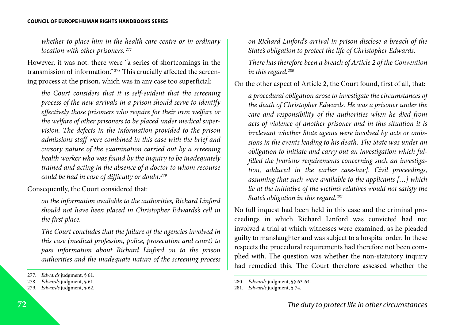whether to place him in the health care centre or in ordinary location with other prisoners.<sup>277</sup>

However, it was not: there were "a series of shortcomings in the transmission of information." 278 This crucially affected the screening process at the prison, which was in any case too superficial:

the Court considers that it is self-evident that the screening process of the new arrivals in a prison should serve to identify effectively those prisoners who require for their own welfare or the welfare of other prisoners to be placed under medical supervision. The defects in the information provided to the prison admissions staff were combined in this case with the brief and cursory nature of the examination carried out by a screening health worker who was found by the inquiry to be inadequately trained and acting in the absence of a doctor to whom recourse could be had in case of difficulty or doubt.<sup>279</sup>

Consequently, the Court considered that:

on the information available to the authorities, Richard Linford should not have been placed in Christopher Edwards's cell in the first place.

The Court concludes that the failure of the agencies involved in this case (medical profession, police, prosecution and court) to pass information about Richard Linford on to the prison authorities and the inadequate nature of the screening process on Richard Linford's arrival in prison disclose a breach of the State's obligation to protect the life of Christopher Edwards.

There has therefore been a breach of Article 2 of the Convention in this regard.<sup>280</sup>

On the other aspect of Article 2, the Court found, first of all, that:

a procedural obligation arose to investigate the circumstances of the death of Christopher Edwards. He was a prisoner under the care and responsibility of the authorities when he died from acts of violence of another prisoner and in this situation it is irrelevant whether State agents were involved by acts or omissions in the events leading to his death. The State was under an obligation to initiate and carry out an investigation which fulfilled the [various requirements concerning such an investigation, adduced in the earlier case-law]. Civil proceedings, assuming that such were available to the applicants […] which lie at the initiative of the victim's relatives would not satisfy the State's obligation in this regard.<sup>281</sup>

No full inquest had been held in this case and the criminal proceedings in which Richard Linford was convicted had not involved a trial at which witnesses were examined, as he pleaded guilty to manslaughter and was subject to a hospital order. In these respects the procedural requirements had therefore not been complied with. The question was whether the non-statutory inquiry had remedied this. The Court therefore assessed whether the

<sup>277.</sup> Edwards judgment, § 61.

<sup>278.</sup> Edwards judgment, § 61.

<sup>279.</sup> Edwards judgment, § 62.

<sup>280.</sup> Edwards judgment, §§ 63-64.

<sup>281.</sup> Edwards judgment, § 74.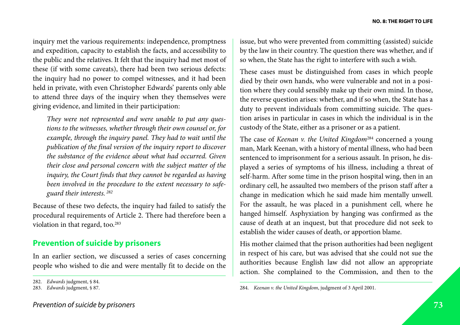inquiry met the various requirements: independence, promptness and expedition, capacity to establish the facts, and accessibility to the public and the relatives. It felt that the inquiry had met most of these (if with some caveats), there had been two serious defects: the inquiry had no power to compel witnesses, and it had been held in private, with even Christopher Edwards' parents only able to attend three days of the inquiry when they themselves were giving evidence, and limited in their participation:

They were not represented and were unable to put any questions to the witnesses, whether through their own counsel or, for example, through the inquiry panel. They had to wait until the publication of the final version of the inquiry report to discover the substance of the evidence about what had occurred. Given their close and personal concern with the subject matter of the inquiry, the Court finds that they cannot be regarded as having been involved in the procedure to the extent necessary to safeguard their interests. 282

Because of these two defects, the inquiry had failed to satisfy the procedural requirements of Article 2. There had therefore been a violation in that regard, too.<sup>283</sup>

#### **Prevention of suicide by prisoners**

In an earlier section, we discussed a series of cases concerning people who wished to die and were mentally fit to decide on the

issue, but who were prevented from committing (assisted) suicide by the law in their country. The question there was whether, and if so when, the State has the right to interfere with such a wish.

These cases must be distinguished from cases in which people died by their own hands, who were vulnerable and not in a position where they could sensibly make up their own mind. In those, the reverse question arises: whether, and if so when, the State has a duty to prevent individuals from committing suicide. The question arises in particular in cases in which the individual is in the custody of the State, either as a prisoner or as a patient.

The case of Keenan v. the United Kingdom<sup>284</sup> concerned a young man, Mark Keenan, with a history of mental illness, who had been sentenced to imprisonment for a serious assault. In prison, he displayed a series of symptoms of his illness, including a threat of self-harm. After some time in the prison hospital wing, then in an ordinary cell, he assaulted two members of the prison staff after a change in medication which he said made him mentally unwell. For the assault, he was placed in a punishment cell, where he hanged himself. Asphyxiation by hanging was confirmed as the cause of death at an inquest, but that procedure did not seek to establish the wider causes of death, or apportion blame.

His mother claimed that the prison authorities had been negligent in respect of his care, but was advised that she could not sue the authorities because English law did not allow an appropriate action. She complained to the Commission, and then to the

<sup>282.</sup> Edwards judgment, § 84.

<sup>283.</sup> Edwards judgment, § 87. 284. Keenan v. the United Kingdom, judgment of 3 April 2001.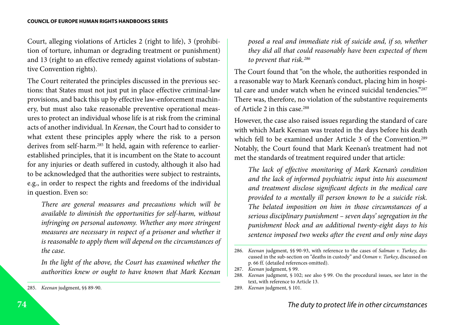Court, alleging violations of Articles 2 (right to life), 3 (prohibition of torture, inhuman or degrading treatment or punishment) and 13 (right to an effective remedy against violations of substantive Convention rights).

The Court reiterated the principles discussed in the previous sections: that States must not just put in place effective criminal-law provisions, and back this up by effective law-enforcement machinery, but must also take reasonable preventive operational measures to protect an individual whose life is at risk from the criminal acts of another individual. In Keenan, the Court had to consider to what extent these principles apply where the risk to a person derives from self-harm.285 It held, again with reference to earlierestablished principles, that it is incumbent on the State to account for any injuries or death suffered in custody, although it also had to be acknowledged that the authorities were subject to restraints, e.g., in order to respect the rights and freedoms of the individual in question. Even so:

There are general measures and precautions which will be available to diminish the opportunities for self-harm, without infringing on personal autonomy. Whether any more stringent measures are necessary in respect of a prisoner and whether it is reasonable to apply them will depend on the circumstances of the case.

In the light of the above, the Court has examined whether the authorities knew or ought to have known that Mark Keenan

285. Keenan judgment, §§ 89-90.

posed a real and immediate risk of suicide and, if so, whether they did all that could reasonably have been expected of them to prevent that risk.<sup>286</sup>

The Court found that "on the whole, the authorities responded in a reasonable way to Mark Keenan's conduct, placing him in hospital care and under watch when he evinced suicidal tendencies."287 There was, therefore, no violation of the substantive requirements of Article 2 in this case.288

However, the case also raised issues regarding the standard of care with which Mark Keenan was treated in the days before his death which fell to be examined under Article 3 of the Convention.<sup>289</sup> Notably, the Court found that Mark Keenan's treatment had not met the standards of treatment required under that article:

The lack of effective monitoring of Mark Keenan's condition and the lack of informed psychiatric input into his assessment and treatment disclose significant defects in the medical care provided to a mentally ill person known to be a suicide risk. The belated imposition on him in those circumstances of a serious disciplinary punishment – seven days' segregation in the punishment block and an additional twenty-eight days to his sentence imposed two weeks after the event and only nine days

289. Keenan judgment, § 101.

<sup>286.</sup> Keenan judgment, §§ 90-93, with reference to the cases of Salman v. Turkey, discussed in the sub-section on "deaths in custody" and Osman v. Turkey, discussed on p. [66](#page-67-0) ff. (detailed references omitted).

<sup>287.</sup> Keenan judgment, § 99.

<sup>288.</sup> Keenan judgment, § 102; see also § 99. On the procedural issues, see later in the text, with reference to Article 13.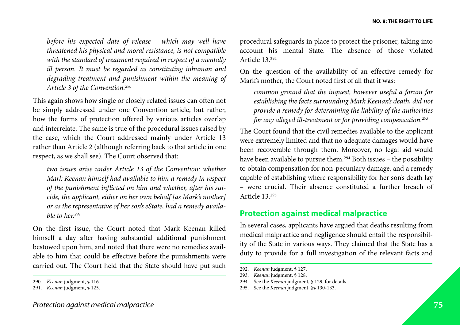before his expected date of release – which may well have threatened his physical and moral resistance, is not compatible with the standard of treatment required in respect of a mentally ill person. It must be regarded as constituting inhuman and degrading treatment and punishment within the meaning of Article 3 of the Convention.<sup>290</sup>

This again shows how single or closely related issues can often not be simply addressed under one Convention article, but rather, how the forms of protection offered by various articles overlap and interrelate. The same is true of the procedural issues raised by the case, which the Court addressed mainly under Article 13 rather than Article 2 (although referring back to that article in one respect, as we shall see). The Court observed that:

two issues arise under Article 13 of the Convention: whether Mark Keenan himself had available to him a remedy in respect of the punishment inflicted on him and whether, after his suicide, the applicant, either on her own behalf [as Mark's mother] or as the representative of her son's eState, had a remedy available to her.291

On the first issue, the Court noted that Mark Keenan killed himself a day after having substantial additional punishment bestowed upon him, and noted that there were no remedies available to him that could be effective before the punishments were carried out. The Court held that the State should have put such procedural safeguards in place to protect the prisoner, taking into account his mental State. The absence of those violated Article 13.292

On the question of the availability of an effective remedy for Mark's mother, the Court noted first of all that it was:

common ground that the inquest, however useful a forum for establishing the facts surrounding Mark Keenan's death, did not provide a remedy for determining the liability of the authorities for any alleged ill-treatment or for providing compensation.<sup>293</sup>

The Court found that the civil remedies available to the applicant were extremely limited and that no adequate damages would have been recoverable through them. Moreover, no legal aid would have been available to pursue them.<sup>294</sup> Both issues – the possibility to obtain compensation for non-pecuniary damage, and a remedy capable of establishing where responsibility for her son's death lay – were crucial. Their absence constituted a further breach of Article 13.295

# **Protection against medical malpractice**

In several cases, applicants have argued that deaths resulting from medical malpractice and negligence should entail the responsibility of the State in various ways. They claimed that the State has a duty to provide for a full investigation of the relevant facts and

295. See the Keenan judgment, §§ 130-133.

<sup>290.</sup> Keenan judgment, § 116.

<sup>291.</sup> Keenan judgment, § 125.

<sup>292.</sup> Keenan judgment, § 127.

<sup>293.</sup> Keenan judgment, § 128.

<sup>294.</sup> See the Keenan judgment, § 129, for details.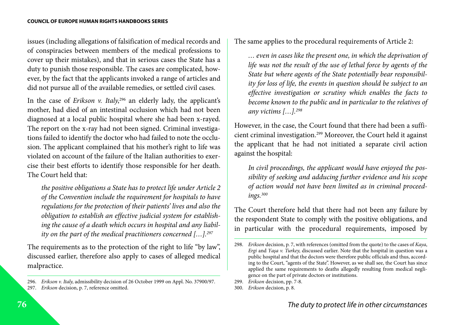issues (including allegations of falsification of medical records and of conspiracies between members of the medical professions to cover up their mistakes), and that in serious cases the State has a duty to punish those responsible. The cases are complicated, however, by the fact that the applicants invoked a range of articles and did not pursue all of the available remedies, or settled civil cases.

In the case of *Erikson v. Italy*,<sup>296</sup> an elderly lady, the applicant's mother, had died of an intestinal occlusion which had not been diagnosed at a local public hospital where she had been x-rayed. The report on the x-ray had not been signed. Criminal investigations failed to identify the doctor who had failed to note the occlusion. The applicant complained that his mother's right to life was violated on account of the failure of the Italian authorities to exercise their best efforts to identify those responsible for her death. The Court held that:

the positive obligations a State has to protect life under Article 2 of the Convention include the requirement for hospitals to have regulations for the protection of their patients' lives and also the obligation to establish an effective judicial system for establishing the cause of a death which occurs in hospital and any liability on the part of the medical practitioners concerned  $[...]$ .

The requirements as to the protection of the right to life "by law", discussed earlier, therefore also apply to cases of alleged medical malpractice.

- 296. Erikson v. Italy, admissibility decision of 26 October 1999 on Appl. No. 37900/97.
- 297. Erikson decision, p. 7, reference omitted.

The same applies to the procedural requirements of Article 2:

… even in cases like the present one, in which the deprivation of life was not the result of the use of lethal force by agents of the State but where agents of the State potentially bear responsibility for loss of life, the events in question should be subject to an effective investigation or scrutiny which enables the facts to become known to the public and in particular to the relatives of any victims  $[\dots]$ . 298

However, in the case, the Court found that there had been a sufficient criminal investigation.299 Moreover, the Court held it against the applicant that he had not initiated a separate civil action against the hospital:

In civil proceedings, the applicant would have enjoyed the possibility of seeking and adducing further evidence and his scope of action would not have been limited as in criminal proceedings.300

The Court therefore held that there had not been any failure by the respondent State to comply with the positive obligations, and in particular with the procedural requirements, imposed by

<sup>298.</sup> Erikson decision, p. 7, with references (omitted from the quote) to the cases of Kaya, Ergi and *Yaşa* v. Turkey, discussed earlier. Note that the hospital in question was a public hospital and that the doctors were therefore public officials and thus, according to the Court, "agents of the State". However, as we shall see, the Court has since applied the same requirements to deaths allegedly resulting from medical negligence on the part of private doctors or institutions.

<sup>299.</sup> Erikson decision, pp. 7-8.

<sup>300.</sup> Erikson decision, p. 8.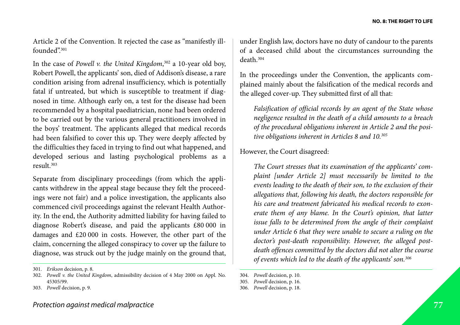Article 2 of the Convention. It rejected the case as "manifestly illfounded".301

In the case of Powell v. the United Kingdom,<sup>302</sup> a 10-year old boy, Robert Powell, the applicants' son, died of Addison's disease, a rare condition arising from adrenal insufficiency, which is potentially fatal if untreated, but which is susceptible to treatment if diagnosed in time. Although early on, a test for the disease had been recommended by a hospital paediatrician, none had been ordered to be carried out by the various general practitioners involved in the boys' treatment. The applicants alleged that medical records had been falsified to cover this up. They were deeply affected by the difficulties they faced in trying to find out what happened, and developed serious and lasting psychological problems as a result.303

Separate from disciplinary proceedings (from which the applicants withdrew in the appeal stage because they felt the proceedings were not fair) and a police investigation, the applicants also commenced civil proceedings against the relevant Health Authority. In the end, the Authority admitted liability for having failed to diagnose Robert's disease, and paid the applicants £80 000 in damages and £20 000 in costs. However, the other part of the claim, concerning the alleged conspiracy to cover up the failure to diagnose, was struck out by the judge mainly on the ground that,

303. Powell decision, p. 9.

under English law, doctors have no duty of candour to the parents of a deceased child about the circumstances surrounding the death.304

In the proceedings under the Convention, the applicants complained mainly about the falsification of the medical records and the alleged cover-up. They submitted first of all that:

Falsification of official records by an agent of the State whose negligence resulted in the death of a child amounts to a breach of the procedural obligations inherent in Article 2 and the positive obligations inherent in Articles 8 and 10.305

However, the Court disagreed:

The Court stresses that its examination of the applicants' complaint [under Article 2] must necessarily be limited to the events leading to the death of their son, to the exclusion of their allegations that, following his death, the doctors responsible for his care and treatment fabricated his medical records to exonerate them of any blame. In the Court's opinion, that latter issue falls to be determined from the angle of their complaint under Article 6 that they were unable to secure a ruling on the doctor's post-death responsibility. However, the alleged postdeath offences committed by the doctors did not alter the course of events which led to the death of the applicants' son.306

<sup>301.</sup> Erikson decision, p. 8.

<sup>302.</sup> Powell v. the United Kingdom, admissibility decision of 4 May 2000 on Appl. No. 45305/99.

<sup>304.</sup> Powell decision, p. 10.

<sup>305.</sup> Powell decision, p. 16.

<sup>306.</sup> Powell decision, p. 18.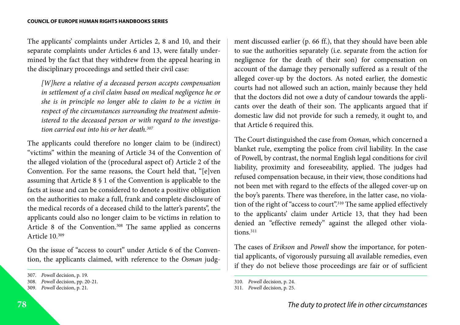The applicants' complaints under Articles 2, 8 and 10, and their separate complaints under Articles 6 and 13, were fatally undermined by the fact that they withdrew from the appeal hearing in the disciplinary proceedings and settled their civil case:

[W]here a relative of a deceased person accepts compensation in settlement of a civil claim based on medical negligence he or she is in principle no longer able to claim to be a victim in respect of the circumstances surrounding the treatment administered to the deceased person or with regard to the investigation carried out into his or her death.<sup>307</sup>

The applicants could therefore no longer claim to be (indirect) "victims" within the meaning of Article 34 of the Convention of the alleged violation of the (procedural aspect of) Article 2 of the Convention. For the same reasons, the Court held that, "[e]ven assuming that Article 8 § 1 of the Convention is applicable to the facts at issue and can be considered to denote a positive obligation on the authorities to make a full, frank and complete disclosure of the medical records of a deceased child to the latter's parents", the applicants could also no longer claim to be victims in relation to Article 8 of the Convention.<sup>308</sup> The same applied as concerns Article 10.309

On the issue of "access to court" under Article 6 of the Convention, the applicants claimed, with reference to the Osman judgment discussed earlier (p. [66](#page-67-0) ff.), that they should have been able to sue the authorities separately (i.e. separate from the action for negligence for the death of their son) for compensation on account of the damage they personally suffered as a result of the alleged cover-up by the doctors. As noted earlier, the domestic courts had not allowed such an action, mainly because they held that the doctors did not owe a duty of candour towards the applicants over the death of their son. The applicants argued that if domestic law did not provide for such a remedy, it ought to, and that Article 6 required this.

The Court distinguished the case from Osman, which concerned a blanket rule, exempting the police from civil liability. In the case of Powell, by contrast, the normal English legal conditions for civil liability, proximity and foreseeability, applied. The judges had refused compensation because, in their view, those conditions had not been met with regard to the effects of the alleged cover-up on the boy's parents. There was therefore, in the latter case, no violation of the right of "access to court".310 The same applied effectively to the applicants' claim under Article 13, that they had been denied an "effective remedy" against the alleged other violations<sup>311</sup>

The cases of Erikson and Powell show the importance, for potential applicants, of vigorously pursuing all available remedies, even if they do not believe those proceedings are fair or of sufficient

<sup>307.</sup> Powell decision, p. 19.

<sup>308.</sup> Powell decision, pp. 20-21.

<sup>309.</sup> Powell decision, p. 21.

<sup>310.</sup> Powell decision, p. 24.

<sup>311.</sup> Powell decision, p. 25.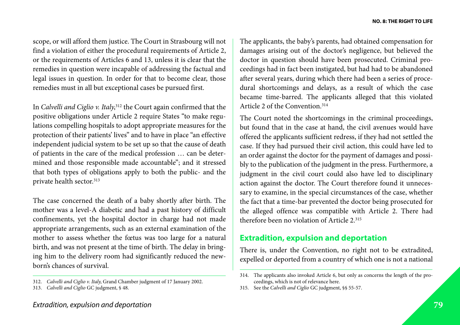scope, or will afford them justice. The Court in Strasbourg will not find a violation of either the procedural requirements of Article 2, or the requirements of Articles 6 and 13, unless it is clear that the remedies in question were incapable of addressing the factual and legal issues in question. In order for that to become clear, those remedies must in all but exceptional cases be pursued first.

In *Calvelli and Ciglio v. Italy*,<sup>312</sup> the Court again confirmed that the positive obligations under Article 2 require States "to make regulations compelling hospitals to adopt appropriate measures for the protection of their patients' lives" and to have in place "an effective independent judicial system to be set up so that the cause of death of patients in the care of the medical profession … can be determined and those responsible made accountable"; and it stressed that both types of obligations apply to both the public- and the private health sector.<sup>313</sup>

The case concerned the death of a baby shortly after birth. The mother was a level-A diabetic and had a past history of difficult confinements, yet the hospital doctor in charge had not made appropriate arrangements, such as an external examination of the mother to assess whether the fœtus was too large for a natural birth, and was not present at the time of birth. The delay in bringing him to the delivery room had significantly reduced the newborn's chances of survival.

312. Calvelli and Ciglio v. Italy, Grand Chamber judgment of 17 January 2002.

313. Calvelli and Ciglio GC judgment, § 48.

The applicants, the baby's parents, had obtained compensation for damages arising out of the doctor's negligence, but believed the doctor in question should have been prosecuted. Criminal proceedings had in fact been instigated, but had had to be abandoned after several years, during which there had been a series of procedural shortcomings and delays, as a result of which the case became time-barred. The applicants alleged that this violated Article 2 of the Convention.314

The Court noted the shortcomings in the criminal proceedings, but found that in the case at hand, the civil avenues would have offered the applicants sufficient redress, if they had not settled the case. If they had pursued their civil action, this could have led to an order against the doctor for the payment of damages and possibly to the publication of the judgment in the press. Furthermore, a judgment in the civil court could also have led to disciplinary action against the doctor. The Court therefore found it unnecessary to examine, in the special circumstances of the case, whether the fact that a time-bar prevented the doctor being prosecuted for the alleged offence was compatible with Article 2. There had therefore been no violation of Article 2.315

#### **Extradition, expulsion and deportation**

There is, under the Convention, no right not to be extradited, expelled or deported from a country of which one is not a national

315. See the Calvelli and Ciglio GC judgment, §§ 55-57.

<sup>314.</sup> The applicants also invoked Article 6, but only as concerns the length of the proceedings, which is not of relevance here.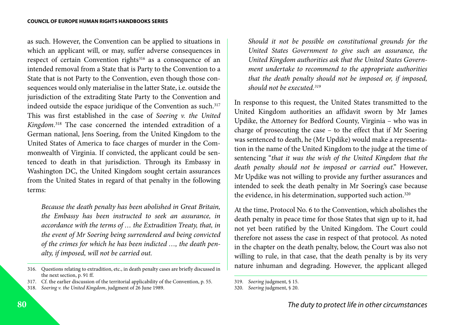as such. However, the Convention can be applied to situations in which an applicant will, or may, suffer adverse consequences in respect of certain Convention rights<sup>316</sup> as a consequence of an intended removal from a State that is Party to the Convention to a State that is not Party to the Convention, even though those consequences would only materialise in the latter State, i.e. outside the jurisdiction of the extraditing State Party to the Convention and indeed outside the espace juridique of the Convention as such.<sup>317</sup> This was first established in the case of Soering v. the United Kingdom.<sup>318</sup> The case concerned the intended extradition of a German national, Jens Soering, from the United Kingdom to the United States of America to face charges of murder in the Commonwealth of Virginia. If convicted, the applicant could be sentenced to death in that jurisdiction. Through its Embassy in Washington DC, the United Kingdom sought certain assurances from the United States in regard of that penalty in the following terms:

Because the death penalty has been abolished in Great Britain, the Embassy has been instructed to seek an assurance, in accordance with the terms of … the Extradition Treaty, that, in the event of Mr Soering being surrendered and being convicted of the crimes for which he has been indicted …, the death penalty, if imposed, will not be carried out.

- 317. Cf. the earlier discussion of the territorial applicability of the Convention, p. [55.](#page-56-0)
- 318. Soering v. the United Kingdom, judgment of 26 June 1989.

Should it not be possible on constitutional grounds for the United States Government to give such an assurance, the United Kingdom authorities ask that the United States Government undertake to recommend to the appropriate authorities that the death penalty should not be imposed or, if imposed, should not be executed.319

In response to this request, the United States transmitted to the United Kingdom authorities an affidavit sworn by Mr James Updike, the Attorney for Bedford County, Virginia – who was in charge of prosecuting the case – to the effect that if Mr Soering was sentenced to death, he (Mr Updike) would make a representation in the name of the United Kingdom to the judge at the time of sentencing "that it was the wish of the United Kingdom that the death penalty should not be imposed or carried out." However, Mr Updike was not willing to provide any further assurances and intended to seek the death penalty in Mr Soering's case because the evidence, in his determination, supported such action.<sup>320</sup>

At the time, Protocol No. 6 to the Convention, which abolishes the death penalty in peace time for those States that sign up to it, had not yet been ratified by the United Kingdom. The Court could therefore not assess the case in respect of that protocol. As noted in the chapter on the death penalty, below, the Court was also not willing to rule, in that case, that the death penalty is by its very <sup>316.</sup> Questions relating to extradition, etc., in death penalty cases are briefly discussed in **all allocated in nature** inhuman and degrading. However, the applicant alleged

the next section, p. [91](#page-92-0) ff.

<sup>319.</sup> Soering judgment, § 15.

<sup>320.</sup> Soering judgment, § 20.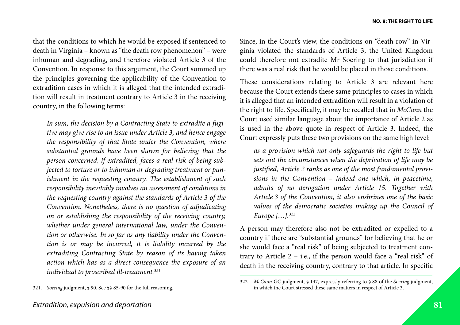that the conditions to which he would be exposed if sentenced to death in Virginia – known as "the death row phenomenon" – were inhuman and degrading, and therefore violated Article 3 of the Convention. In response to this argument, the Court summed up the principles governing the applicability of the Convention to extradition cases in which it is alleged that the intended extradition will result in treatment contrary to Article 3 in the receiving country, in the following terms:

In sum, the decision by a Contracting State to extradite a fugitive may give rise to an issue under Article 3, and hence engage the responsibility of that State under the Convention, where substantial grounds have been shown for believing that the person concerned, if extradited, faces a real risk of being subjected to torture or to inhuman or degrading treatment or punishment in the requesting country. The establishment of such responsibility inevitably involves an assessment of conditions in the requesting country against the standards of Article 3 of the Convention. Nonetheless, there is no question of adjudicating on or establishing the responsibility of the receiving country, whether under general international law, under the Convention or otherwise. In so far as any liability under the Convention is or may be incurred, it is liability incurred by the extraditing Contracting State by reason of its having taken action which has as a direct consequence the exposure of an individual to proscribed ill-treatment.<sup>321</sup>

Since, in the Court's view, the conditions on "death row" in Virginia violated the standards of Article 3, the United Kingdom could therefore not extradite Mr Soering to that jurisdiction if there was a real risk that he would be placed in those conditions.

These considerations relating to Article 3 are relevant here because the Court extends these same principles to cases in which it is alleged that an intended extradition will result in a violation of the right to life. Specifically, it may be recalled that in McCann the Court used similar language about the importance of Article 2 as is used in the above quote in respect of Article 3. Indeed, the Court expressly puts these two provisions on the same high level:

as a provision which not only safeguards the right to life but sets out the circumstances when the deprivation of life may be justified, Article 2 ranks as one of the most fundamental provisions in the Convention – indeed one which, in peacetime, admits of no derogation under Article 15. Together with Article 3 of the Convention, it also enshrines one of the basic values of the democratic societies making up the Council of Europe  $[\dots]$ .<sup>322</sup>

A person may therefore also not be extradited or expelled to a country if there are "substantial grounds" for believing that he or she would face a "real risk" of being subjected to treatment contrary to Article 2 – i.e., if the person would face a "real risk" of death in the receiving country, contrary to that article. In specific

<sup>322.</sup> McCann GC judgment, § 147, expressly referring to § 88 of the Soering judgment, in which the Court stressed these same matters in respect of Article 3.

<sup>321.</sup> Soering judgment, § 90. See §§ 85-90 for the full reasoning.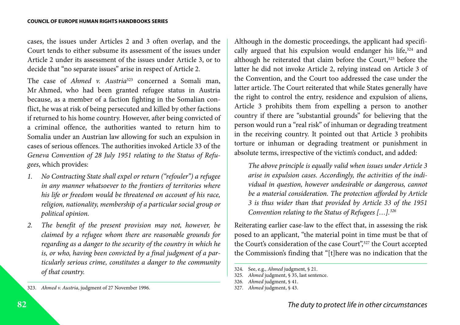cases, the issues under Articles 2 and 3 often overlap, and the Court tends to either subsume its assessment of the issues under Article 2 under its assessment of the issues under Article 3, or to decide that "no separate issues" arise in respect of Article 2.

The case of Ahmed v. Austria<sup>323</sup> concerned a Somali man, Mr Ahmed, who had been granted refugee status in Austria because, as a member of a faction fighting in the Somalian conflict, he was at risk of being persecuted and killed by other factions if returned to his home country. However, after being convicted of a criminal offence, the authorities wanted to return him to Somalia under an Austrian law allowing for such an expulsion in cases of serious offences. The authorities invoked Article 33 of the Geneva Convention of 28 July 1951 relating to the Status of Refugees, which provides:

- 1. No Contracting State shall expel or return ("refouler") a refugee in any manner whatsoever to the frontiers of territories where his life or freedom would be threatened on account of his race, religion, nationality, membership of a particular social group or political opinion.
- 2. The benefit of the present provision may not, however, be claimed by a refugee whom there are reasonable grounds for regarding as a danger to the security of the country in which he is, or who, having been convicted by a final judgment of a particularly serious crime, constitutes a danger to the community of that country.

323. Ahmed v. Austria, judgment of 27 November 1996.

Although in the domestic proceedings, the applicant had specifically argued that his expulsion would endanger his life, 324 and although he reiterated that claim before the Court,<sup>325</sup> before the latter he did not invoke Article 2, relying instead on Article 3 of the Convention, and the Court too addressed the case under the latter article. The Court reiterated that while States generally have the right to control the entry, residence and expulsion of aliens, Article 3 prohibits them from expelling a person to another country if there are "substantial grounds" for believing that the person would run a "real risk" of inhuman or degrading treatment in the receiving country. It pointed out that Article 3 prohibits torture or inhuman or degrading treatment or punishment in absolute terms, irrespective of the victim's conduct, and added:

The above principle is equally valid when issues under Article 3 arise in expulsion cases. Accordingly, the activities of the individual in question, however undesirable or dangerous, cannot be a material consideration. The protection afforded by Article 3 is thus wider than that provided by Article 33 of the 1951 Convention relating to the Status of Refugees […].326

Reiterating earlier case-law to the effect that, in assessing the risk posed to an applicant, "the material point in time must be that of the Court's consideration of the case Court",327 the Court accepted the Commission's finding that "[t]here was no indication that the

<sup>324.</sup> See, e.g., Ahmed judgment, § 21.

<sup>325.</sup> Ahmed judgment, § 35, last sentence.

<sup>326.</sup> Ahmed judgment, § 41.

<sup>327.</sup> Ahmed judgment, § 43.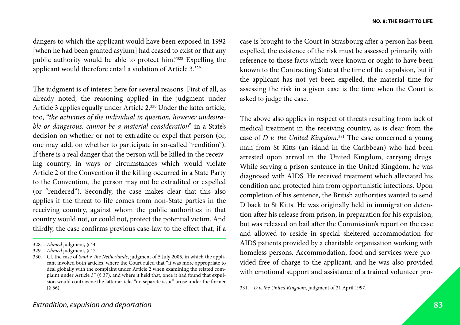dangers to which the applicant would have been exposed in 1992 [when he had been granted asylum] had ceased to exist or that any public authority would be able to protect him."328 Expelling the applicant would therefore entail a violation of Article 3.329

The judgment is of interest here for several reasons. First of all, as already noted, the reasoning applied in the judgment under Article 3 applies equally under Article 2.330 Under the latter article, too, "the activities of the individual in question, however undesirable or dangerous, cannot be a material consideration" in a State's decision on whether or not to extradite or expel that person (or, one may add, on whether to participate in so-called "rendition"). If there is a real danger that the person will be killed in the receiving country, in ways or circumstances which would violate Article 2 of the Convention if the killing occurred in a State Party to the Convention, the person may not be extradited or expelled (or "rendered"). Secondly, the case makes clear that this also applies if the threat to life comes from non-State parties in the receiving country, against whom the public authorities in that country would not, or could not, protect the potential victim. And thirdly, the case confirms previous case-law to the effect that, if a

case is brought to the Court in Strasbourg after a person has been expelled, the existence of the risk must be assessed primarily with reference to those facts which were known or ought to have been known to the Contracting State at the time of the expulsion, but if the applicant has not yet been expelled, the material time for assessing the risk in a given case is the time when the Court is asked to judge the case.

The above also applies in respect of threats resulting from lack of medical treatment in the receiving country, as is clear from the case of  $D$  v. the United Kingdom.<sup>331</sup> The case concerned a young man from St Kitts (an island in the Caribbean) who had been arrested upon arrival in the United Kingdom, carrying drugs. While serving a prison sentence in the United Kingdom, he was diagnosed with AIDS. He received treatment which alleviated his condition and protected him from opportunistic infections. Upon completion of his sentence, the British authorities wanted to send D back to St Kitts. He was originally held in immigration detention after his release from prison, in preparation for his expulsion, but was released on bail after the Commission's report on the case and allowed to reside in special sheltered accommodation for AIDS patients provided by a charitable organisation working with homeless persons. Accommodation, food and services were provided free of charge to the applicant, and he was also provided with emotional support and assistance of a trained volunteer pro-

<sup>328.</sup> Ahmed judgment, § 44.

<sup>329.</sup> Ahmed judgment, § 47.

<sup>330.</sup> Cf. the case of Said v. the Netherlands, judgment of 5 July 2005, in which the applicant invoked both articles, where the Court ruled that "it was more appropriate to deal globally with the complaint under Article 2 when examining the related complaint under Article 3" (§ 37), and where it held that, once it had found that expulsion would contravene the latter article, "no separate issue" arose under the former (§ 56). 331. D v. the United Kingdom, judgment of 21 April 1997.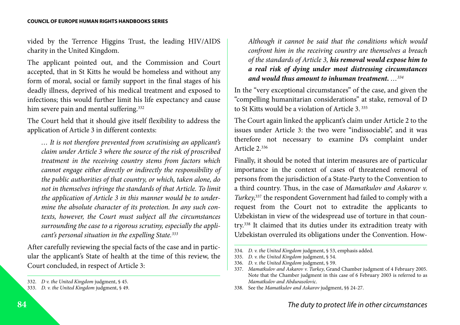vided by the Terrence Higgins Trust, the leading HIV/AIDS charity in the United Kingdom.

The applicant pointed out, and the Commission and Court accepted, that in St Kitts he would be homeless and without any form of moral, social or family support in the final stages of his deadly illness, deprived of his medical treatment and exposed to infections; this would further limit his life expectancy and cause him severe pain and mental suffering.<sup>332</sup>

The Court held that it should give itself flexibility to address the application of Article 3 in different contexts:

… It is not therefore prevented from scrutinising an applicant's claim under Article 3 where the source of the risk of proscribed treatment in the receiving country stems from factors which cannot engage either directly or indirectly the responsibility of the public authorities of that country, or which, taken alone, do not in themselves infringe the standards of that Article. To limit the application of Article 3 in this manner would be to undermine the absolute character of its protection. In any such contexts, however, the Court must subject all the circumstances surrounding the case to a rigorous scrutiny, especially the applicant's personal situation in the expelling State.<sup>333</sup>

After carefully reviewing the special facts of the case and in particular the applicant's State of health at the time of this review, the Court concluded, in respect of Article 3:

Although it cannot be said that the conditions which would confront him in the receiving country are themselves a breach of the standards of Article 3, *his removal would expose him to a real risk of dying under most distressing circumstances and would thus amount to inhuman treatment.* …334

In the "very exceptional circumstances" of the case, and given the "compelling humanitarian considerations" at stake, removal of D to St Kitts would be a violation of Article 3. 335

The Court again linked the applicant's claim under Article 2 to the issues under Article 3: the two were "indissociable", and it was therefore not necessary to examine D's complaint under Article 2.336

Finally, it should be noted that interim measures are of particular importance in the context of cases of threatened removal of persons from the jurisdiction of a State-Party to the Convention to a third country. Thus, in the case of Mamatkulov and Askarov v. Turkey, 337 the respondent Government had failed to comply with a request from the Court not to extradite the applicants to Uzbekistan in view of the widespread use of torture in that country.338 It claimed that its duties under its extradition treaty with Uzbekistan overruled its obligations under the Convention. How-

<sup>332.</sup> D v. the United Kingdom judgment, § 45.

<sup>333.</sup> D. v. the United Kingdom judgment, § 49.

<sup>334.</sup> D. v. the United Kingdom judgment, § 53, emphasis added.

<sup>335.</sup> D. v. the United Kingdom judgment, § 54.

<sup>336.</sup> D. v. the United Kingdom judgment, § 59.

<sup>337.</sup> Mamatkulov and Askarov v. Turkey, Grand Chamber judgment of 4 February 2005. Note that the Chamber judgment in this case of 6 February 2003 is referred to as Mamatkulov and Abdurasolovic.

<sup>338.</sup> See the Mamatkulov and Askarov judgment, §§ 24-27.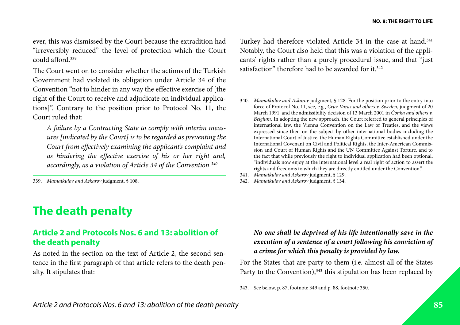ever, this was dismissed by the Court because the extradition had "irreversibly reduced" the level of protection which the Court could afford.339

The Court went on to consider whether the actions of the Turkish Government had violated its obligation under Article 34 of the Convention "not to hinder in any way the effective exercise of [the right of the Court to receive and adjudicate on individual applications]". Contrary to the position prior to Protocol No. 11, the Court ruled that:

A failure by a Contracting State to comply with interim measures [indicated by the Court] is to be regarded as preventing the Court from effectively examining the applicant's complaint and as hindering the effective exercise of his or her right and, accordingly, as a violation of Article 34 of the Convention.<sup>340</sup>

# **The death penalty**

## **Article 2 and Protocols Nos. 6 and 13: abolition of the death penalty**

As noted in the section on the text of Article 2, the second sentence in the first paragraph of that article refers to the death penalty. It stipulates that:

Turkey had therefore violated Article 34 in the case at hand.<sup>341</sup> Notably, the Court also held that this was a violation of the applicants' rights rather than a purely procedural issue, and that "just satisfaction" therefore had to be awarded for it.342

- 340. Mamatkulov and Askarov judgment, § 128. For the position prior to the entry into force of Protocol No. 11, see, e.g., Cruz Varas and others v. Sweden, judgment of 20 March 1991, and the admissibility decision of 13 March 2001 in Čonka and others v. Belgium. In adopting the new approach, the Court referred to general principles of international law, the Vienna Convention on the Law of Treaties, and the views expressed since then on the subject by other international bodies including the International Court of Justice, the Human Rights Committee established under the International Covenant on Civil and Political Rights, the Inter-American Commission and Court of Human Rights and the UN Committee Against Torture, and to the fact that while previously the right to individual application had been optional, "individuals now enjoy at the international level a real right of action to assert the rights and freedoms to which they are directly entitled under the Convention."
- 341. Mamatkulov and Askarov judgment, § 129.
- 342. Mamatkulov and Askarov judgment, § 134.

## *No one shall be deprived of his life intentionally save in the execution of a sentence of a court following his conviction of a crime for which this penalty is provided by law.*

For the States that are party to them (i.e. almost all of the States Party to the Convention),<sup>343</sup> this stipulation has been replaced by

<sup>339.</sup> Mamatkulov and Askarov judgment, § 108.

<sup>343.</sup> See below, p. 87, footnote 349 and p. 88, footnote 350.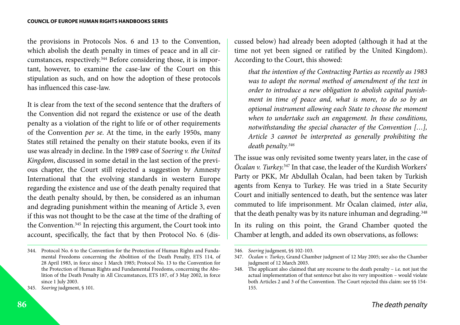the provisions in Protocols Nos. 6 and 13 to the Convention, which abolish the death penalty in times of peace and in all circumstances, respectively.344 Before considering those, it is important, however, to examine the case-law of the Court on this stipulation as such, and on how the adoption of these protocols has influenced this case-law.

It is clear from the text of the second sentence that the drafters of the Convention did not regard the existence or use of the death penalty as a violation of the right to life or of other requirements of the Convention per se. At the time, in the early 1950s, many States still retained the penalty on their statute books, even if its use was already in decline. In the 1989 case of Soering v. the United Kingdom, discussed in some detail in the last section of the previous chapter, the Court still rejected a suggestion by Amnesty International that the evolving standards in western Europe regarding the existence and use of the death penalty required that the death penalty should, by then, be considered as an inhuman and degrading punishment within the meaning of Article 3, even if this was not thought to be the case at the time of the drafting of the Convention.345 In rejecting this argument, the Court took into account, specifically, the fact that by then Protocol No. 6 (dis-

345. Soering judgment, § 101.

cussed below) had already been adopted (although it had at the time not yet been signed or ratified by the United Kingdom). According to the Court, this showed:

that the intention of the Contracting Parties as recently as 1983 was to adopt the normal method of amendment of the text in order to introduce a new obligation to abolish capital punishment in time of peace and, what is more, to do so by an optional instrument allowing each State to choose the moment when to undertake such an engagement. In these conditions, notwithstanding the special character of the Convention […], Article 3 cannot be interpreted as generally prohibiting the death penalty.346

The issue was only revisited some twenty years later, in the case of Öcalan v. Turkey. 347 In that case, the leader of the Kurdish Workers' Party or PKK, Mr Abdullah Öcalan, had been taken by Turkish agents from Kenya to Turkey. He was tried in a State Security Court and initially sentenced to death, but the sentence was later commuted to life imprisonment. Mr Öcalan claimed, inter alia, that the death penalty was by its nature inhuman and degrading.<sup>348</sup>

In its ruling on this point, the Grand Chamber quoted the Chamber at length, and added its own observations, as follows:

<sup>344.</sup> Protocol No. 6 to the Convention for the Protection of Human Rights and Fundamental Freedoms concerning the Abolition of the Death Penalty, ETS 114, of 28 April 1983, in force since 1 March 1985; Protocol No. 13 to the Convention for the Protection of Human Rights and Fundamental Freedoms, concerning the Abolition of the Death Penalty in All Circumstances, ETS 187, of 3 May 2002, in force since 1 July 2003.

<sup>346.</sup> Soering judgment, §§ 102-103.

<sup>347.</sup> Öcalan v. Turkey, Grand Chamber judgment of 12 May 2005; see also the Chamber judgment of 12 March 2003.

<sup>348.</sup> The applicant also claimed that any recourse to the death penalty – i.e. not just the actual implementation of that sentence but also its very imposition – would violate both Articles 2 and 3 of the Convention. The Court rejected this claim: see §§ 154- 155.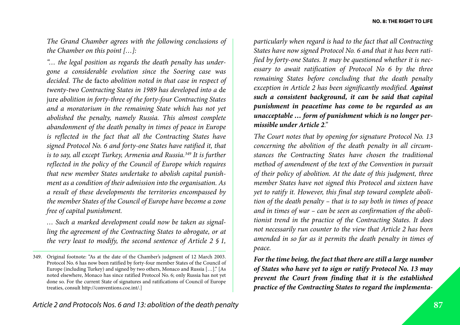The Grand Chamber agrees with the following conclusions of the Chamber on this point […]:

"… the legal position as regards the death penalty has undergone a considerable evolution since the Soering case was decided. The de facto abolition noted in that case in respect of twenty-two Contracting States in 1989 has developed into a de jure abolition in forty-three of the forty-four Contracting States and a moratorium in the remaining State which has not yet abolished the penalty, namely Russia. This almost complete abandonment of the death penalty in times of peace in Europe is reflected in the fact that all the Contracting States have signed Protocol No. 6 and forty-one States have ratified it, that is to say, all except Turkey, Armenia and Russia.<sup>349</sup> It is further reflected in the policy of the Council of Europe which requires that new member States undertake to abolish capital punishment as a condition of their admission into the organisation. As a result of these developments the territories encompassed by the member States of the Council of Europe have become a zone free of capital punishment.

… Such a marked development could now be taken as signalling the agreement of the Contracting States to abrogate, or at the very least to modify, the second sentence of Article  $2 \nI$ ,

particularly when regard is had to the fact that all Contracting States have now signed Protocol No. 6 and that it has been ratified by forty-one States. It may be questioned whether it is necessary to await ratification of Protocol No 6 by the three remaining States before concluding that the death penalty exception in Article 2 has been significantly modified. *Against such a consistent background, it can be said that capital punishment in peacetime has come to be regarded as an unacceptable … form of punishment which is no longer permissible under Article 2*."

The Court notes that by opening for signature Protocol No. 13 concerning the abolition of the death penalty in all circumstances the Contracting States have chosen the traditional method of amendment of the text of the Convention in pursuit of their policy of abolition. At the date of this judgment, three member States have not signed this Protocol and sixteen have yet to ratify it. However, this final step toward complete abolition of the death penalty – that is to say both in times of peace and in times of war – can be seen as confirmation of the abolitionist trend in the practice of the Contracting States. It does not necessarily run counter to the view that Article 2 has been amended in so far as it permits the death penalty in times of peace.

*For the time being, the fact that there are still a large number of States who have yet to sign or ratify Protocol No. 13 may prevent the Court from finding that it is the established practice of the Contracting States to regard the implementa-*

<sup>349.</sup> Original footnote: "As at the date of the Chamber's judgment of 12 March 2003. Protocol No. 6 has now been ratified by forty-four member States of the Council of Europe (including Turkey) and signed by two others, Monaco and Russia […]." [As noted elsewhere, Monaco has since ratified Protocol No. 6; only Russia has not yet done so. For the current State of signatures and ratifications of Council of Europe treaties, consult http://conventions.coe.int/.]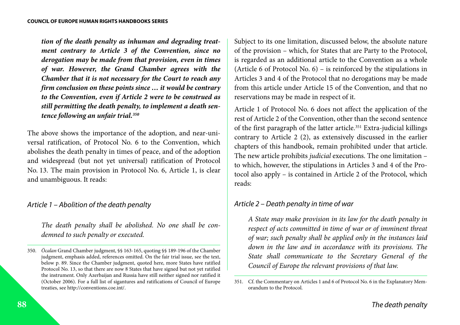*tion of the death penalty as inhuman and degrading treatment contrary to Article 3 of the Convention, since no derogation may be made from that provision, even in times of war. However, the Grand Chamber agrees with the Chamber that it is not necessary for the Court to reach any firm conclusion on these points since … it would be contrary to the Convention, even if Article 2 were to be construed as still permitting the death penalty, to implement a death sentence following an unfair trial.350*

The above shows the importance of the adoption, and near-universal ratification, of Protocol No. 6 to the Convention, which abolishes the death penalty in times of peace, and of the adoption and widespread (but not yet universal) ratification of Protocol No. 13. The main provision in Protocol No. 6, Article 1, is clear and unambiguous. It reads:

#### Article 1 – Abolition of the death penalty

The death penalty shall be abolished. No one shall be condemned to such penalty or executed.

Subject to its one limitation, discussed below, the absolute nature of the provision – which, for States that are Party to the Protocol, is regarded as an additional article to the Convention as a whole (Article 6 of Protocol No. 6) – is reinforced by the stipulations in Articles 3 and 4 of the Protocol that no derogations may be made from this article under Article 15 of the Convention, and that no reservations may be made in respect of it.

Article 1 of Protocol No. 6 does not affect the application of the rest of Article 2 of the Convention, other than the second sentence of the first paragraph of the latter article.351 Extra-judicial killings contrary to Article 2 (2), as extensively discussed in the earlier chapters of this handbook, remain prohibited under that article. The new article prohibits judicial executions. The one limitation – to which, however, the stipulations in Articles 3 and 4 of the Protocol also apply – is contained in Article 2 of the Protocol, which reads:

# Article 2 – Death penalty in time of war

A State may make provision in its law for the death penalty in respect of acts committed in time of war or of imminent threat of war; such penalty shall be applied only in the instances laid down in the law and in accordance with its provisions. The State shall communicate to the Secretary General of the Council of Europe the relevant provisions of that law.

<sup>350.</sup> Öcalan Grand Chamber judgment, §§ 163-165, quoting §§ 189-196 of the Chamber judgment, emphasis added, references omitted. On the fair trial issue, see the text, below p. [89](#page-90-0). Since the Chamber judgment, quoted here, more States have ratified Protocol No. 13, so that there are now 8 States that have signed but not yet ratified the instrument. Only Azerbaijan and Russia have still neither signed nor ratified it (October 2006). For a full list of sigantures and ratifications of Council of Europe treaties, see http://conventions.coe.int/.

<sup>351.</sup> Cf. the Commentary on Articles 1 and 6 of Protocol No. 6 in the Explanatory Memorandum to the Protocol.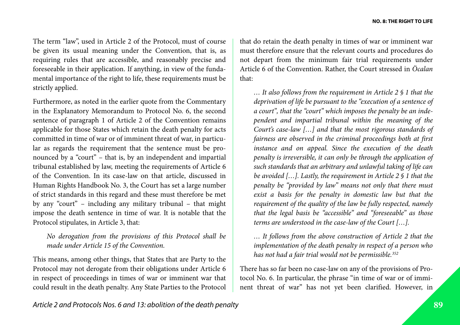The term "law", used in Article 2 of the Protocol, must of course be given its usual meaning under the Convention, that is, as requiring rules that are accessible, and reasonably precise and foreseeable in their application. If anything, in view of the fundamental importance of the right to life, these requirements must be strictly applied.

Furthermore, as noted in the earlier quote from the Commentary in the Explanatory Memorandum to Protocol No. 6, the second sentence of paragraph 1 of Article 2 of the Convention remains applicable for those States which retain the death penalty for acts committed in time of war or of imminent threat of war, in particular as regards the requirement that the sentence must be pronounced by a "court" – that is, by an independent and impartial tribunal established by law, meeting the requirements of Article 6 of the Convention. In its case-law on that article, discussed in Human Rights Handbook No. 3, the Court has set a large number of strict standards in this regard and these must therefore be met by any "court" – including any military tribunal – that might impose the death sentence in time of war. It is notable that the Protocol stipulates, in Article 3, that:

No derogation from the provisions of this Protocol shall be made under Article 15 of the Convention.

<span id="page-90-0"></span>This means, among other things, that States that are Party to the Protocol may not derogate from their obligations under Article 6 in respect of proceedings in times of war or imminent war that could result in the death penalty. Any State Parties to the Protocol

that do retain the death penalty in times of war or imminent war must therefore ensure that the relevant courts and procedures do not depart from the minimum fair trial requirements under Article 6 of the Convention. Rather, the Court stressed in Öcalan that:

… It also follows from the requirement in Article 2 § 1 that the deprivation of life be pursuant to the "execution of a sentence of a court", that the "court" which imposes the penalty be an independent and impartial tribunal within the meaning of the Court's case-law […] and that the most rigorous standards of fairness are observed in the criminal proceedings both at first instance and on appeal. Since the execution of the death penalty is irreversible, it can only be through the application of such standards that an arbitrary and unlawful taking of life can be avoided […]. Lastly, the requirement in Article 2 § 1 that the penalty be "provided by law" means not only that there must exist a basis for the penalty in domestic law but that the requirement of the quality of the law be fully respected, namely that the legal basis be "accessible" and "foreseeable" as those terms are understood in the case-law of the Court […].

… It follows from the above construction of Article 2 that the implementation of the death penalty in respect of a person who has not had a fair trial would not be permissible.<sup>352</sup>

There has so far been no case-law on any of the provisions of Protocol No. 6. In particular, the phrase "in time of war or of imminent threat of war" has not yet been clarified. However, in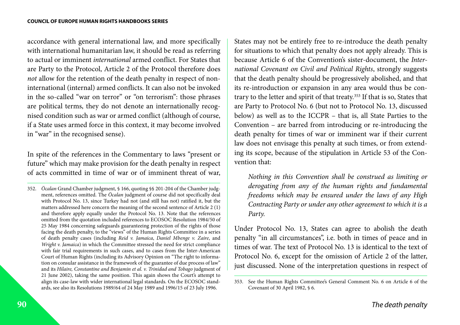accordance with general international law, and more specifically with international humanitarian law, it should be read as referring to actual or imminent international armed conflict. For States that are Party to the Protocol, Article 2 of the Protocol therefore does not allow for the retention of the death penalty in respect of noninternational (internal) armed conflicts. It can also not be invoked in the so-called "war on terror" or "on terrorism": those phrases are political terms, they do not denote an internationally recognised condition such as war or armed conflict (although of course, if a State uses armed force in this context, it may become involved in "war" in the recognised sense).

In spite of the references in the Commentary to laws "present or future" which may make provision for the death penalty in respect of acts committed in time of war or of imminent threat of war, States may not be entirely free to re-introduce the death penalty for situations to which that penalty does not apply already. This is because Article 6 of the Convention's sister-document, the International Covenant on Civil and Political Rights, strongly suggests that the death penalty should be progressively abolished, and that its re-introduction or expansion in any area would thus be contrary to the letter and spirit of that treaty.353 If that is so, States that are Party to Protocol No. 6 (but not to Protocol No. 13, discussed below) as well as to the ICCPR – that is, all State Parties to the Convention – are barred from introducing or re-introducing the death penalty for times of war or imminent war if their current law does not envisage this penalty at such times, or from extending its scope, because of the stipulation in Article 53 of the Convention that:

Nothing in this Convention shall be construed as limiting or derogating from any of the human rights and fundamental freedoms which may be ensured under the laws of any High Contracting Party or under any other agreement to which it is a Party.

Under Protocol No. 13, States can agree to abolish the death penalty "in all circumstances", i.e. both in times of peace and in times of war. The text of Protocol No. 13 is identical to the text of Protocol No. 6, except for the omission of Article 2 of the latter, just discussed. None of the interpretation questions in respect of

<sup>352.</sup> Öcalan Grand Chamber judgment, § 166, quoting §§ 201-204 of the Chamber judgment, references omitted. The Öcalan judgment of course did not specifically deal with Protocol No. 13, since Turkey had not (and still has not) ratified it, but the matters addressed here concern the meaning of the second sentence of Article 2 (1) and therefore apply equally under the Protocol No. 13. Note that the references omitted from the quotation included references to ECOSOC Resolution 1984/50 of 25 May 1984 concerning safeguards guaranteeing protection of the rights of those facing the death penalty, to the "views" of the Human Rights Committee in a series of death penalty cases (including Reid v. Jamaica, Daniel Mbenge v. Zaire, and Wright v. Jamaica) in which the Committee stressed the need for strict compliance with fair trial requirements in such cases, and to cases from the Inter-American Court of Human Rights (including its Advisory Opinion on "The right to information on consular assistance in the framework of the guarantee of due process of law" and its Hilaire, Constantine and Benjamin et al. v. Trinidad and Tobago judgment of 21 June 2002), taking the same position. This again shows the Court's attempt to align its case-law with wider international legal standards. On the ECOSOC standards, see also its Resolutions 1989/64 of 24 May 1989 and 1996/15 of 23 July 1996.

<sup>353.</sup> See the Human Rights Committee's General Comment No. 6 on Article 6 of the Covenant of 30 April 1982, § 6.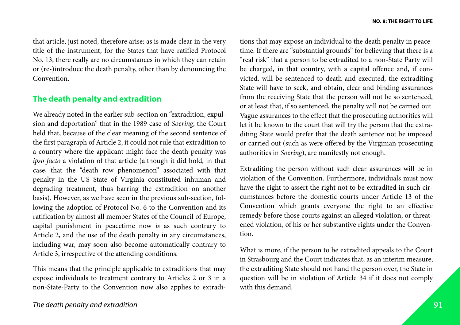that article, just noted, therefore arise: as is made clear in the very title of the instrument, for the States that have ratified Protocol No. 13, there really are no circumstances in which they can retain or (re-)introduce the death penalty, other than by denouncing the Convention.

## <span id="page-92-0"></span>**The death penalty and extradition**

We already noted in the earlier sub-section on "extradition, expulsion and deportation" that in the 1989 case of Soering, the Court held that, because of the clear meaning of the second sentence of the first paragraph of Article 2, it could not rule that extradition to a country where the applicant might face the death penalty was ipso facto a violation of that article (although it did hold, in that case, that the "death row phenomenon" associated with that penalty in the US State of Virginia constituted inhuman and degrading treatment, thus barring the extradition on another basis). However, as we have seen in the previous sub-section, following the adoption of Protocol No. 6 to the Convention and its ratification by almost all member States of the Council of Europe, capital punishment in peacetime now is as such contrary to Article 2, and the use of the death penalty in any circumstances, including war, may soon also become automatically contrary to Article 3, irrespective of the attending conditions.

This means that the principle applicable to extraditions that may expose individuals to treatment contrary to Articles 2 or 3 in a non-State-Party to the Convention now also applies to extradi-

tions that may expose an individual to the death penalty in peacetime. If there are "substantial grounds" for believing that there is a "real risk" that a person to be extradited to a non-State Party will be charged, in that country, with a capital offence and, if convicted, will be sentenced to death and executed, the extraditing State will have to seek, and obtain, clear and binding assurances from the receiving State that the person will not be so sentenced, or at least that, if so sentenced, the penalty will not be carried out. Vague assurances to the effect that the prosecuting authorities will let it be known to the court that will try the person that the extraditing State would prefer that the death sentence not be imposed or carried out (such as were offered by the Virginian prosecuting authorities in Soering), are manifestly not enough.

Extraditing the person without such clear assurances will be in violation of the Convention. Furthermore, individuals must now have the right to assert the right not to be extradited in such circumstances before the domestic courts under Article 13 of the Convention which grants everyone the right to an effective remedy before those courts against an alleged violation, or threatened violation, of his or her substantive rights under the Convention.

What is more, if the person to be extradited appeals to the Court in Strasbourg and the Court indicates that, as an interim measure, the extraditing State should not hand the person over, the State in question will be in violation of Article 34 if it does not comply with this demand.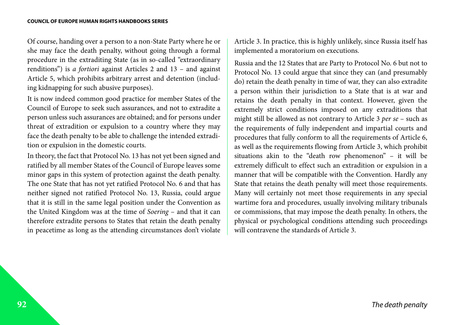Of course, handing over a person to a non-State Party where he or she may face the death penalty, without going through a formal procedure in the extraditing State (as in so-called "extraordinary renditions") is a fortiori against Articles 2 and 13 – and against Article 5, which prohibits arbitrary arrest and detention (including kidnapping for such abusive purposes).

It is now indeed common good practice for member States of the Council of Europe to seek such assurances, and not to extradite a person unless such assurances are obtained; and for persons under threat of extradition or expulsion to a country where they may face the death penalty to be able to challenge the intended extradition or expulsion in the domestic courts.

In theory, the fact that Protocol No. 13 has not yet been signed and ratified by all member States of the Council of Europe leaves some minor gaps in this system of protection against the death penalty. The one State that has not yet ratified Protocol No. 6 and that has neither signed not ratified Protocol No. 13, Russia, could argue that it is still in the same legal position under the Convention as the United Kingdom was at the time of Soering – and that it can therefore extradite persons to States that retain the death penalty in peacetime as long as the attending circumstances don't violate Article 3. In practice, this is highly unlikely, since Russia itself has implemented a moratorium on executions.

Russia and the 12 States that are Party to Protocol No. 6 but not to Protocol No. 13 could argue that since they can (and presumably do) retain the death penalty in time of war, they can also extradite a person within their jurisdiction to a State that is at war and retains the death penalty in that context. However, given the extremely strict conditions imposed on any extraditions that might still be allowed as not contrary to Article 3 per se – such as the requirements of fully independent and impartial courts and procedures that fully conform to all the requirements of Article 6, as well as the requirements flowing from Article 3, which prohibit situations akin to the "death row phenomenon" – it will be extremely difficult to effect such an extradition or expulsion in a manner that will be compatible with the Convention. Hardly any State that retains the death penalty will meet those requirements. Many will certainly not meet those requirements in any special wartime fora and procedures, usually involving military tribunals or commissions, that may impose the death penalty. In others, the physical or psychological conditions attending such proceedings will contravene the standards of Article 3.